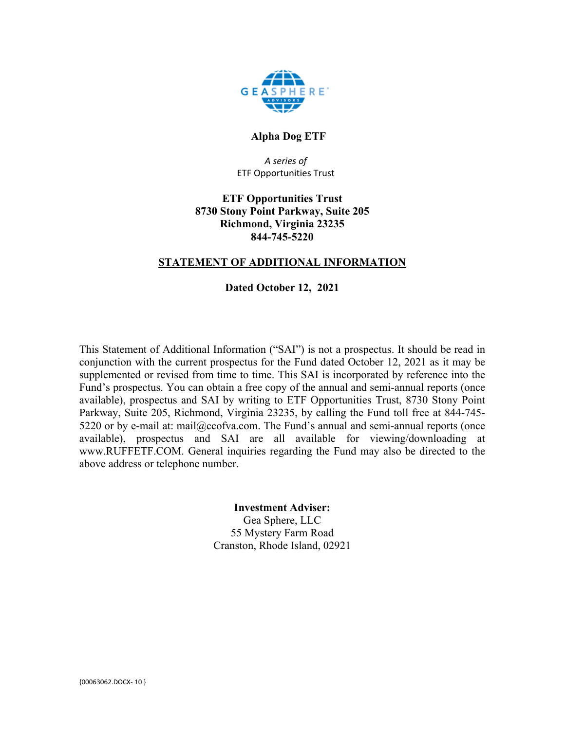

# **Alpha Dog ETF**

*A series of* ETF Opportunities Trust

# **ETF Opportunities Trust 8730 Stony Point Parkway, Suite 205 Richmond, Virginia 23235 844-745-5220**

# **STATEMENT OF ADDITIONAL INFORMATION**

# **Dated October 12, 2021**

This Statement of Additional Information ("SAI") is not a prospectus. It should be read in conjunction with the current prospectus for the Fund dated October 12, 2021 as it may be supplemented or revised from time to time. This SAI is incorporated by reference into the Fund's prospectus. You can obtain a free copy of the annual and semi-annual reports (once available), prospectus and SAI by writing to ETF Opportunities Trust, 8730 Stony Point Parkway, Suite 205, Richmond, Virginia 23235, by calling the Fund toll free at 844-745- 5220 or by e-mail at: mail@ccofva.com. The Fund's annual and semi-annual reports (once available), prospectus and SAI are all available for viewing/downloading at www.RUFFETF.COM. General inquiries regarding the Fund may also be directed to the above address or telephone number.

# **Investment Adviser:**

Gea Sphere, LLC 55 Mystery Farm Road Cranston, Rhode Island, 02921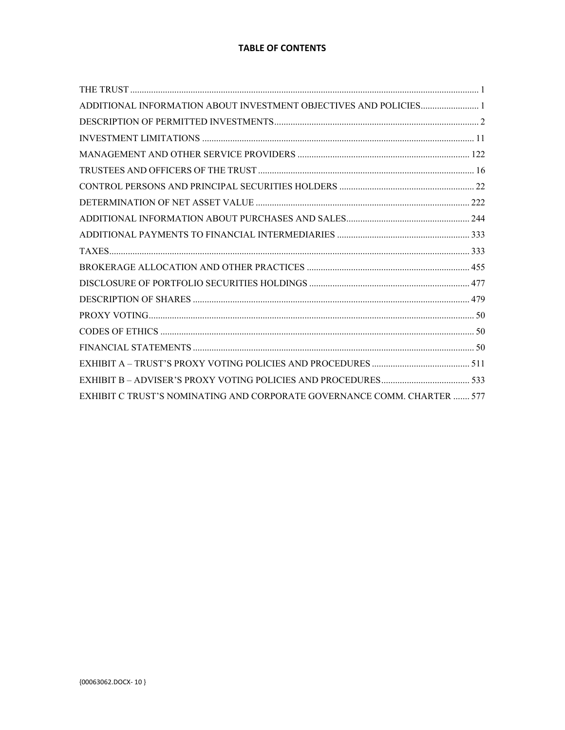# **TABLE OF CONTENTS**

| ADDITIONAL INFORMATION ABOUT INVESTMENT OBJECTIVES AND POLICIES 1        |  |
|--------------------------------------------------------------------------|--|
|                                                                          |  |
|                                                                          |  |
|                                                                          |  |
|                                                                          |  |
|                                                                          |  |
|                                                                          |  |
|                                                                          |  |
|                                                                          |  |
|                                                                          |  |
|                                                                          |  |
|                                                                          |  |
|                                                                          |  |
|                                                                          |  |
|                                                                          |  |
|                                                                          |  |
|                                                                          |  |
|                                                                          |  |
| EXHIBIT C TRUST'S NOMINATING AND CORPORATE GOVERNANCE COMM. CHARTER  577 |  |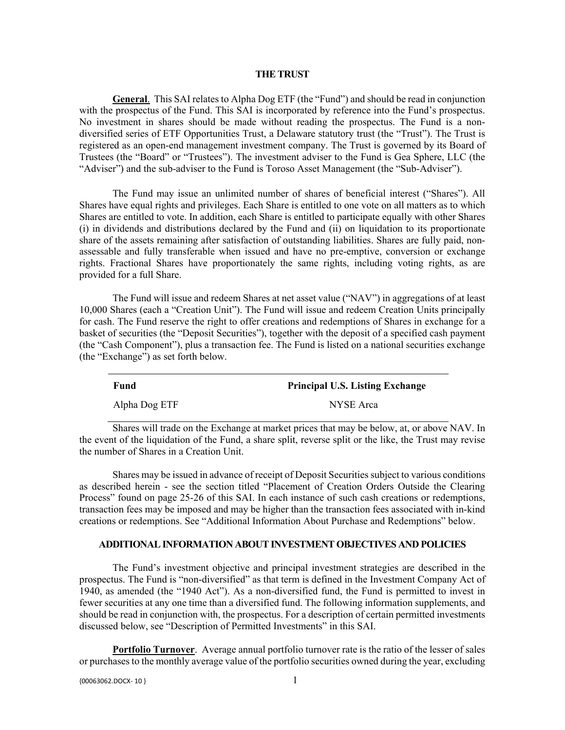#### **THE TRUST**

**General**. This SAI relates to Alpha Dog ETF (the "Fund") and should be read in conjunction with the prospectus of the Fund. This SAI is incorporated by reference into the Fund's prospectus. No investment in shares should be made without reading the prospectus. The Fund is a nondiversified series of ETF Opportunities Trust, a Delaware statutory trust (the "Trust"). The Trust is registered as an open-end management investment company. The Trust is governed by its Board of Trustees (the "Board" or "Trustees"). The investment adviser to the Fund is Gea Sphere, LLC (the "Adviser") and the sub-adviser to the Fund is Toroso Asset Management (the "Sub-Adviser").

The Fund may issue an unlimited number of shares of beneficial interest ("Shares"). All Shares have equal rights and privileges. Each Share is entitled to one vote on all matters as to which Shares are entitled to vote. In addition, each Share is entitled to participate equally with other Shares (i) in dividends and distributions declared by the Fund and (ii) on liquidation to its proportionate share of the assets remaining after satisfaction of outstanding liabilities. Shares are fully paid, nonassessable and fully transferable when issued and have no pre-emptive, conversion or exchange rights. Fractional Shares have proportionately the same rights, including voting rights, as are provided for a full Share.

The Fund will issue and redeem Shares at net asset value ("NAV") in aggregations of at least 10,000 Shares (each a "Creation Unit"). The Fund will issue and redeem Creation Units principally for cash. The Fund reserve the right to offer creations and redemptions of Shares in exchange for a basket of securities (the "Deposit Securities"), together with the deposit of a specified cash payment (the "Cash Component"), plus a transaction fee. The Fund is listed on a national securities exchange (the "Exchange") as set forth below.

| Fund          | <b>Principal U.S. Listing Exchange</b> |
|---------------|----------------------------------------|
| Alpha Dog ETF | NYSE Arca                              |

Shares will trade on the Exchange at market prices that may be below, at, or above NAV. In the event of the liquidation of the Fund, a share split, reverse split or the like, the Trust may revise the number of Shares in a Creation Unit.

Shares may be issued in advance of receipt of Deposit Securities subject to various conditions as described herein - see the section titled "Placement of Creation Orders Outside the Clearing Process" found on page 25-26 of this SAI. In each instance of such cash creations or redemptions, transaction fees may be imposed and may be higher than the transaction fees associated with in-kind creations or redemptions. See "Additional Information About Purchase and Redemptions" below.

### **ADDITIONAL INFORMATION ABOUT INVESTMENT OBJECTIVES AND POLICIES**

The Fund's investment objective and principal investment strategies are described in the prospectus. The Fund is "non-diversified" as that term is defined in the Investment Company Act of 1940, as amended (the "1940 Act"). As a non-diversified fund, the Fund is permitted to invest in fewer securities at any one time than a diversified fund. The following information supplements, and should be read in conjunction with, the prospectus. For a description of certain permitted investments discussed below, see "Description of Permitted Investments" in this SAI.

**Portfolio Turnover**. Average annual portfolio turnover rate is the ratio of the lesser of sales or purchases to the monthly average value of the portfolio securities owned during the year, excluding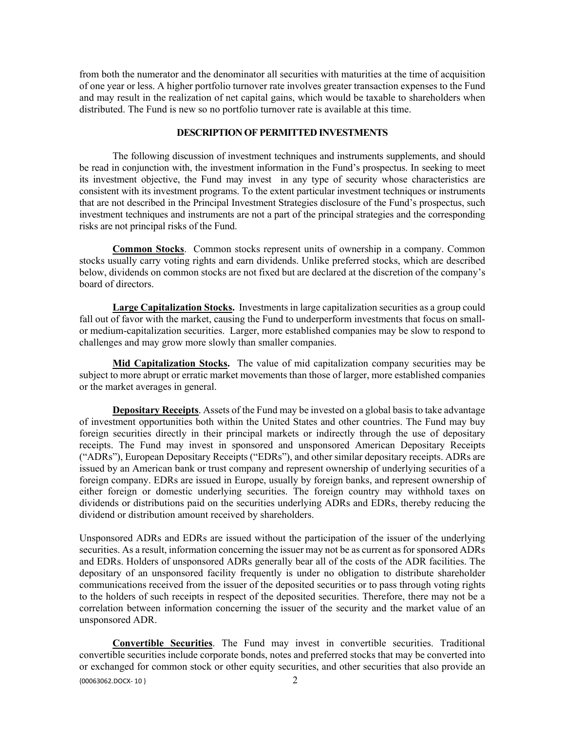from both the numerator and the denominator all securities with maturities at the time of acquisition of one year or less. A higher portfolio turnover rate involves greater transaction expenses to the Fund and may result in the realization of net capital gains, which would be taxable to shareholders when distributed. The Fund is new so no portfolio turnover rate is available at this time.

# **DESCRIPTION OF PERMITTED INVESTMENTS**

The following discussion of investment techniques and instruments supplements, and should be read in conjunction with, the investment information in the Fund's prospectus. In seeking to meet its investment objective, the Fund may invest in any type of security whose characteristics are consistent with its investment programs. To the extent particular investment techniques or instruments that are not described in the Principal Investment Strategies disclosure of the Fund's prospectus, such investment techniques and instruments are not a part of the principal strategies and the corresponding risks are not principal risks of the Fund.

**Common Stocks**. Common stocks represent units of ownership in a company. Common stocks usually carry voting rights and earn dividends. Unlike preferred stocks, which are described below, dividends on common stocks are not fixed but are declared at the discretion of the company's board of directors.

**Large Capitalization Stocks.** Investments in large capitalization securities as a group could fall out of favor with the market, causing the Fund to underperform investments that focus on smallor medium-capitalization securities. Larger, more established companies may be slow to respond to challenges and may grow more slowly than smaller companies.

**Mid Capitalization Stocks.**The value of mid capitalization company securities may be subject to more abrupt or erratic market movements than those of larger, more established companies or the market averages in general.

**Depositary Receipts**. Assets of the Fund may be invested on a global basis to take advantage of investment opportunities both within the United States and other countries. The Fund may buy foreign securities directly in their principal markets or indirectly through the use of depositary receipts. The Fund may invest in sponsored and unsponsored American Depositary Receipts ("ADRs"), European Depositary Receipts ("EDRs"), and other similar depositary receipts. ADRs are issued by an American bank or trust company and represent ownership of underlying securities of a foreign company. EDRs are issued in Europe, usually by foreign banks, and represent ownership of either foreign or domestic underlying securities. The foreign country may withhold taxes on dividends or distributions paid on the securities underlying ADRs and EDRs, thereby reducing the dividend or distribution amount received by shareholders.

Unsponsored ADRs and EDRs are issued without the participation of the issuer of the underlying securities. As a result, information concerning the issuer may not be as current as for sponsored ADRs and EDRs. Holders of unsponsored ADRs generally bear all of the costs of the ADR facilities. The depositary of an unsponsored facility frequently is under no obligation to distribute shareholder communications received from the issuer of the deposited securities or to pass through voting rights to the holders of such receipts in respect of the deposited securities. Therefore, there may not be a correlation between information concerning the issuer of the security and the market value of an unsponsored ADR.

{00063062.DOCX- 10 } 2 **Convertible Securities**. The Fund may invest in convertible securities. Traditional convertible securities include corporate bonds, notes and preferred stocks that may be converted into or exchanged for common stock or other equity securities, and other securities that also provide an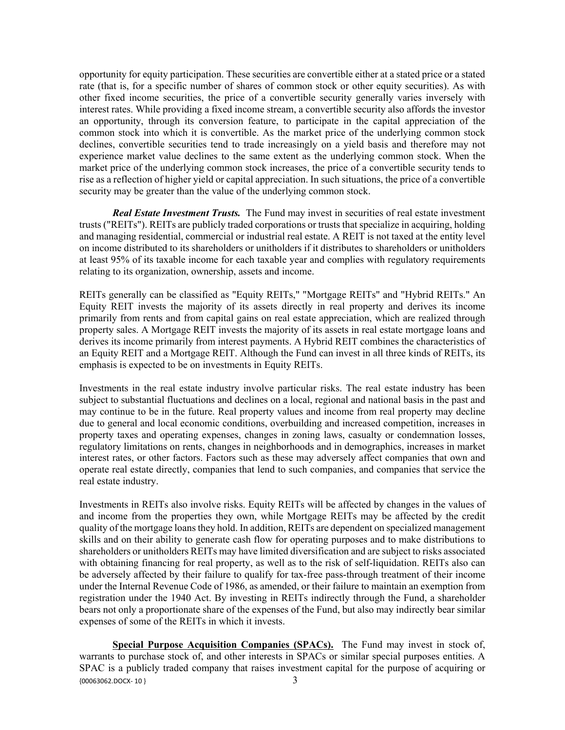opportunity for equity participation. These securities are convertible either at a stated price or a stated rate (that is, for a specific number of shares of common stock or other equity securities). As with other fixed income securities, the price of a convertible security generally varies inversely with interest rates. While providing a fixed income stream, a convertible security also affords the investor an opportunity, through its conversion feature, to participate in the capital appreciation of the common stock into which it is convertible. As the market price of the underlying common stock declines, convertible securities tend to trade increasingly on a yield basis and therefore may not experience market value declines to the same extent as the underlying common stock. When the market price of the underlying common stock increases, the price of a convertible security tends to rise as a reflection of higher yield or capital appreciation. In such situations, the price of a convertible security may be greater than the value of the underlying common stock.

*Real Estate Investment Trusts.* The Fund may invest in securities of real estate investment trusts ("REITs"). REITs are publicly traded corporations or trusts that specialize in acquiring, holding and managing residential, commercial or industrial real estate. A REIT is not taxed at the entity level on income distributed to its shareholders or unitholders if it distributes to shareholders or unitholders at least 95% of its taxable income for each taxable year and complies with regulatory requirements relating to its organization, ownership, assets and income.

REITs generally can be classified as "Equity REITs," "Mortgage REITs" and "Hybrid REITs." An Equity REIT invests the majority of its assets directly in real property and derives its income primarily from rents and from capital gains on real estate appreciation, which are realized through property sales. A Mortgage REIT invests the majority of its assets in real estate mortgage loans and derives its income primarily from interest payments. A Hybrid REIT combines the characteristics of an Equity REIT and a Mortgage REIT. Although the Fund can invest in all three kinds of REITs, its emphasis is expected to be on investments in Equity REITs.

Investments in the real estate industry involve particular risks. The real estate industry has been subject to substantial fluctuations and declines on a local, regional and national basis in the past and may continue to be in the future. Real property values and income from real property may decline due to general and local economic conditions, overbuilding and increased competition, increases in property taxes and operating expenses, changes in zoning laws, casualty or condemnation losses, regulatory limitations on rents, changes in neighborhoods and in demographics, increases in market interest rates, or other factors. Factors such as these may adversely affect companies that own and operate real estate directly, companies that lend to such companies, and companies that service the real estate industry.

Investments in REITs also involve risks. Equity REITs will be affected by changes in the values of and income from the properties they own, while Mortgage REITs may be affected by the credit quality of the mortgage loans they hold. In addition, REITs are dependent on specialized management skills and on their ability to generate cash flow for operating purposes and to make distributions to shareholders or unitholders REITs may have limited diversification and are subject to risks associated with obtaining financing for real property, as well as to the risk of self-liquidation. REITs also can be adversely affected by their failure to qualify for tax-free pass-through treatment of their income under the Internal Revenue Code of 1986, as amended, or their failure to maintain an exemption from registration under the 1940 Act. By investing in REITs indirectly through the Fund, a shareholder bears not only a proportionate share of the expenses of the Fund, but also may indirectly bear similar expenses of some of the REITs in which it invests.

 ${00063062.DOCX- 10}$  3 **Special Purpose Acquisition Companies (SPACs).** The Fund may invest in stock of, warrants to purchase stock of, and other interests in SPACs or similar special purposes entities. A SPAC is a publicly traded company that raises investment capital for the purpose of acquiring or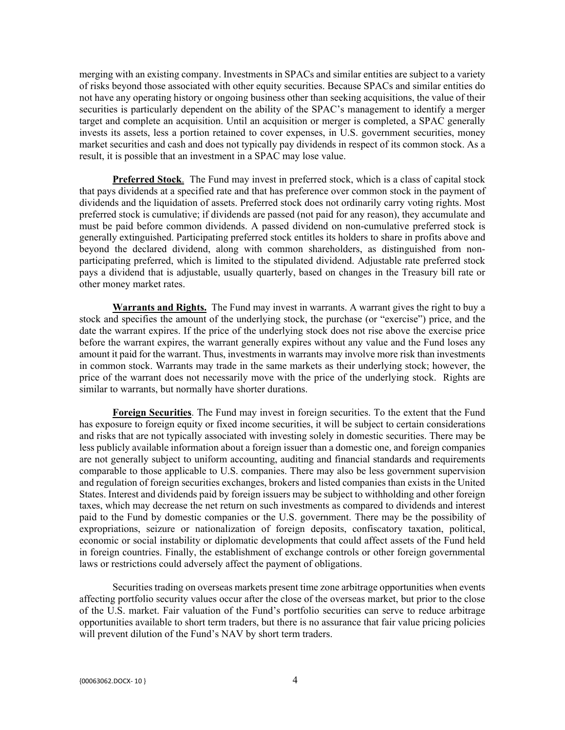merging with an existing company. Investments in SPACs and similar entities are subject to a variety of risks beyond those associated with other equity securities. Because SPACs and similar entities do not have any operating history or ongoing business other than seeking acquisitions, the value of their securities is particularly dependent on the ability of the SPAC's management to identify a merger target and complete an acquisition. Until an acquisition or merger is completed, a SPAC generally invests its assets, less a portion retained to cover expenses, in U.S. government securities, money market securities and cash and does not typically pay dividends in respect of its common stock. As a result, it is possible that an investment in a SPAC may lose value.

**Preferred Stock**. The Fund may invest in preferred stock, which is a class of capital stock that pays dividends at a specified rate and that has preference over common stock in the payment of dividends and the liquidation of assets. Preferred stock does not ordinarily carry voting rights. Most preferred stock is cumulative; if dividends are passed (not paid for any reason), they accumulate and must be paid before common dividends. A passed dividend on non-cumulative preferred stock is generally extinguished. Participating preferred stock entitles its holders to share in profits above and beyond the declared dividend, along with common shareholders, as distinguished from nonparticipating preferred, which is limited to the stipulated dividend. Adjustable rate preferred stock pays a dividend that is adjustable, usually quarterly, based on changes in the Treasury bill rate or other money market rates.

**Warrants and Rights.** The Fund may invest in warrants. A warrant gives the right to buy a stock and specifies the amount of the underlying stock, the purchase (or "exercise") price, and the date the warrant expires. If the price of the underlying stock does not rise above the exercise price before the warrant expires, the warrant generally expires without any value and the Fund loses any amount it paid for the warrant. Thus, investments in warrants may involve more risk than investments in common stock. Warrants may trade in the same markets as their underlying stock; however, the price of the warrant does not necessarily move with the price of the underlying stock. Rights are similar to warrants, but normally have shorter durations.

**Foreign Securities**. The Fund may invest in foreign securities. To the extent that the Fund has exposure to foreign equity or fixed income securities, it will be subject to certain considerations and risks that are not typically associated with investing solely in domestic securities. There may be less publicly available information about a foreign issuer than a domestic one, and foreign companies are not generally subject to uniform accounting, auditing and financial standards and requirements comparable to those applicable to U.S. companies. There may also be less government supervision and regulation of foreign securities exchanges, brokers and listed companies than exists in the United States. Interest and dividends paid by foreign issuers may be subject to withholding and other foreign taxes, which may decrease the net return on such investments as compared to dividends and interest paid to the Fund by domestic companies or the U.S. government. There may be the possibility of expropriations, seizure or nationalization of foreign deposits, confiscatory taxation, political, economic or social instability or diplomatic developments that could affect assets of the Fund held in foreign countries. Finally, the establishment of exchange controls or other foreign governmental laws or restrictions could adversely affect the payment of obligations.

Securities trading on overseas markets present time zone arbitrage opportunities when events affecting portfolio security values occur after the close of the overseas market, but prior to the close of the U.S. market. Fair valuation of the Fund's portfolio securities can serve to reduce arbitrage opportunities available to short term traders, but there is no assurance that fair value pricing policies will prevent dilution of the Fund's NAV by short term traders.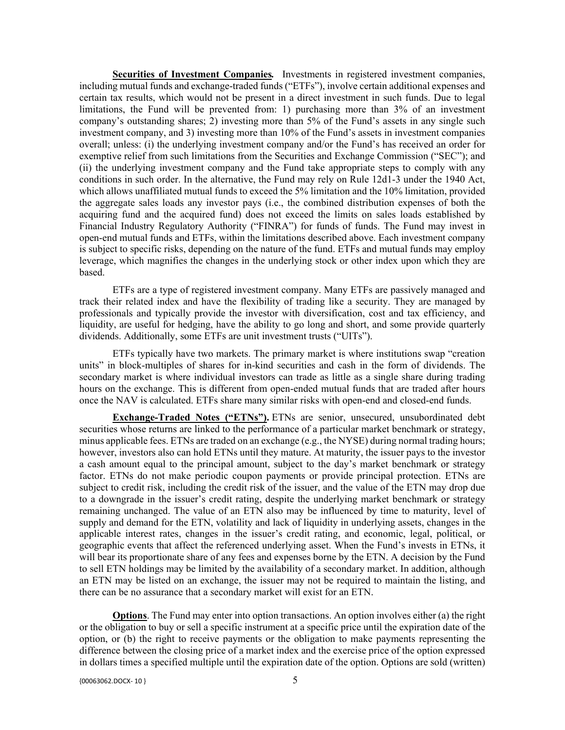**Securities of Investment Companies***.* Investments in registered investment companies, including mutual funds and exchange-traded funds ("ETFs"), involve certain additional expenses and certain tax results, which would not be present in a direct investment in such funds. Due to legal limitations, the Fund will be prevented from: 1) purchasing more than 3% of an investment company's outstanding shares; 2) investing more than 5% of the Fund's assets in any single such investment company, and 3) investing more than 10% of the Fund's assets in investment companies overall; unless: (i) the underlying investment company and/or the Fund's has received an order for exemptive relief from such limitations from the Securities and Exchange Commission ("SEC"); and (ii) the underlying investment company and the Fund take appropriate steps to comply with any conditions in such order. In the alternative, the Fund may rely on Rule 12d1-3 under the 1940 Act, which allows unaffiliated mutual funds to exceed the 5% limitation and the 10% limitation, provided the aggregate sales loads any investor pays (i.e., the combined distribution expenses of both the acquiring fund and the acquired fund) does not exceed the limits on sales loads established by Financial Industry Regulatory Authority ("FINRA") for funds of funds. The Fund may invest in open-end mutual funds and ETFs, within the limitations described above. Each investment company is subject to specific risks, depending on the nature of the fund. ETFs and mutual funds may employ leverage, which magnifies the changes in the underlying stock or other index upon which they are based.

ETFs are a type of registered investment company. Many ETFs are passively managed and track their related index and have the flexibility of trading like a security. They are managed by professionals and typically provide the investor with diversification, cost and tax efficiency, and liquidity, are useful for hedging, have the ability to go long and short, and some provide quarterly dividends. Additionally, some ETFs are unit investment trusts ("UITs").

ETFs typically have two markets. The primary market is where institutions swap "creation units" in block-multiples of shares for in-kind securities and cash in the form of dividends. The secondary market is where individual investors can trade as little as a single share during trading hours on the exchange. This is different from open-ended mutual funds that are traded after hours once the NAV is calculated. ETFs share many similar risks with open-end and closed-end funds.

**Exchange-Traded Notes ("ETNs").** ETNs are senior, unsecured, unsubordinated debt securities whose returns are linked to the performance of a particular market benchmark or strategy, minus applicable fees. ETNs are traded on an exchange (e.g., the NYSE) during normal trading hours; however, investors also can hold ETNs until they mature. At maturity, the issuer pays to the investor a cash amount equal to the principal amount, subject to the day's market benchmark or strategy factor. ETNs do not make periodic coupon payments or provide principal protection. ETNs are subject to credit risk, including the credit risk of the issuer, and the value of the ETN may drop due to a downgrade in the issuer's credit rating, despite the underlying market benchmark or strategy remaining unchanged. The value of an ETN also may be influenced by time to maturity, level of supply and demand for the ETN, volatility and lack of liquidity in underlying assets, changes in the applicable interest rates, changes in the issuer's credit rating, and economic, legal, political, or geographic events that affect the referenced underlying asset. When the Fund's invests in ETNs, it will bear its proportionate share of any fees and expenses borne by the ETN. A decision by the Fund to sell ETN holdings may be limited by the availability of a secondary market. In addition, although an ETN may be listed on an exchange, the issuer may not be required to maintain the listing, and there can be no assurance that a secondary market will exist for an ETN.

**Options**. The Fund may enter into option transactions. An option involves either (a) the right or the obligation to buy or sell a specific instrument at a specific price until the expiration date of the option, or (b) the right to receive payments or the obligation to make payments representing the difference between the closing price of a market index and the exercise price of the option expressed in dollars times a specified multiple until the expiration date of the option. Options are sold (written)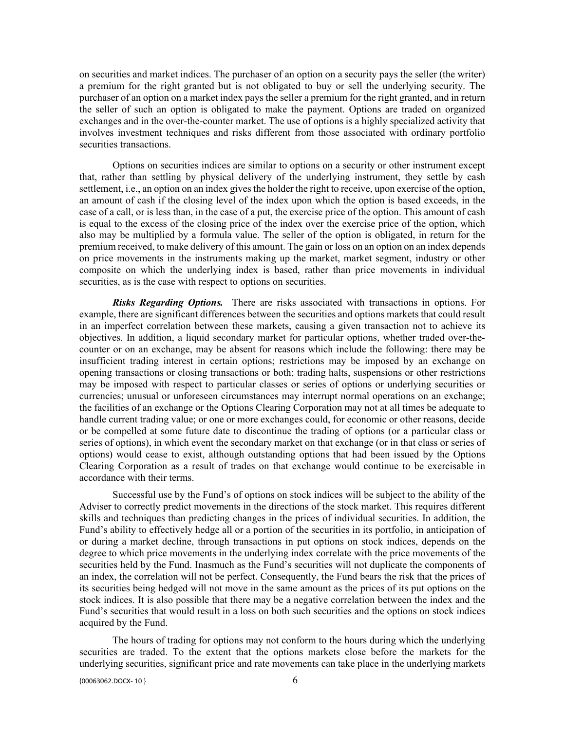on securities and market indices. The purchaser of an option on a security pays the seller (the writer) a premium for the right granted but is not obligated to buy or sell the underlying security. The purchaser of an option on a market index pays the seller a premium for the right granted, and in return the seller of such an option is obligated to make the payment. Options are traded on organized exchanges and in the over-the-counter market. The use of options is a highly specialized activity that involves investment techniques and risks different from those associated with ordinary portfolio securities transactions.

Options on securities indices are similar to options on a security or other instrument except that, rather than settling by physical delivery of the underlying instrument, they settle by cash settlement, i.e., an option on an index gives the holder the right to receive, upon exercise of the option, an amount of cash if the closing level of the index upon which the option is based exceeds, in the case of a call, or is less than, in the case of a put, the exercise price of the option. This amount of cash is equal to the excess of the closing price of the index over the exercise price of the option, which also may be multiplied by a formula value. The seller of the option is obligated, in return for the premium received, to make delivery of this amount. The gain or loss on an option on an index depends on price movements in the instruments making up the market, market segment, industry or other composite on which the underlying index is based, rather than price movements in individual securities, as is the case with respect to options on securities.

*Risks Regarding Options.* There are risks associated with transactions in options. For example, there are significant differences between the securities and options markets that could result in an imperfect correlation between these markets, causing a given transaction not to achieve its objectives. In addition, a liquid secondary market for particular options, whether traded over-thecounter or on an exchange, may be absent for reasons which include the following: there may be insufficient trading interest in certain options; restrictions may be imposed by an exchange on opening transactions or closing transactions or both; trading halts, suspensions or other restrictions may be imposed with respect to particular classes or series of options or underlying securities or currencies; unusual or unforeseen circumstances may interrupt normal operations on an exchange; the facilities of an exchange or the Options Clearing Corporation may not at all times be adequate to handle current trading value; or one or more exchanges could, for economic or other reasons, decide or be compelled at some future date to discontinue the trading of options (or a particular class or series of options), in which event the secondary market on that exchange (or in that class or series of options) would cease to exist, although outstanding options that had been issued by the Options Clearing Corporation as a result of trades on that exchange would continue to be exercisable in accordance with their terms.

Successful use by the Fund's of options on stock indices will be subject to the ability of the Adviser to correctly predict movements in the directions of the stock market. This requires different skills and techniques than predicting changes in the prices of individual securities. In addition, the Fund's ability to effectively hedge all or a portion of the securities in its portfolio, in anticipation of or during a market decline, through transactions in put options on stock indices, depends on the degree to which price movements in the underlying index correlate with the price movements of the securities held by the Fund. Inasmuch as the Fund's securities will not duplicate the components of an index, the correlation will not be perfect. Consequently, the Fund bears the risk that the prices of its securities being hedged will not move in the same amount as the prices of its put options on the stock indices. It is also possible that there may be a negative correlation between the index and the Fund's securities that would result in a loss on both such securities and the options on stock indices acquired by the Fund.

The hours of trading for options may not conform to the hours during which the underlying securities are traded. To the extent that the options markets close before the markets for the underlying securities, significant price and rate movements can take place in the underlying markets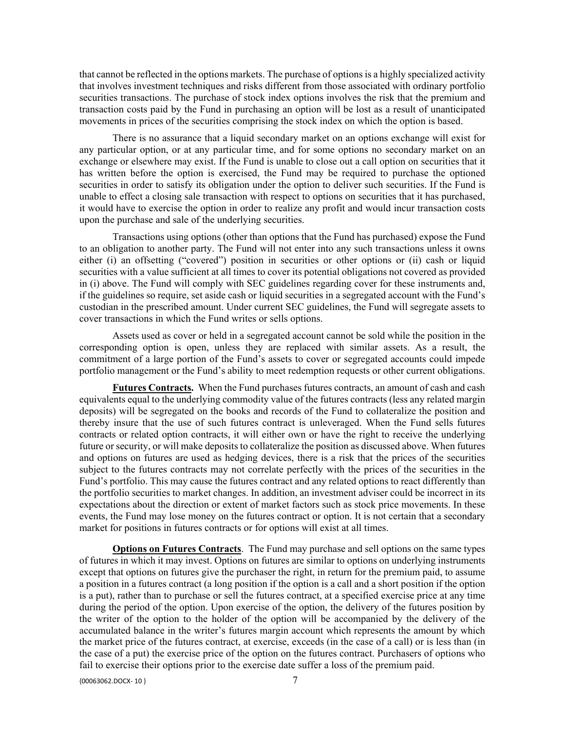that cannot be reflected in the options markets. The purchase of options is a highly specialized activity that involves investment techniques and risks different from those associated with ordinary portfolio securities transactions. The purchase of stock index options involves the risk that the premium and transaction costs paid by the Fund in purchasing an option will be lost as a result of unanticipated movements in prices of the securities comprising the stock index on which the option is based.

There is no assurance that a liquid secondary market on an options exchange will exist for any particular option, or at any particular time, and for some options no secondary market on an exchange or elsewhere may exist. If the Fund is unable to close out a call option on securities that it has written before the option is exercised, the Fund may be required to purchase the optioned securities in order to satisfy its obligation under the option to deliver such securities. If the Fund is unable to effect a closing sale transaction with respect to options on securities that it has purchased, it would have to exercise the option in order to realize any profit and would incur transaction costs upon the purchase and sale of the underlying securities.

Transactions using options (other than options that the Fund has purchased) expose the Fund to an obligation to another party. The Fund will not enter into any such transactions unless it owns either (i) an offsetting ("covered") position in securities or other options or (ii) cash or liquid securities with a value sufficient at all times to cover its potential obligations not covered as provided in (i) above. The Fund will comply with SEC guidelines regarding cover for these instruments and, if the guidelines so require, set aside cash or liquid securities in a segregated account with the Fund's custodian in the prescribed amount. Under current SEC guidelines, the Fund will segregate assets to cover transactions in which the Fund writes or sells options.

Assets used as cover or held in a segregated account cannot be sold while the position in the corresponding option is open, unless they are replaced with similar assets. As a result, the commitment of a large portion of the Fund's assets to cover or segregated accounts could impede portfolio management or the Fund's ability to meet redemption requests or other current obligations.

**Futures Contracts.** When the Fund purchases futures contracts, an amount of cash and cash equivalents equal to the underlying commodity value of the futures contracts (less any related margin deposits) will be segregated on the books and records of the Fund to collateralize the position and thereby insure that the use of such futures contract is unleveraged. When the Fund sells futures contracts or related option contracts, it will either own or have the right to receive the underlying future or security, or will make deposits to collateralize the position as discussed above. When futures and options on futures are used as hedging devices, there is a risk that the prices of the securities subject to the futures contracts may not correlate perfectly with the prices of the securities in the Fund's portfolio. This may cause the futures contract and any related options to react differently than the portfolio securities to market changes. In addition, an investment adviser could be incorrect in its expectations about the direction or extent of market factors such as stock price movements. In these events, the Fund may lose money on the futures contract or option. It is not certain that a secondary market for positions in futures contracts or for options will exist at all times.

**Options on Futures Contracts**. The Fund may purchase and sell options on the same types of futures in which it may invest. Options on futures are similar to options on underlying instruments except that options on futures give the purchaser the right, in return for the premium paid, to assume a position in a futures contract (a long position if the option is a call and a short position if the option is a put), rather than to purchase or sell the futures contract, at a specified exercise price at any time during the period of the option. Upon exercise of the option, the delivery of the futures position by the writer of the option to the holder of the option will be accompanied by the delivery of the accumulated balance in the writer's futures margin account which represents the amount by which the market price of the futures contract, at exercise, exceeds (in the case of a call) or is less than (in the case of a put) the exercise price of the option on the futures contract. Purchasers of options who fail to exercise their options prior to the exercise date suffer a loss of the premium paid.

 ${00063062.DOCX- 10}$   $7$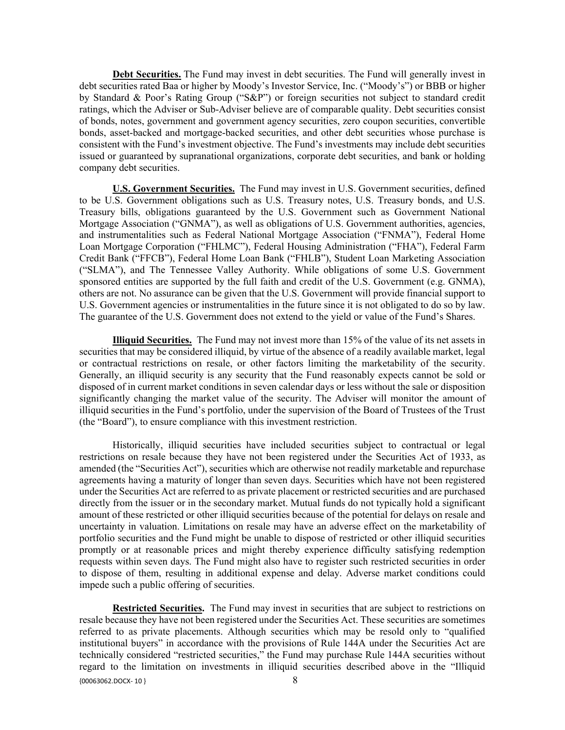**Debt Securities.** The Fund may invest in debt securities. The Fund will generally invest in debt securities rated Baa or higher by Moody's Investor Service, Inc. ("Moody's") or BBB or higher by Standard & Poor's Rating Group ("S&P") or foreign securities not subject to standard credit ratings, which the Adviser or Sub-Adviser believe are of comparable quality. Debt securities consist of bonds, notes, government and government agency securities, zero coupon securities, convertible bonds, asset-backed and mortgage-backed securities, and other debt securities whose purchase is consistent with the Fund's investment objective. The Fund's investments may include debt securities issued or guaranteed by supranational organizations, corporate debt securities, and bank or holding company debt securities.

**U.S. Government Securities.** The Fund may invest in U.S. Government securities, defined to be U.S. Government obligations such as U.S. Treasury notes, U.S. Treasury bonds, and U.S. Treasury bills, obligations guaranteed by the U.S. Government such as Government National Mortgage Association ("GNMA"), as well as obligations of U.S. Government authorities, agencies, and instrumentalities such as Federal National Mortgage Association ("FNMA"), Federal Home Loan Mortgage Corporation ("FHLMC"), Federal Housing Administration ("FHA"), Federal Farm Credit Bank ("FFCB"), Federal Home Loan Bank ("FHLB"), Student Loan Marketing Association ("SLMA"), and The Tennessee Valley Authority. While obligations of some U.S. Government sponsored entities are supported by the full faith and credit of the U.S. Government (e.g. GNMA), others are not. No assurance can be given that the U.S. Government will provide financial support to U.S. Government agencies or instrumentalities in the future since it is not obligated to do so by law. The guarantee of the U.S. Government does not extend to the yield or value of the Fund's Shares.

**Illiquid Securities.** The Fund may not invest more than 15% of the value of its net assets in securities that may be considered illiquid, by virtue of the absence of a readily available market, legal or contractual restrictions on resale, or other factors limiting the marketability of the security. Generally, an illiquid security is any security that the Fund reasonably expects cannot be sold or disposed of in current market conditions in seven calendar days or less without the sale or disposition significantly changing the market value of the security. The Adviser will monitor the amount of illiquid securities in the Fund's portfolio, under the supervision of the Board of Trustees of the Trust (the "Board"), to ensure compliance with this investment restriction.

Historically, illiquid securities have included securities subject to contractual or legal restrictions on resale because they have not been registered under the Securities Act of 1933, as amended (the "Securities Act"), securities which are otherwise not readily marketable and repurchase agreements having a maturity of longer than seven days. Securities which have not been registered under the Securities Act are referred to as private placement or restricted securities and are purchased directly from the issuer or in the secondary market. Mutual funds do not typically hold a significant amount of these restricted or other illiquid securities because of the potential for delays on resale and uncertainty in valuation. Limitations on resale may have an adverse effect on the marketability of portfolio securities and the Fund might be unable to dispose of restricted or other illiquid securities promptly or at reasonable prices and might thereby experience difficulty satisfying redemption requests within seven days. The Fund might also have to register such restricted securities in order to dispose of them, resulting in additional expense and delay. Adverse market conditions could impede such a public offering of securities.

 ${0.888662,}$  and  ${8.888662,}$  and  ${8.888662,}$ **Restricted Securities.** The Fund may invest in securities that are subject to restrictions on resale because they have not been registered under the Securities Act. These securities are sometimes referred to as private placements. Although securities which may be resold only to "qualified institutional buyers" in accordance with the provisions of Rule 144A under the Securities Act are technically considered "restricted securities," the Fund may purchase Rule 144A securities without regard to the limitation on investments in illiquid securities described above in the "Illiquid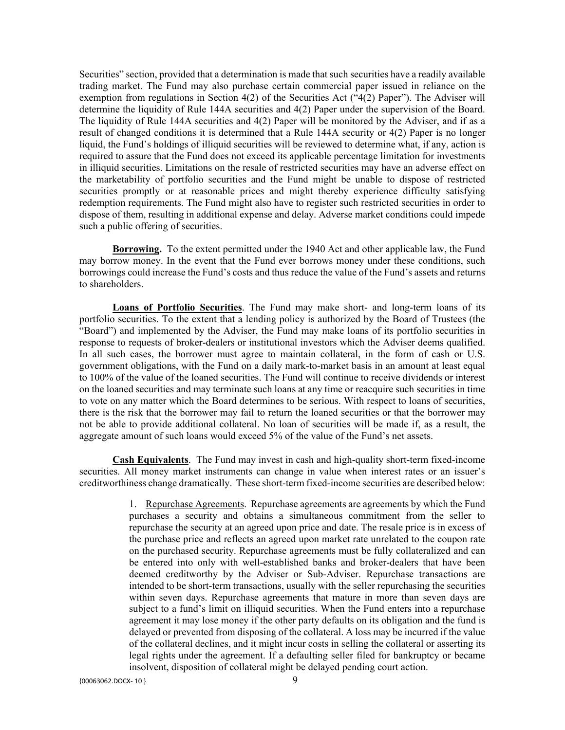Securities" section, provided that a determination is made that such securities have a readily available trading market. The Fund may also purchase certain commercial paper issued in reliance on the exemption from regulations in Section 4(2) of the Securities Act ("4(2) Paper"). The Adviser will determine the liquidity of Rule 144A securities and 4(2) Paper under the supervision of the Board. The liquidity of Rule 144A securities and 4(2) Paper will be monitored by the Adviser, and if as a result of changed conditions it is determined that a Rule 144A security or 4(2) Paper is no longer liquid, the Fund's holdings of illiquid securities will be reviewed to determine what, if any, action is required to assure that the Fund does not exceed its applicable percentage limitation for investments in illiquid securities. Limitations on the resale of restricted securities may have an adverse effect on the marketability of portfolio securities and the Fund might be unable to dispose of restricted securities promptly or at reasonable prices and might thereby experience difficulty satisfying redemption requirements. The Fund might also have to register such restricted securities in order to dispose of them, resulting in additional expense and delay. Adverse market conditions could impede such a public offering of securities.

**Borrowing.** To the extent permitted under the 1940 Act and other applicable law, the Fund may borrow money. In the event that the Fund ever borrows money under these conditions, such borrowings could increase the Fund's costs and thus reduce the value of the Fund's assets and returns to shareholders.

**Loans of Portfolio Securities**. The Fund may make short- and long-term loans of its portfolio securities. To the extent that a lending policy is authorized by the Board of Trustees (the "Board") and implemented by the Adviser, the Fund may make loans of its portfolio securities in response to requests of broker-dealers or institutional investors which the Adviser deems qualified. In all such cases, the borrower must agree to maintain collateral, in the form of cash or U.S. government obligations, with the Fund on a daily mark-to-market basis in an amount at least equal to 100% of the value of the loaned securities. The Fund will continue to receive dividends or interest on the loaned securities and may terminate such loans at any time or reacquire such securities in time to vote on any matter which the Board determines to be serious. With respect to loans of securities, there is the risk that the borrower may fail to return the loaned securities or that the borrower may not be able to provide additional collateral. No loan of securities will be made if, as a result, the aggregate amount of such loans would exceed 5% of the value of the Fund's net assets.

**Cash Equivalents**. The Fund may invest in cash and high-quality short-term fixed-income securities. All money market instruments can change in value when interest rates or an issuer's creditworthiness change dramatically. These short-term fixed-income securities are described below:

> 1. Repurchase Agreements. Repurchase agreements are agreements by which the Fund purchases a security and obtains a simultaneous commitment from the seller to repurchase the security at an agreed upon price and date. The resale price is in excess of the purchase price and reflects an agreed upon market rate unrelated to the coupon rate on the purchased security. Repurchase agreements must be fully collateralized and can be entered into only with well-established banks and broker-dealers that have been deemed creditworthy by the Adviser or Sub-Adviser. Repurchase transactions are intended to be short-term transactions, usually with the seller repurchasing the securities within seven days. Repurchase agreements that mature in more than seven days are subject to a fund's limit on illiquid securities. When the Fund enters into a repurchase agreement it may lose money if the other party defaults on its obligation and the fund is delayed or prevented from disposing of the collateral. A loss may be incurred if the value of the collateral declines, and it might incur costs in selling the collateral or asserting its legal rights under the agreement. If a defaulting seller filed for bankruptcy or became insolvent, disposition of collateral might be delayed pending court action.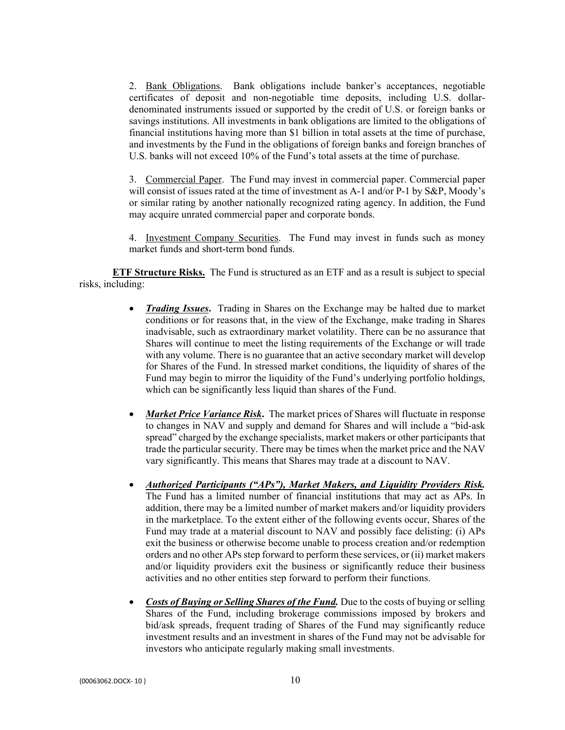2. Bank Obligations. Bank obligations include banker's acceptances, negotiable certificates of deposit and non-negotiable time deposits, including U.S. dollardenominated instruments issued or supported by the credit of U.S. or foreign banks or savings institutions. All investments in bank obligations are limited to the obligations of financial institutions having more than \$1 billion in total assets at the time of purchase, and investments by the Fund in the obligations of foreign banks and foreign branches of U.S. banks will not exceed 10% of the Fund's total assets at the time of purchase.

3. Commercial Paper. The Fund may invest in commercial paper. Commercial paper will consist of issues rated at the time of investment as A-1 and/or P-1 by S&P, Moody's or similar rating by another nationally recognized rating agency. In addition, the Fund may acquire unrated commercial paper and corporate bonds.

4. Investment Company Securities. The Fund may invest in funds such as money market funds and short-term bond funds.

**ETF Structure Risks.** The Fund is structured as an ETF and as a result is subject to special risks, including:

- *Trading Issues***.** Trading in Shares on the Exchange may be halted due to market conditions or for reasons that, in the view of the Exchange, make trading in Shares inadvisable, such as extraordinary market volatility. There can be no assurance that Shares will continue to meet the listing requirements of the Exchange or will trade with any volume. There is no guarantee that an active secondary market will develop for Shares of the Fund. In stressed market conditions, the liquidity of shares of the Fund may begin to mirror the liquidity of the Fund's underlying portfolio holdings, which can be significantly less liquid than shares of the Fund.
- *Market Price Variance Risk***.** The market prices of Shares will fluctuate in response to changes in NAV and supply and demand for Shares and will include a "bid-ask spread" charged by the exchange specialists, market makers or other participants that trade the particular security. There may be times when the market price and the NAV vary significantly. This means that Shares may trade at a discount to NAV.
- *Authorized Participants ("APs"), Market Makers, and Liquidity Providers Risk.*  The Fund has a limited number of financial institutions that may act as APs. In addition, there may be a limited number of market makers and/or liquidity providers in the marketplace. To the extent either of the following events occur, Shares of the Fund may trade at a material discount to NAV and possibly face delisting: (i) APs exit the business or otherwise become unable to process creation and/or redemption orders and no other APs step forward to perform these services, or (ii) market makers and/or liquidity providers exit the business or significantly reduce their business activities and no other entities step forward to perform their functions.
- *Costs of Buying or Selling Shares of the Fund.* Due to the costs of buying or selling Shares of the Fund, including brokerage commissions imposed by brokers and bid/ask spreads, frequent trading of Shares of the Fund may significantly reduce investment results and an investment in shares of the Fund may not be advisable for investors who anticipate regularly making small investments.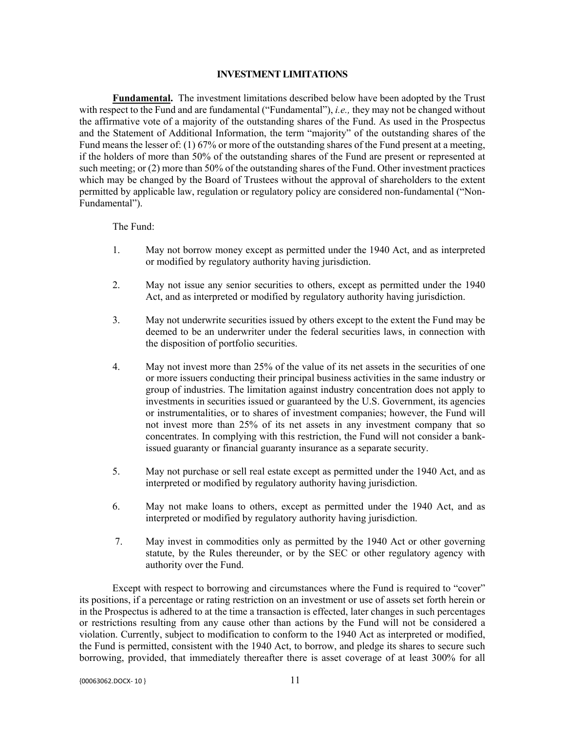#### **INVESTMENT LIMITATIONS**

**Fundamental.** The investment limitations described below have been adopted by the Trust with respect to the Fund and are fundamental ("Fundamental"), *i.e.,* they may not be changed without the affirmative vote of a majority of the outstanding shares of the Fund. As used in the Prospectus and the Statement of Additional Information, the term "majority" of the outstanding shares of the Fund means the lesser of: (1) 67% or more of the outstanding shares of the Fund present at a meeting, if the holders of more than 50% of the outstanding shares of the Fund are present or represented at such meeting; or (2) more than 50% of the outstanding shares of the Fund. Other investment practices which may be changed by the Board of Trustees without the approval of shareholders to the extent permitted by applicable law, regulation or regulatory policy are considered non-fundamental ("Non-Fundamental").

#### The Fund:

- 1. May not borrow money except as permitted under the 1940 Act, and as interpreted or modified by regulatory authority having jurisdiction.
- 2. May not issue any senior securities to others, except as permitted under the 1940 Act, and as interpreted or modified by regulatory authority having jurisdiction.
- 3. May not underwrite securities issued by others except to the extent the Fund may be deemed to be an underwriter under the federal securities laws, in connection with the disposition of portfolio securities.
- 4. May not invest more than 25% of the value of its net assets in the securities of one or more issuers conducting their principal business activities in the same industry or group of industries. The limitation against industry concentration does not apply to investments in securities issued or guaranteed by the U.S. Government, its agencies or instrumentalities, or to shares of investment companies; however, the Fund will not invest more than 25% of its net assets in any investment company that so concentrates. In complying with this restriction, the Fund will not consider a bankissued guaranty or financial guaranty insurance as a separate security.
- 5. May not purchase or sell real estate except as permitted under the 1940 Act, and as interpreted or modified by regulatory authority having jurisdiction.
- 6. May not make loans to others, except as permitted under the 1940 Act, and as interpreted or modified by regulatory authority having jurisdiction.
- 7. May invest in commodities only as permitted by the 1940 Act or other governing statute, by the Rules thereunder, or by the SEC or other regulatory agency with authority over the Fund.

Except with respect to borrowing and circumstances where the Fund is required to "cover" its positions, if a percentage or rating restriction on an investment or use of assets set forth herein or in the Prospectus is adhered to at the time a transaction is effected, later changes in such percentages or restrictions resulting from any cause other than actions by the Fund will not be considered a violation. Currently, subject to modification to conform to the 1940 Act as interpreted or modified, the Fund is permitted, consistent with the 1940 Act, to borrow, and pledge its shares to secure such borrowing, provided, that immediately thereafter there is asset coverage of at least 300% for all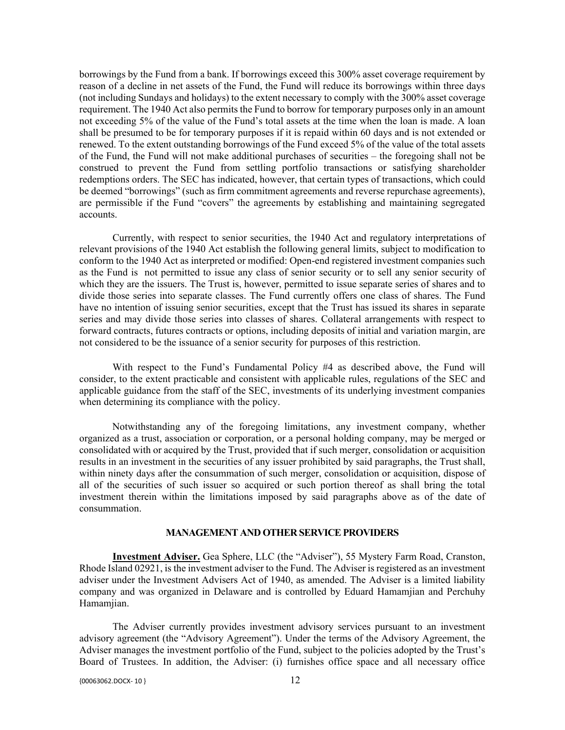borrowings by the Fund from a bank. If borrowings exceed this 300% asset coverage requirement by reason of a decline in net assets of the Fund, the Fund will reduce its borrowings within three days (not including Sundays and holidays) to the extent necessary to comply with the 300% asset coverage requirement. The 1940 Act also permits the Fund to borrow for temporary purposes only in an amount not exceeding 5% of the value of the Fund's total assets at the time when the loan is made. A loan shall be presumed to be for temporary purposes if it is repaid within 60 days and is not extended or renewed. To the extent outstanding borrowings of the Fund exceed 5% of the value of the total assets of the Fund, the Fund will not make additional purchases of securities – the foregoing shall not be construed to prevent the Fund from settling portfolio transactions or satisfying shareholder redemptions orders. The SEC has indicated, however, that certain types of transactions, which could be deemed "borrowings" (such as firm commitment agreements and reverse repurchase agreements), are permissible if the Fund "covers" the agreements by establishing and maintaining segregated accounts.

Currently, with respect to senior securities, the 1940 Act and regulatory interpretations of relevant provisions of the 1940 Act establish the following general limits, subject to modification to conform to the 1940 Act as interpreted or modified: Open-end registered investment companies such as the Fund is not permitted to issue any class of senior security or to sell any senior security of which they are the issuers. The Trust is, however, permitted to issue separate series of shares and to divide those series into separate classes. The Fund currently offers one class of shares. The Fund have no intention of issuing senior securities, except that the Trust has issued its shares in separate series and may divide those series into classes of shares. Collateral arrangements with respect to forward contracts, futures contracts or options, including deposits of initial and variation margin, are not considered to be the issuance of a senior security for purposes of this restriction.

With respect to the Fund's Fundamental Policy #4 as described above, the Fund will consider, to the extent practicable and consistent with applicable rules, regulations of the SEC and applicable guidance from the staff of the SEC, investments of its underlying investment companies when determining its compliance with the policy.

Notwithstanding any of the foregoing limitations, any investment company, whether organized as a trust, association or corporation, or a personal holding company, may be merged or consolidated with or acquired by the Trust, provided that if such merger, consolidation or acquisition results in an investment in the securities of any issuer prohibited by said paragraphs, the Trust shall, within ninety days after the consummation of such merger, consolidation or acquisition, dispose of all of the securities of such issuer so acquired or such portion thereof as shall bring the total investment therein within the limitations imposed by said paragraphs above as of the date of consummation.

### **MANAGEMENT AND OTHER SERVICE PROVIDERS**

**Investment Adviser.** Gea Sphere, LLC (the "Adviser"), 55 Mystery Farm Road, Cranston, Rhode Island 02921, is the investment adviser to the Fund. The Adviser is registered as an investment adviser under the Investment Advisers Act of 1940, as amended. The Adviser is a limited liability company and was organized in Delaware and is controlled by Eduard Hamamjian and Perchuhy Hamamjian.

The Adviser currently provides investment advisory services pursuant to an investment advisory agreement (the "Advisory Agreement"). Under the terms of the Advisory Agreement, the Adviser manages the investment portfolio of the Fund, subject to the policies adopted by the Trust's Board of Trustees. In addition, the Adviser: (i) furnishes office space and all necessary office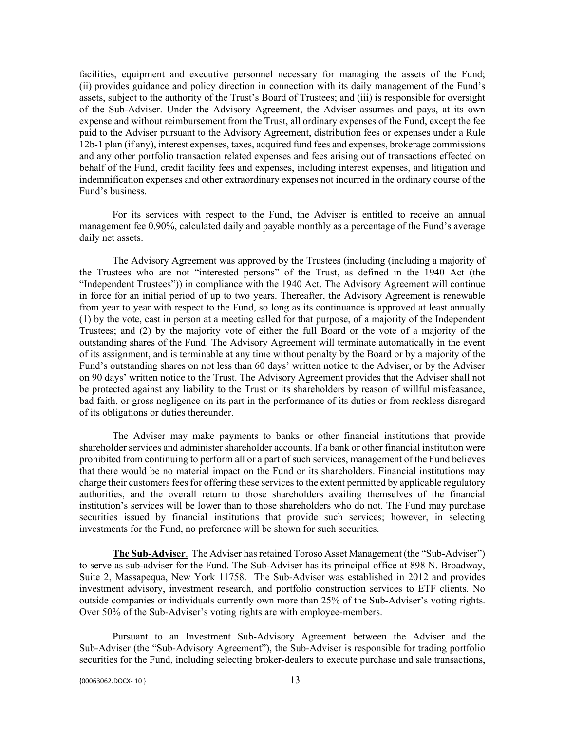facilities, equipment and executive personnel necessary for managing the assets of the Fund; (ii) provides guidance and policy direction in connection with its daily management of the Fund's assets, subject to the authority of the Trust's Board of Trustees; and (iii) is responsible for oversight of the Sub-Adviser. Under the Advisory Agreement, the Adviser assumes and pays, at its own expense and without reimbursement from the Trust, all ordinary expenses of the Fund, except the fee paid to the Adviser pursuant to the Advisory Agreement, distribution fees or expenses under a Rule 12b-1 plan (if any), interest expenses, taxes, acquired fund fees and expenses, brokerage commissions and any other portfolio transaction related expenses and fees arising out of transactions effected on behalf of the Fund, credit facility fees and expenses, including interest expenses, and litigation and indemnification expenses and other extraordinary expenses not incurred in the ordinary course of the Fund's business.

For its services with respect to the Fund, the Adviser is entitled to receive an annual management fee 0.90%, calculated daily and payable monthly as a percentage of the Fund's average daily net assets.

The Advisory Agreement was approved by the Trustees (including (including a majority of the Trustees who are not "interested persons" of the Trust, as defined in the 1940 Act (the "Independent Trustees")) in compliance with the 1940 Act. The Advisory Agreement will continue in force for an initial period of up to two years. Thereafter, the Advisory Agreement is renewable from year to year with respect to the Fund, so long as its continuance is approved at least annually (1) by the vote, cast in person at a meeting called for that purpose, of a majority of the Independent Trustees; and (2) by the majority vote of either the full Board or the vote of a majority of the outstanding shares of the Fund. The Advisory Agreement will terminate automatically in the event of its assignment, and is terminable at any time without penalty by the Board or by a majority of the Fund's outstanding shares on not less than 60 days' written notice to the Adviser, or by the Adviser on 90 days' written notice to the Trust. The Advisory Agreement provides that the Adviser shall not be protected against any liability to the Trust or its shareholders by reason of willful misfeasance, bad faith, or gross negligence on its part in the performance of its duties or from reckless disregard of its obligations or duties thereunder.

The Adviser may make payments to banks or other financial institutions that provide shareholder services and administer shareholder accounts. If a bank or other financial institution were prohibited from continuing to perform all or a part of such services, management of the Fund believes that there would be no material impact on the Fund or its shareholders. Financial institutions may charge their customers fees for offering these services to the extent permitted by applicable regulatory authorities, and the overall return to those shareholders availing themselves of the financial institution's services will be lower than to those shareholders who do not. The Fund may purchase securities issued by financial institutions that provide such services; however, in selecting investments for the Fund, no preference will be shown for such securities.

**The Sub-Adviser**. The Adviser has retained Toroso Asset Management (the "Sub-Adviser") to serve as sub-adviser for the Fund. The Sub-Adviser has its principal office at 898 N. Broadway, Suite 2, Massapequa, New York 11758. The Sub-Adviser was established in 2012 and provides investment advisory, investment research, and portfolio construction services to ETF clients. No outside companies or individuals currently own more than 25% of the Sub-Adviser's voting rights. Over 50% of the Sub-Adviser's voting rights are with employee-members.

Pursuant to an Investment Sub-Advisory Agreement between the Adviser and the Sub-Adviser (the "Sub-Advisory Agreement"), the Sub-Adviser is responsible for trading portfolio securities for the Fund, including selecting broker-dealers to execute purchase and sale transactions,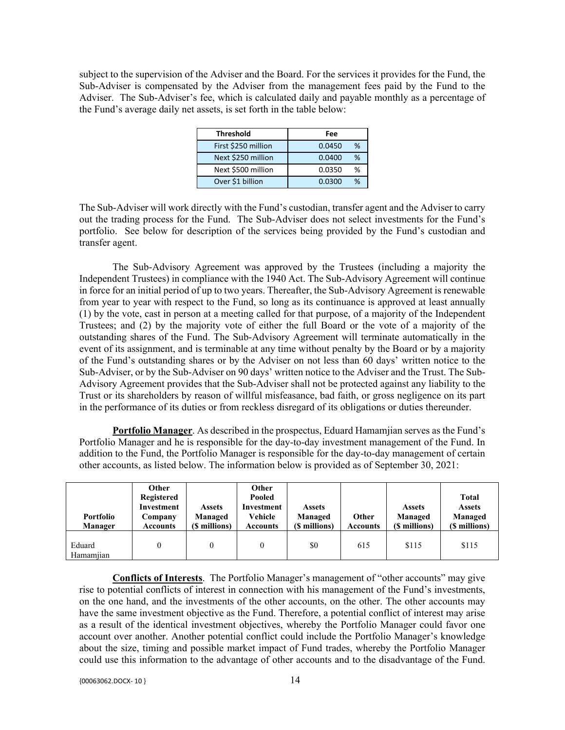subject to the supervision of the Adviser and the Board. For the services it provides for the Fund, the Sub-Adviser is compensated by the Adviser from the management fees paid by the Fund to the Adviser. The Sub-Adviser's fee, which is calculated daily and payable monthly as a percentage of the Fund's average daily net assets, is set forth in the table below:

| <b>Threshold</b>    | Fee         |
|---------------------|-------------|
| First \$250 million | %<br>0.0450 |
| Next \$250 million  | %<br>0.0400 |
| Next \$500 million  | %<br>0.0350 |
| Over \$1 billion    | %<br>0.0300 |

The Sub-Adviser will work directly with the Fund's custodian, transfer agent and the Adviser to carry out the trading process for the Fund. The Sub-Adviser does not select investments for the Fund's portfolio. See below for description of the services being provided by the Fund's custodian and transfer agent.

The Sub-Advisory Agreement was approved by the Trustees (including a majority the Independent Trustees) in compliance with the 1940 Act. The Sub-Advisory Agreement will continue in force for an initial period of up to two years. Thereafter, the Sub-Advisory Agreement is renewable from year to year with respect to the Fund, so long as its continuance is approved at least annually (1) by the vote, cast in person at a meeting called for that purpose, of a majority of the Independent Trustees; and (2) by the majority vote of either the full Board or the vote of a majority of the outstanding shares of the Fund. The Sub-Advisory Agreement will terminate automatically in the event of its assignment, and is terminable at any time without penalty by the Board or by a majority of the Fund's outstanding shares or by the Adviser on not less than 60 days' written notice to the Sub-Adviser, or by the Sub-Adviser on 90 days' written notice to the Adviser and the Trust. The Sub-Advisory Agreement provides that the Sub-Adviser shall not be protected against any liability to the Trust or its shareholders by reason of willful misfeasance, bad faith, or gross negligence on its part in the performance of its duties or from reckless disregard of its obligations or duties thereunder.

**Portfolio Manager**. As described in the prospectus, Eduard Hamamjian serves as the Fund's Portfolio Manager and he is responsible for the day-to-day investment management of the Fund. In addition to the Fund, the Portfolio Manager is responsible for the day-to-day management of certain other accounts, as listed below. The information below is provided as of September 30, 2021:

| <b>Portfolio</b><br>Manager | Other<br>Registered<br>Investment<br>Company<br><b>Accounts</b> | <b>Assets</b><br>Managed<br>(\$ millions) | Other<br>Pooled<br>Investment<br>Vehicle<br><b>Accounts</b> | <b>Assets</b><br>Managed<br>(\$ millions) | Other<br><b>Accounts</b> | <b>Assets</b><br>Managed<br>(\$ millions) | <b>Total</b><br><b>Assets</b><br>Managed<br>(\$ millions) |
|-----------------------------|-----------------------------------------------------------------|-------------------------------------------|-------------------------------------------------------------|-------------------------------------------|--------------------------|-------------------------------------------|-----------------------------------------------------------|
| Eduard<br>Hamamiian         | 0                                                               |                                           |                                                             | \$0                                       | 615                      | \$115                                     | \$115                                                     |

**Conflicts of Interests**. The Portfolio Manager's management of "other accounts" may give rise to potential conflicts of interest in connection with his management of the Fund's investments, on the one hand, and the investments of the other accounts, on the other. The other accounts may have the same investment objective as the Fund. Therefore, a potential conflict of interest may arise as a result of the identical investment objectives, whereby the Portfolio Manager could favor one account over another. Another potential conflict could include the Portfolio Manager's knowledge about the size, timing and possible market impact of Fund trades, whereby the Portfolio Manager could use this information to the advantage of other accounts and to the disadvantage of the Fund.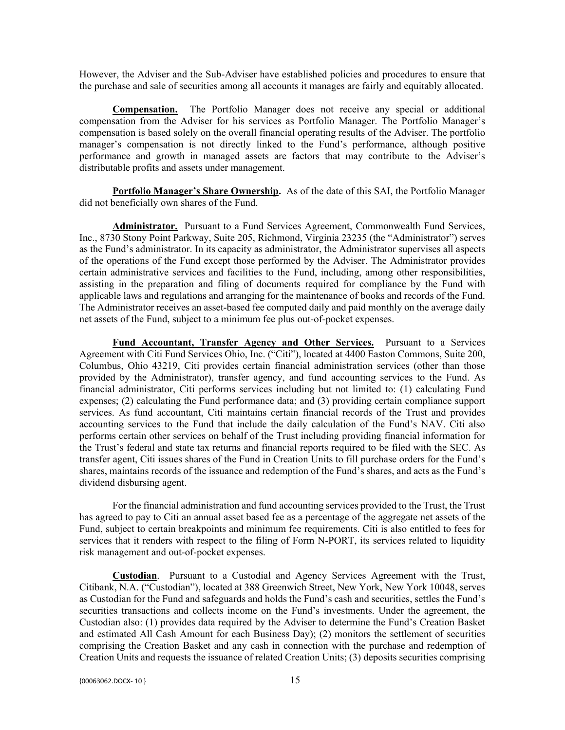However, the Adviser and the Sub-Adviser have established policies and procedures to ensure that the purchase and sale of securities among all accounts it manages are fairly and equitably allocated.

**Compensation.** The Portfolio Manager does not receive any special or additional compensation from the Adviser for his services as Portfolio Manager. The Portfolio Manager's compensation is based solely on the overall financial operating results of the Adviser. The portfolio manager's compensation is not directly linked to the Fund's performance, although positive performance and growth in managed assets are factors that may contribute to the Adviser's distributable profits and assets under management.

**Portfolio Manager's Share Ownership.** As of the date of this SAI, the Portfolio Manager did not beneficially own shares of the Fund.

**Administrator.** Pursuant to a Fund Services Agreement, Commonwealth Fund Services, Inc., 8730 Stony Point Parkway, Suite 205, Richmond, Virginia 23235 (the "Administrator") serves as the Fund's administrator. In its capacity as administrator, the Administrator supervises all aspects of the operations of the Fund except those performed by the Adviser. The Administrator provides certain administrative services and facilities to the Fund, including, among other responsibilities, assisting in the preparation and filing of documents required for compliance by the Fund with applicable laws and regulations and arranging for the maintenance of books and records of the Fund. The Administrator receives an asset-based fee computed daily and paid monthly on the average daily net assets of the Fund, subject to a minimum fee plus out-of-pocket expenses.

**Fund Accountant, Transfer Agency and Other Services.** Pursuant to a Services Agreement with Citi Fund Services Ohio, Inc. ("Citi"), located at 4400 Easton Commons, Suite 200, Columbus, Ohio 43219, Citi provides certain financial administration services (other than those provided by the Administrator), transfer agency, and fund accounting services to the Fund. As financial administrator, Citi performs services including but not limited to: (1) calculating Fund expenses; (2) calculating the Fund performance data; and (3) providing certain compliance support services. As fund accountant, Citi maintains certain financial records of the Trust and provides accounting services to the Fund that include the daily calculation of the Fund's NAV. Citi also performs certain other services on behalf of the Trust including providing financial information for the Trust's federal and state tax returns and financial reports required to be filed with the SEC. As transfer agent, Citi issues shares of the Fund in Creation Units to fill purchase orders for the Fund's shares, maintains records of the issuance and redemption of the Fund's shares, and acts as the Fund's dividend disbursing agent.

For the financial administration and fund accounting services provided to the Trust, the Trust has agreed to pay to Citi an annual asset based fee as a percentage of the aggregate net assets of the Fund, subject to certain breakpoints and minimum fee requirements. Citi is also entitled to fees for services that it renders with respect to the filing of Form N-PORT, its services related to liquidity risk management and out-of-pocket expenses.

**Custodian**. Pursuant to a Custodial and Agency Services Agreement with the Trust, Citibank, N.A. ("Custodian"), located at 388 Greenwich Street, New York, New York 10048, serves as Custodian for the Fund and safeguards and holds the Fund's cash and securities, settles the Fund's securities transactions and collects income on the Fund's investments. Under the agreement, the Custodian also: (1) provides data required by the Adviser to determine the Fund's Creation Basket and estimated All Cash Amount for each Business Day); (2) monitors the settlement of securities comprising the Creation Basket and any cash in connection with the purchase and redemption of Creation Units and requests the issuance of related Creation Units; (3) deposits securities comprising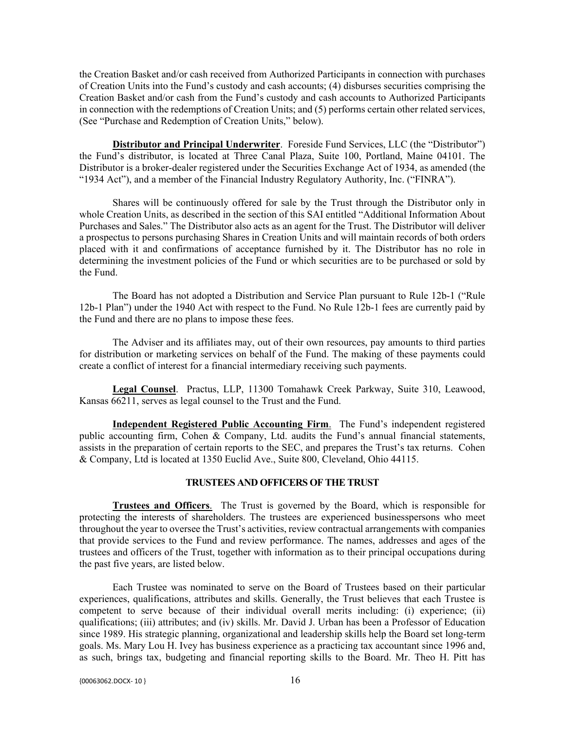the Creation Basket and/or cash received from Authorized Participants in connection with purchases of Creation Units into the Fund's custody and cash accounts; (4) disburses securities comprising the Creation Basket and/or cash from the Fund's custody and cash accounts to Authorized Participants in connection with the redemptions of Creation Units; and (5) performs certain other related services, (See "Purchase and Redemption of Creation Units," below).

**Distributor and Principal Underwriter**. Foreside Fund Services, LLC (the "Distributor") the Fund's distributor, is located at Three Canal Plaza, Suite 100, Portland, Maine 04101. The Distributor is a broker-dealer registered under the Securities Exchange Act of 1934, as amended (the "1934 Act"), and a member of the Financial Industry Regulatory Authority, Inc. ("FINRA").

Shares will be continuously offered for sale by the Trust through the Distributor only in whole Creation Units, as described in the section of this SAI entitled "Additional Information About Purchases and Sales." The Distributor also acts as an agent for the Trust. The Distributor will deliver a prospectus to persons purchasing Shares in Creation Units and will maintain records of both orders placed with it and confirmations of acceptance furnished by it. The Distributor has no role in determining the investment policies of the Fund or which securities are to be purchased or sold by the Fund.

The Board has not adopted a Distribution and Service Plan pursuant to Rule 12b-1 ("Rule 12b-1 Plan") under the 1940 Act with respect to the Fund. No Rule 12b-1 fees are currently paid by the Fund and there are no plans to impose these fees.

The Adviser and its affiliates may, out of their own resources, pay amounts to third parties for distribution or marketing services on behalf of the Fund. The making of these payments could create a conflict of interest for a financial intermediary receiving such payments.

**Legal Counsel**. Practus, LLP, 11300 Tomahawk Creek Parkway, Suite 310, Leawood, Kansas 66211, serves as legal counsel to the Trust and the Fund.

**Independent Registered Public Accounting Firm**. The Fund's independent registered public accounting firm, Cohen & Company, Ltd. audits the Fund's annual financial statements, assists in the preparation of certain reports to the SEC, and prepares the Trust's tax returns. Cohen & Company, Ltd is located at 1350 Euclid Ave., Suite 800, Cleveland, Ohio 44115.

## **TRUSTEES AND OFFICERS OF THE TRUST**

**Trustees and Officers**. The Trust is governed by the Board, which is responsible for protecting the interests of shareholders. The trustees are experienced businesspersons who meet throughout the year to oversee the Trust's activities, review contractual arrangements with companies that provide services to the Fund and review performance. The names, addresses and ages of the trustees and officers of the Trust, together with information as to their principal occupations during the past five years, are listed below.

Each Trustee was nominated to serve on the Board of Trustees based on their particular experiences, qualifications, attributes and skills. Generally, the Trust believes that each Trustee is competent to serve because of their individual overall merits including: (i) experience; (ii) qualifications; (iii) attributes; and (iv) skills. Mr. David J. Urban has been a Professor of Education since 1989. His strategic planning, organizational and leadership skills help the Board set long-term goals. Ms. Mary Lou H. Ivey has business experience as a practicing tax accountant since 1996 and, as such, brings tax, budgeting and financial reporting skills to the Board. Mr. Theo H. Pitt has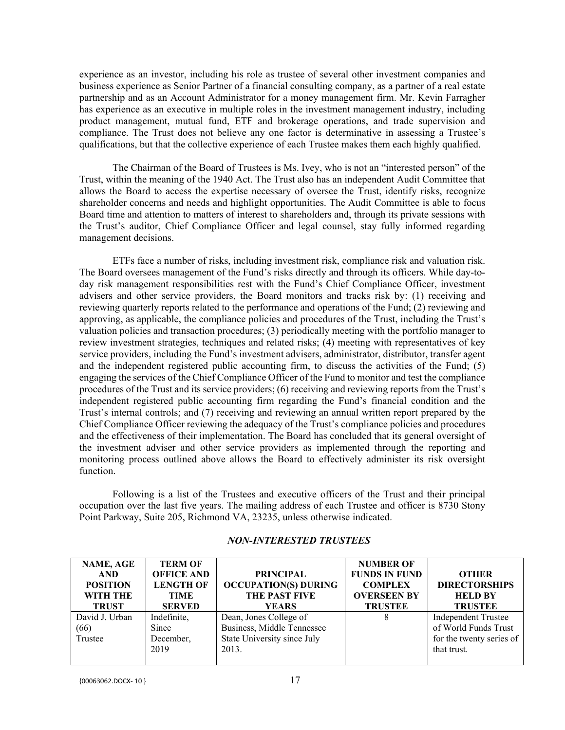experience as an investor, including his role as trustee of several other investment companies and business experience as Senior Partner of a financial consulting company, as a partner of a real estate partnership and as an Account Administrator for a money management firm. Mr. Kevin Farragher has experience as an executive in multiple roles in the investment management industry, including product management, mutual fund, ETF and brokerage operations, and trade supervision and compliance. The Trust does not believe any one factor is determinative in assessing a Trustee's qualifications, but that the collective experience of each Trustee makes them each highly qualified.

The Chairman of the Board of Trustees is Ms. Ivey, who is not an "interested person" of the Trust, within the meaning of the 1940 Act. The Trust also has an independent Audit Committee that allows the Board to access the expertise necessary of oversee the Trust, identify risks, recognize shareholder concerns and needs and highlight opportunities. The Audit Committee is able to focus Board time and attention to matters of interest to shareholders and, through its private sessions with the Trust's auditor, Chief Compliance Officer and legal counsel, stay fully informed regarding management decisions.

ETFs face a number of risks, including investment risk, compliance risk and valuation risk. The Board oversees management of the Fund's risks directly and through its officers. While day-today risk management responsibilities rest with the Fund's Chief Compliance Officer, investment advisers and other service providers, the Board monitors and tracks risk by: (1) receiving and reviewing quarterly reports related to the performance and operations of the Fund; (2) reviewing and approving, as applicable, the compliance policies and procedures of the Trust, including the Trust's valuation policies and transaction procedures; (3) periodically meeting with the portfolio manager to review investment strategies, techniques and related risks; (4) meeting with representatives of key service providers, including the Fund's investment advisers, administrator, distributor, transfer agent and the independent registered public accounting firm, to discuss the activities of the Fund; (5) engaging the services of the Chief Compliance Officer of the Fund to monitor and test the compliance procedures of the Trust and its service providers; (6) receiving and reviewing reports from the Trust's independent registered public accounting firm regarding the Fund's financial condition and the Trust's internal controls; and (7) receiving and reviewing an annual written report prepared by the Chief Compliance Officer reviewing the adequacy of the Trust's compliance policies and procedures and the effectiveness of their implementation. The Board has concluded that its general oversight of the investment adviser and other service providers as implemented through the reporting and monitoring process outlined above allows the Board to effectively administer its risk oversight function.

Following is a list of the Trustees and executive officers of the Trust and their principal occupation over the last five years. The mailing address of each Trustee and officer is 8730 Stony Point Parkway, Suite 205, Richmond VA, 23235, unless otherwise indicated.

| NAME, AGE       | <b>TERM OF</b>    |                             | <b>NUMBER OF</b>     |                            |
|-----------------|-------------------|-----------------------------|----------------------|----------------------------|
| <b>AND</b>      | <b>OFFICE AND</b> | <b>PRINCIPAL</b>            | <b>FUNDS IN FUND</b> | <b>OTHER</b>               |
| <b>POSITION</b> | <b>LENGTH OF</b>  | <b>OCCUPATION(S) DURING</b> | <b>COMPLEX</b>       | <b>DIRECTORSHIPS</b>       |
| <b>WITH THE</b> | TIME              | THE PAST FIVE               | <b>OVERSEEN BY</b>   | <b>HELD BY</b>             |
| <b>TRUST</b>    | <b>SERVED</b>     | <b>YEARS</b>                | <b>TRUSTEE</b>       | <b>TRUSTEE</b>             |
| David J. Urban  | Indefinite,       | Dean, Jones College of      | 8                    | <b>Independent Trustee</b> |
| (66)            | Since             | Business, Middle Tennessee  |                      | of World Funds Trust       |
| Trustee         | December,         | State University since July |                      | for the twenty series of   |
|                 | 2019              | 2013.                       |                      | that trust.                |
|                 |                   |                             |                      |                            |

## *NON-INTERESTED TRUSTEES*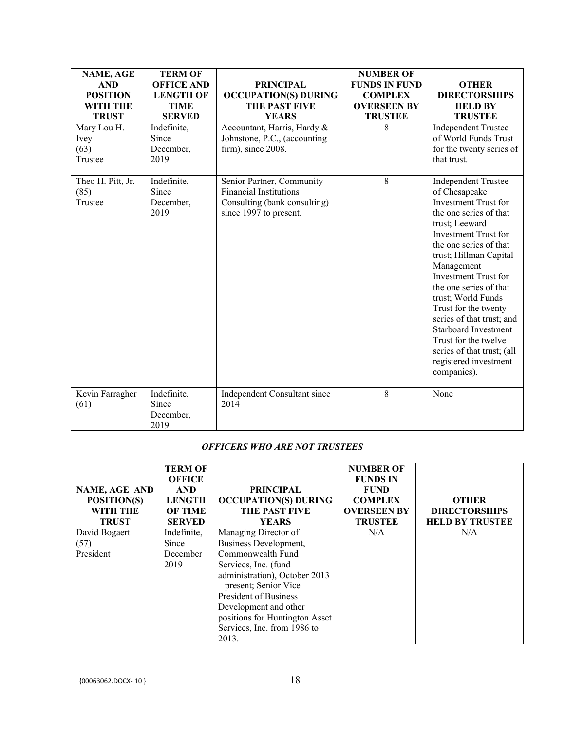| NAME, AGE<br><b>AND</b><br><b>POSITION</b><br><b>WITH THE</b><br><b>TRUST</b><br>Mary Lou H. | <b>TERM OF</b><br><b>OFFICE AND</b><br><b>LENGTH OF</b><br><b>TIME</b><br><b>SERVED</b><br>Indefinite,<br>Since | <b>PRINCIPAL</b><br><b>OCCUPATION(S) DURING</b><br>THE PAST FIVE<br><b>YEARS</b><br>Accountant, Harris, Hardy &<br>Johnstone, P.C., (accounting | <b>NUMBER OF</b><br><b>FUNDS IN FUND</b><br><b>COMPLEX</b><br><b>OVERSEEN BY</b><br><b>TRUSTEE</b><br>8 | <b>OTHER</b><br><b>DIRECTORSHIPS</b><br><b>HELD BY</b><br><b>TRUSTEE</b><br><b>Independent Trustee</b><br>of World Funds Trust                                                                                                                                                                                                                                                                                                                                                    |
|----------------------------------------------------------------------------------------------|-----------------------------------------------------------------------------------------------------------------|-------------------------------------------------------------------------------------------------------------------------------------------------|---------------------------------------------------------------------------------------------------------|-----------------------------------------------------------------------------------------------------------------------------------------------------------------------------------------------------------------------------------------------------------------------------------------------------------------------------------------------------------------------------------------------------------------------------------------------------------------------------------|
| Ivey<br>(63)<br>Trustee                                                                      | December,<br>2019                                                                                               | firm), since 2008.                                                                                                                              |                                                                                                         | for the twenty series of<br>that trust.                                                                                                                                                                                                                                                                                                                                                                                                                                           |
| Theo H. Pitt, Jr.<br>(85)<br>Trustee                                                         | Indefinite,<br>Since<br>December,<br>2019                                                                       | Senior Partner, Community<br><b>Financial Institutions</b><br>Consulting (bank consulting)<br>since 1997 to present.                            | 8                                                                                                       | <b>Independent Trustee</b><br>of Chesapeake<br>Investment Trust for<br>the one series of that<br>trust; Leeward<br><b>Investment Trust for</b><br>the one series of that<br>trust; Hillman Capital<br>Management<br><b>Investment Trust for</b><br>the one series of that<br>trust; World Funds<br>Trust for the twenty<br>series of that trust; and<br><b>Starboard Investment</b><br>Trust for the twelve<br>series of that trust; (all<br>registered investment<br>companies). |
| Kevin Farragher<br>(61)                                                                      | Indefinite,<br>Since<br>December,<br>2019                                                                       | Independent Consultant since<br>2014                                                                                                            | $\,8\,$                                                                                                 | None                                                                                                                                                                                                                                                                                                                                                                                                                                                                              |

# *OFFICERS WHO ARE NOT TRUSTEES*

| NAME, AGE AND<br>POSITION(S)<br><b>WITH THE</b><br><b>TRUST</b> | <b>TERM OF</b><br><b>OFFICE</b><br><b>AND</b><br><b>LENGTH</b><br><b>OF TIME</b><br><b>SERVED</b> | <b>PRINCIPAL</b><br><b>OCCUPATION(S) DURING</b><br><b>THE PAST FIVE</b><br><b>YEARS</b> | <b>NUMBER OF</b><br><b>FUNDS IN</b><br><b>FUND</b><br><b>COMPLEX</b><br><b>OVERSEEN BY</b><br><b>TRUSTEE</b> | <b>OTHER</b><br><b>DIRECTORSHIPS</b><br><b>HELD BY TRUSTEE</b> |
|-----------------------------------------------------------------|---------------------------------------------------------------------------------------------------|-----------------------------------------------------------------------------------------|--------------------------------------------------------------------------------------------------------------|----------------------------------------------------------------|
| David Bogaert                                                   | Indefinite,                                                                                       | Managing Director of                                                                    | N/A                                                                                                          | N/A                                                            |
| (57)                                                            | Since                                                                                             | Business Development,                                                                   |                                                                                                              |                                                                |
| President                                                       | December                                                                                          | Commonwealth Fund                                                                       |                                                                                                              |                                                                |
|                                                                 | 2019                                                                                              | Services, Inc. (fund                                                                    |                                                                                                              |                                                                |
|                                                                 |                                                                                                   | administration), October 2013                                                           |                                                                                                              |                                                                |
|                                                                 |                                                                                                   | - present; Senior Vice                                                                  |                                                                                                              |                                                                |
|                                                                 |                                                                                                   | President of Business                                                                   |                                                                                                              |                                                                |
|                                                                 |                                                                                                   | Development and other                                                                   |                                                                                                              |                                                                |
|                                                                 |                                                                                                   | positions for Huntington Asset                                                          |                                                                                                              |                                                                |
|                                                                 |                                                                                                   | Services, Inc. from 1986 to                                                             |                                                                                                              |                                                                |
|                                                                 |                                                                                                   | 2013.                                                                                   |                                                                                                              |                                                                |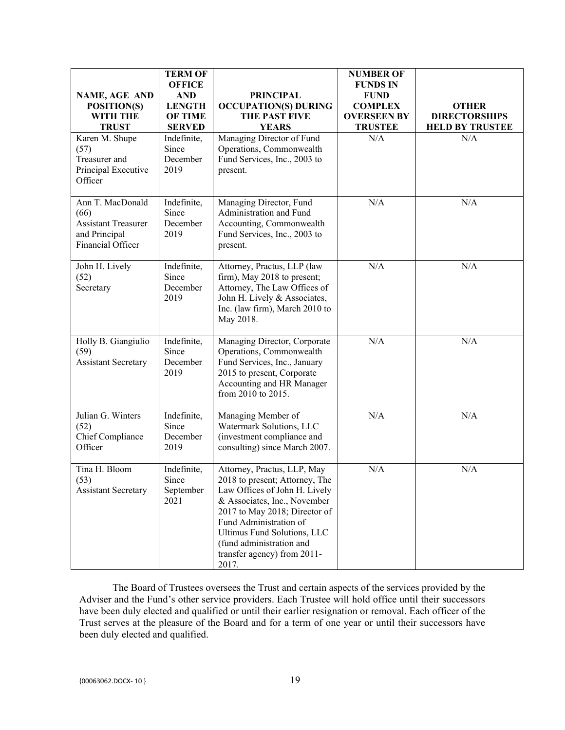| <b>NAME, AGE AND</b><br>POSITION(S)<br><b>WITH THE</b><br><b>TRUST</b>                       | <b>TERM OF</b><br><b>OFFICE</b><br><b>AND</b><br><b>LENGTH</b><br><b>OF TIME</b><br><b>SERVED</b> | <b>PRINCIPAL</b><br><b>OCCUPATION(S) DURING</b><br>THE PAST FIVE<br><b>YEARS</b>                                                                                                                                                                                                             | <b>NUMBER OF</b><br><b>FUNDS IN</b><br><b>FUND</b><br><b>COMPLEX</b><br><b>OVERSEEN BY</b><br><b>TRUSTEE</b> | <b>OTHER</b><br><b>DIRECTORSHIPS</b><br><b>HELD BY TRUSTEE</b> |
|----------------------------------------------------------------------------------------------|---------------------------------------------------------------------------------------------------|----------------------------------------------------------------------------------------------------------------------------------------------------------------------------------------------------------------------------------------------------------------------------------------------|--------------------------------------------------------------------------------------------------------------|----------------------------------------------------------------|
| Karen M. Shupe<br>(57)<br>Treasurer and<br>Principal Executive<br>Officer                    | Indefinite,<br>Since<br>December<br>2019                                                          | Managing Director of Fund<br>Operations, Commonwealth<br>Fund Services, Inc., 2003 to<br>present.                                                                                                                                                                                            | N/A                                                                                                          | N/A                                                            |
| Ann T. MacDonald<br>(66)<br><b>Assistant Treasurer</b><br>and Principal<br>Financial Officer | Indefinite,<br>Since<br>December<br>2019                                                          | Managing Director, Fund<br>Administration and Fund<br>Accounting, Commonwealth<br>Fund Services, Inc., 2003 to<br>present.                                                                                                                                                                   | N/A                                                                                                          | N/A                                                            |
| John H. Lively<br>(52)<br>Secretary                                                          | Indefinite,<br>Since<br>December<br>2019                                                          | Attorney, Practus, LLP (law<br>firm), May 2018 to present;<br>Attorney, The Law Offices of<br>John H. Lively & Associates,<br>Inc. (law firm), March 2010 to<br>May 2018.                                                                                                                    | N/A                                                                                                          | N/A                                                            |
| Holly B. Giangiulio<br>(59)<br><b>Assistant Secretary</b>                                    | Indefinite,<br>Since<br>December<br>2019                                                          | Managing Director, Corporate<br>Operations, Commonwealth<br>Fund Services, Inc., January<br>2015 to present, Corporate<br>Accounting and HR Manager<br>from 2010 to 2015.                                                                                                                    | N/A                                                                                                          | N/A                                                            |
| Julian G. Winters<br>(52)<br>Chief Compliance<br>Officer                                     | Indefinite,<br>Since<br>December<br>2019                                                          | Managing Member of<br>Watermark Solutions, LLC<br>(investment compliance and<br>consulting) since March 2007.                                                                                                                                                                                | N/A                                                                                                          | N/A                                                            |
| Tina H. Bloom<br>(53)<br><b>Assistant Secretary</b>                                          | Indefinite,<br>Since<br>September<br>2021                                                         | Attorney, Practus, LLP, May<br>2018 to present; Attorney, The<br>Law Offices of John H. Lively<br>& Associates, Inc., November<br>2017 to May 2018; Director of<br>Fund Administration of<br>Ultimus Fund Solutions, LLC<br>(fund administration and<br>transfer agency) from 2011-<br>2017. | N/A                                                                                                          | N/A                                                            |

The Board of Trustees oversees the Trust and certain aspects of the services provided by the Adviser and the Fund's other service providers. Each Trustee will hold office until their successors have been duly elected and qualified or until their earlier resignation or removal. Each officer of the Trust serves at the pleasure of the Board and for a term of one year or until their successors have been duly elected and qualified.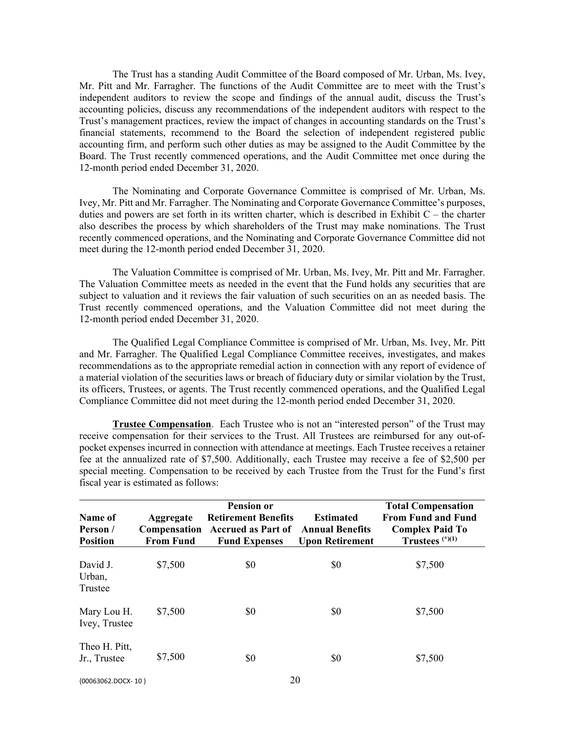The Trust has a standing Audit Committee of the Board composed of Mr. Urban, Ms. Ivey, Mr. Pitt and Mr. Farragher. The functions of the Audit Committee are to meet with the Trust's independent auditors to review the scope and findings of the annual audit, discuss the Trust's accounting policies, discuss any recommendations of the independent auditors with respect to the Trust's management practices, review the impact of changes in accounting standards on the Trust's financial statements, recommend to the Board the selection of independent registered public accounting firm, and perform such other duties as may be assigned to the Audit Committee by the Board. The Trust recently commenced operations, and the Audit Committee met once during the 12-month period ended December 31, 2020.

The Nominating and Corporate Governance Committee is comprised of Mr. Urban, Ms. Ivey, Mr. Pitt and Mr. Farragher. The Nominating and Corporate Governance Committee's purposes, duties and powers are set forth in its written charter, which is described in Exhibit C – the charter also describes the process by which shareholders of the Trust may make nominations. The Trust recently commenced operations, and the Nominating and Corporate Governance Committee did not meet during the 12-month period ended December 31, 2020.

The Valuation Committee is comprised of Mr. Urban, Ms. Ivey, Mr. Pitt and Mr. Farragher. The Valuation Committee meets as needed in the event that the Fund holds any securities that are subject to valuation and it reviews the fair valuation of such securities on an as needed basis. The Trust recently commenced operations, and the Valuation Committee did not meet during the 12-month period ended December 31, 2020.

The Qualified Legal Compliance Committee is comprised of Mr. Urban, Ms. Ivey, Mr. Pitt and Mr. Farragher. The Qualified Legal Compliance Committee receives, investigates, and makes recommendations as to the appropriate remedial action in connection with any report of evidence of a material violation of the securities laws or breach of fiduciary duty or similar violation by the Trust, its officers, Trustees, or agents. The Trust recently commenced operations, and the Qualified Legal Compliance Committee did not meet during the 12-month period ended December 31, 2020.

**Trustee Compensation**. Each Trustee who is not an "interested person" of the Trust may receive compensation for their services to the Trust. All Trustees are reimbursed for any out-ofpocket expenses incurred in connection with attendance at meetings. Each Trustee receives a retainer fee at the annualized rate of \$7,500. Additionally, each Trustee may receive a fee of \$2,500 per special meeting. Compensation to be received by each Trustee from the Trust for the Fund's first fiscal year is estimated as follows:

| Name of<br>Person /<br><b>Position</b> | Aggregate<br>Compensation<br><b>From Fund</b> | <b>Pension or</b><br><b>Retirement Benefits</b><br><b>Accrued as Part of</b><br><b>Fund Expenses</b> | <b>Estimated</b><br><b>Annual Benefits</b><br><b>Upon Retirement</b> | <b>Total Compensation</b><br><b>From Fund and Fund</b><br><b>Complex Paid To</b><br>Trustees $(*)$ (1) |
|----------------------------------------|-----------------------------------------------|------------------------------------------------------------------------------------------------------|----------------------------------------------------------------------|--------------------------------------------------------------------------------------------------------|
| David J.<br>Urban,<br>Trustee          | \$7,500                                       | \$0                                                                                                  | \$0                                                                  | \$7,500                                                                                                |
| Mary Lou H.<br>Ivey, Trustee           | \$7,500                                       | \$0                                                                                                  | \$0                                                                  | \$7,500                                                                                                |
| Theo H. Pitt,<br>Jr., Trustee          | \$7,500                                       | \$0                                                                                                  | \$0                                                                  | \$7,500                                                                                                |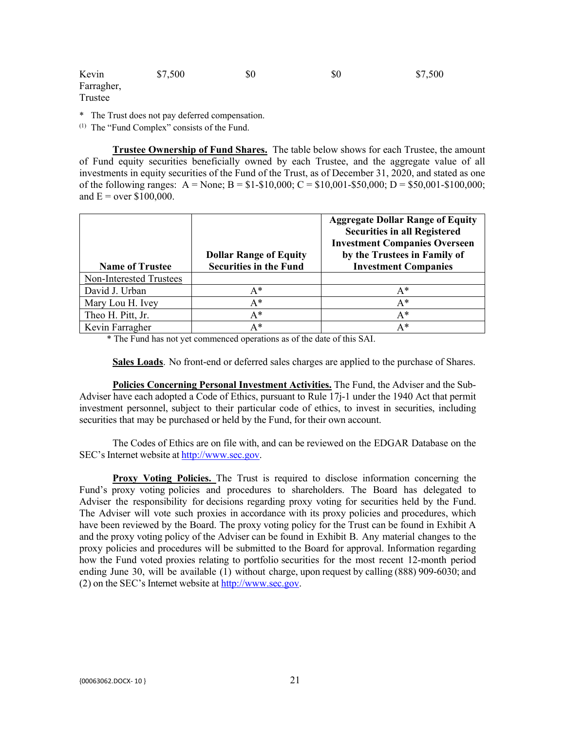| Kevin      | \$7,500 | \$0 | \$0 | \$7,500 |
|------------|---------|-----|-----|---------|
| Farragher, |         |     |     |         |
| Trustee    |         |     |     |         |

\* The Trust does not pay deferred compensation.

(1) The "Fund Complex" consists of the Fund.

**Trustee Ownership of Fund Shares.** The table below shows for each Trustee, the amount of Fund equity securities beneficially owned by each Trustee, and the aggregate value of all investments in equity securities of the Fund of the Trust, as of December 31, 2020, and stated as one of the following ranges:  $A = None$ ;  $B = $1-$10,000$ ;  $C = $10,001-$50,000$ ;  $D = $50,001-$100,000$ ; and  $E = over $100,000$ .

| <b>Name of Trustee</b>  | <b>Dollar Range of Equity</b><br><b>Securities in the Fund</b> | <b>Aggregate Dollar Range of Equity</b><br><b>Securities in all Registered</b><br><b>Investment Companies Overseen</b><br>by the Trustees in Family of<br><b>Investment Companies</b> |
|-------------------------|----------------------------------------------------------------|---------------------------------------------------------------------------------------------------------------------------------------------------------------------------------------|
| Non-Interested Trustees |                                                                |                                                                                                                                                                                       |
| David J. Urban          | $A^*$                                                          | $A^*$                                                                                                                                                                                 |
| Mary Lou H. Ivey        | A*                                                             | $A^*$                                                                                                                                                                                 |
| Theo H. Pitt, Jr.       | A*                                                             | A*                                                                                                                                                                                    |
| Kevin Farragher         | A*                                                             | $A^*$                                                                                                                                                                                 |

\* The Fund has not yet commenced operations as of the date of this SAI.

**Sales Loads**. No front-end or deferred sales charges are applied to the purchase of Shares.

**Policies Concerning Personal Investment Activities.** The Fund, the Adviser and the Sub-Adviser have each adopted a Code of Ethics, pursuant to Rule 17j-1 under the 1940 Act that permit investment personnel, subject to their particular code of ethics, to invest in securities, including securities that may be purchased or held by the Fund, for their own account.

The Codes of Ethics are on file with, and can be reviewed on the EDGAR Database on the SEC's Internet website at [http://www.sec.gov.](http://www.sec.gov/)

**Proxy Voting Policies.** The Trust is required to disclose information concerning the Fund's proxy voting policies and procedures to shareholders. The Board has delegated to Adviser the responsibility for decisions regarding proxy voting for securities held by the Fund. The Adviser will vote such proxies in accordance with its proxy policies and procedures, which have been reviewed by the Board. The proxy voting policy for the Trust can be found in Exhibit A and the proxy voting policy of the Adviser can be found in Exhibit B. Any material changes to the proxy policies and procedures will be submitted to the Board for approval. Information regarding how the Fund voted proxies relating to portfolio securities for the most recent 12-month period ending June 30, will be available (1) without charge, upon request by calling (888) 909-6030; and (2) on the SEC's Internet website at [http://www.sec.gov.](http://www.sec.gov/)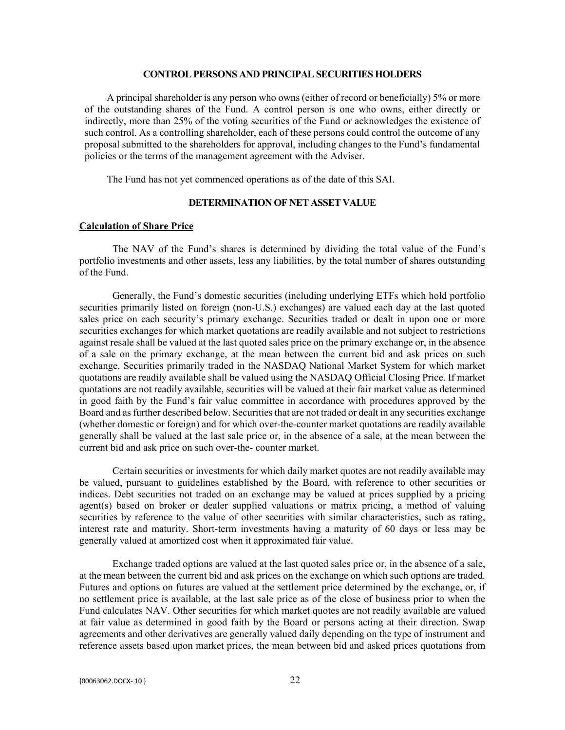#### **CONTROL PERSONS AND PRINCIPAL SECURITIES HOLDERS**

A principal shareholder is any person who owns (either of record or beneficially) 5% or more of the outstanding shares of the Fund. A control person is one who owns, either directly or indirectly, more than 25% of the voting securities of the Fund or acknowledges the existence of such control. As a controlling shareholder, each of these persons could control the outcome of any proposal submitted to the shareholders for approval, including changes to the Fund's fundamental policies or the terms of the management agreement with the Adviser.

The Fund has not yet commenced operations as of the date of this SAI.

# **DETERMINATION OF NET ASSET VALUE**

#### **Calculation of Share Price**

The NAV of the Fund's shares is determined by dividing the total value of the Fund's portfolio investments and other assets, less any liabilities, by the total number of shares outstanding of the Fund.

Generally, the Fund's domestic securities (including underlying ETFs which hold portfolio securities primarily listed on foreign (non-U.S.) exchanges) are valued each day at the last quoted sales price on each security's primary exchange. Securities traded or dealt in upon one or more securities exchanges for which market quotations are readily available and not subject to restrictions against resale shall be valued at the last quoted sales price on the primary exchange or, in the absence of a sale on the primary exchange, at the mean between the current bid and ask prices on such exchange. Securities primarily traded in the NASDAQ National Market System for which market quotations are readily available shall be valued using the NASDAQ Official Closing Price. If market quotations are not readily available, securities will be valued at their fair market value as determined in good faith by the Fund's fair value committee in accordance with procedures approved by the Board and as further described below. Securities that are not traded or dealt in any securities exchange (whether domestic or foreign) and for which over-the-counter market quotations are readily available generally shall be valued at the last sale price or, in the absence of a sale, at the mean between the current bid and ask price on such over-the- counter market.

Certain securities or investments for which daily market quotes are not readily available may be valued, pursuant to guidelines established by the Board, with reference to other securities or indices. Debt securities not traded on an exchange may be valued at prices supplied by a pricing agent(s) based on broker or dealer supplied valuations or matrix pricing, a method of valuing securities by reference to the value of other securities with similar characteristics, such as rating, interest rate and maturity. Short-term investments having a maturity of 60 days or less may be generally valued at amortized cost when it approximated fair value.

Exchange traded options are valued at the last quoted sales price or, in the absence of a sale, at the mean between the current bid and ask prices on the exchange on which such options are traded. Futures and options on futures are valued at the settlement price determined by the exchange, or, if no settlement price is available, at the last sale price as of the close of business prior to when the Fund calculates NAV. Other securities for which market quotes are not readily available are valued at fair value as determined in good faith by the Board or persons acting at their direction. Swap agreements and other derivatives are generally valued daily depending on the type of instrument and reference assets based upon market prices, the mean between bid and asked prices quotations from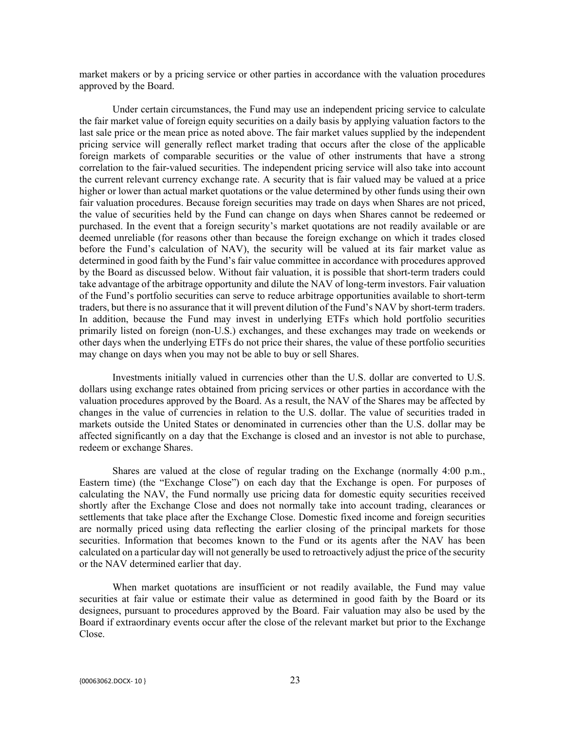market makers or by a pricing service or other parties in accordance with the valuation procedures approved by the Board.

Under certain circumstances, the Fund may use an independent pricing service to calculate the fair market value of foreign equity securities on a daily basis by applying valuation factors to the last sale price or the mean price as noted above. The fair market values supplied by the independent pricing service will generally reflect market trading that occurs after the close of the applicable foreign markets of comparable securities or the value of other instruments that have a strong correlation to the fair-valued securities. The independent pricing service will also take into account the current relevant currency exchange rate. A security that is fair valued may be valued at a price higher or lower than actual market quotations or the value determined by other funds using their own fair valuation procedures. Because foreign securities may trade on days when Shares are not priced, the value of securities held by the Fund can change on days when Shares cannot be redeemed or purchased. In the event that a foreign security's market quotations are not readily available or are deemed unreliable (for reasons other than because the foreign exchange on which it trades closed before the Fund's calculation of NAV), the security will be valued at its fair market value as determined in good faith by the Fund's fair value committee in accordance with procedures approved by the Board as discussed below. Without fair valuation, it is possible that short-term traders could take advantage of the arbitrage opportunity and dilute the NAV of long-term investors. Fair valuation of the Fund's portfolio securities can serve to reduce arbitrage opportunities available to short-term traders, but there is no assurance that it will prevent dilution of the Fund's NAV by short-term traders. In addition, because the Fund may invest in underlying ETFs which hold portfolio securities primarily listed on foreign (non-U.S.) exchanges, and these exchanges may trade on weekends or other days when the underlying ETFs do not price their shares, the value of these portfolio securities may change on days when you may not be able to buy or sell Shares.

Investments initially valued in currencies other than the U.S. dollar are converted to U.S. dollars using exchange rates obtained from pricing services or other parties in accordance with the valuation procedures approved by the Board. As a result, the NAV of the Shares may be affected by changes in the value of currencies in relation to the U.S. dollar. The value of securities traded in markets outside the United States or denominated in currencies other than the U.S. dollar may be affected significantly on a day that the Exchange is closed and an investor is not able to purchase, redeem or exchange Shares.

Shares are valued at the close of regular trading on the Exchange (normally 4:00 p.m., Eastern time) (the "Exchange Close") on each day that the Exchange is open. For purposes of calculating the NAV, the Fund normally use pricing data for domestic equity securities received shortly after the Exchange Close and does not normally take into account trading, clearances or settlements that take place after the Exchange Close. Domestic fixed income and foreign securities are normally priced using data reflecting the earlier closing of the principal markets for those securities. Information that becomes known to the Fund or its agents after the NAV has been calculated on a particular day will not generally be used to retroactively adjust the price of the security or the NAV determined earlier that day.

When market quotations are insufficient or not readily available, the Fund may value securities at fair value or estimate their value as determined in good faith by the Board or its designees, pursuant to procedures approved by the Board. Fair valuation may also be used by the Board if extraordinary events occur after the close of the relevant market but prior to the Exchange Close.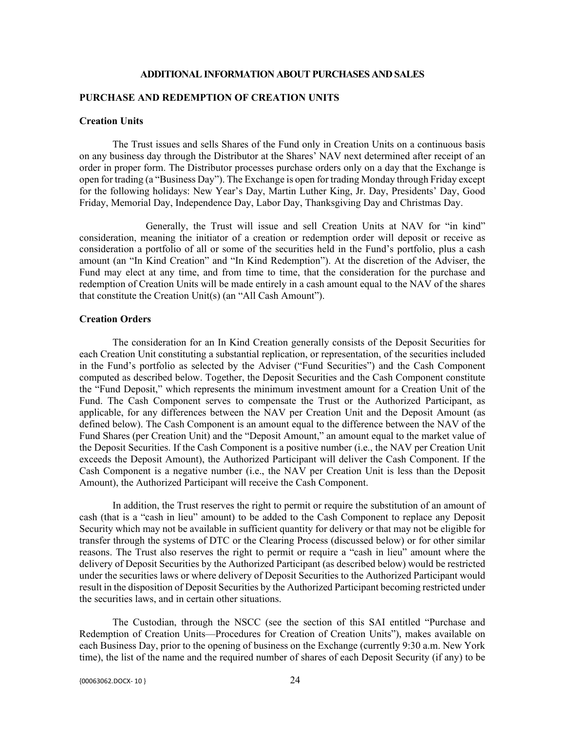#### **ADDITIONAL INFORMATION ABOUT PURCHASES AND SALES**

#### **PURCHASE AND REDEMPTION OF CREATION UNITS**

#### **Creation Units**

The Trust issues and sells Shares of the Fund only in Creation Units on a continuous basis on any business day through the Distributor at the Shares' NAV next determined after receipt of an order in proper form. The Distributor processes purchase orders only on a day that the Exchange is open for trading (a "Business Day"). The Exchange is open for trading Monday through Friday except for the following holidays: New Year's Day, Martin Luther King, Jr. Day, Presidents' Day, Good Friday, Memorial Day, Independence Day, Labor Day, Thanksgiving Day and Christmas Day.

Generally, the Trust will issue and sell Creation Units at NAV for "in kind" consideration, meaning the initiator of a creation or redemption order will deposit or receive as consideration a portfolio of all or some of the securities held in the Fund's portfolio, plus a cash amount (an "In Kind Creation" and "In Kind Redemption"). At the discretion of the Adviser, the Fund may elect at any time, and from time to time, that the consideration for the purchase and redemption of Creation Units will be made entirely in a cash amount equal to the NAV of the shares that constitute the Creation Unit(s) (an "All Cash Amount").

## **Creation Orders**

The consideration for an In Kind Creation generally consists of the Deposit Securities for each Creation Unit constituting a substantial replication, or representation, of the securities included in the Fund's portfolio as selected by the Adviser ("Fund Securities") and the Cash Component computed as described below. Together, the Deposit Securities and the Cash Component constitute the "Fund Deposit," which represents the minimum investment amount for a Creation Unit of the Fund. The Cash Component serves to compensate the Trust or the Authorized Participant, as applicable, for any differences between the NAV per Creation Unit and the Deposit Amount (as defined below). The Cash Component is an amount equal to the difference between the NAV of the Fund Shares (per Creation Unit) and the "Deposit Amount," an amount equal to the market value of the Deposit Securities. If the Cash Component is a positive number (i.e., the NAV per Creation Unit exceeds the Deposit Amount), the Authorized Participant will deliver the Cash Component. If the Cash Component is a negative number (i.e., the NAV per Creation Unit is less than the Deposit Amount), the Authorized Participant will receive the Cash Component.

In addition, the Trust reserves the right to permit or require the substitution of an amount of cash (that is a "cash in lieu" amount) to be added to the Cash Component to replace any Deposit Security which may not be available in sufficient quantity for delivery or that may not be eligible for transfer through the systems of DTC or the Clearing Process (discussed below) or for other similar reasons. The Trust also reserves the right to permit or require a "cash in lieu" amount where the delivery of Deposit Securities by the Authorized Participant (as described below) would be restricted under the securities laws or where delivery of Deposit Securities to the Authorized Participant would result in the disposition of Deposit Securities by the Authorized Participant becoming restricted under the securities laws, and in certain other situations.

The Custodian, through the NSCC (see the section of this SAI entitled "Purchase and Redemption of Creation Units—Procedures for Creation of Creation Units"), makes available on each Business Day, prior to the opening of business on the Exchange (currently 9:30 a.m. New York time), the list of the name and the required number of shares of each Deposit Security (if any) to be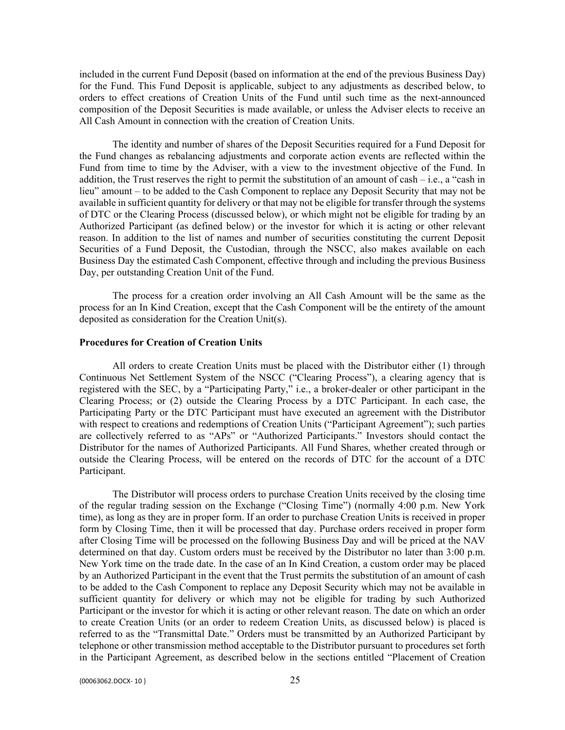included in the current Fund Deposit (based on information at the end of the previous Business Day) for the Fund. This Fund Deposit is applicable, subject to any adjustments as described below, to orders to effect creations of Creation Units of the Fund until such time as the next-announced composition of the Deposit Securities is made available, or unless the Adviser elects to receive an All Cash Amount in connection with the creation of Creation Units.

The identity and number of shares of the Deposit Securities required for a Fund Deposit for the Fund changes as rebalancing adjustments and corporate action events are reflected within the Fund from time to time by the Adviser, with a view to the investment objective of the Fund. In addition, the Trust reserves the right to permit the substitution of an amount of cash – i.e., a "cash in lieu" amount – to be added to the Cash Component to replace any Deposit Security that may not be available in sufficient quantity for delivery or that may not be eligible for transfer through the systems of DTC or the Clearing Process (discussed below), or which might not be eligible for trading by an Authorized Participant (as defined below) or the investor for which it is acting or other relevant reason. In addition to the list of names and number of securities constituting the current Deposit Securities of a Fund Deposit, the Custodian, through the NSCC, also makes available on each Business Day the estimated Cash Component, effective through and including the previous Business Day, per outstanding Creation Unit of the Fund.

The process for a creation order involving an All Cash Amount will be the same as the process for an In Kind Creation, except that the Cash Component will be the entirety of the amount deposited as consideration for the Creation Unit(s).

#### **Procedures for Creation of Creation Units**

All orders to create Creation Units must be placed with the Distributor either (1) through Continuous Net Settlement System of the NSCC ("Clearing Process"), a clearing agency that is registered with the SEC, by a "Participating Party," i.e., a broker-dealer or other participant in the Clearing Process; or (2) outside the Clearing Process by a DTC Participant. In each case, the Participating Party or the DTC Participant must have executed an agreement with the Distributor with respect to creations and redemptions of Creation Units ("Participant Agreement"); such parties are collectively referred to as "APs" or "Authorized Participants." Investors should contact the Distributor for the names of Authorized Participants. All Fund Shares, whether created through or outside the Clearing Process, will be entered on the records of DTC for the account of a DTC Participant.

The Distributor will process orders to purchase Creation Units received by the closing time of the regular trading session on the Exchange ("Closing Time") (normally 4:00 p.m. New York time), as long as they are in proper form. If an order to purchase Creation Units is received in proper form by Closing Time, then it will be processed that day. Purchase orders received in proper form after Closing Time will be processed on the following Business Day and will be priced at the NAV determined on that day. Custom orders must be received by the Distributor no later than 3:00 p.m. New York time on the trade date. In the case of an In Kind Creation, a custom order may be placed by an Authorized Participant in the event that the Trust permits the substitution of an amount of cash to be added to the Cash Component to replace any Deposit Security which may not be available in sufficient quantity for delivery or which may not be eligible for trading by such Authorized Participant or the investor for which it is acting or other relevant reason. The date on which an order to create Creation Units (or an order to redeem Creation Units, as discussed below) is placed is referred to as the "Transmittal Date." Orders must be transmitted by an Authorized Participant by telephone or other transmission method acceptable to the Distributor pursuant to procedures set forth in the Participant Agreement, as described below in the sections entitled "Placement of Creation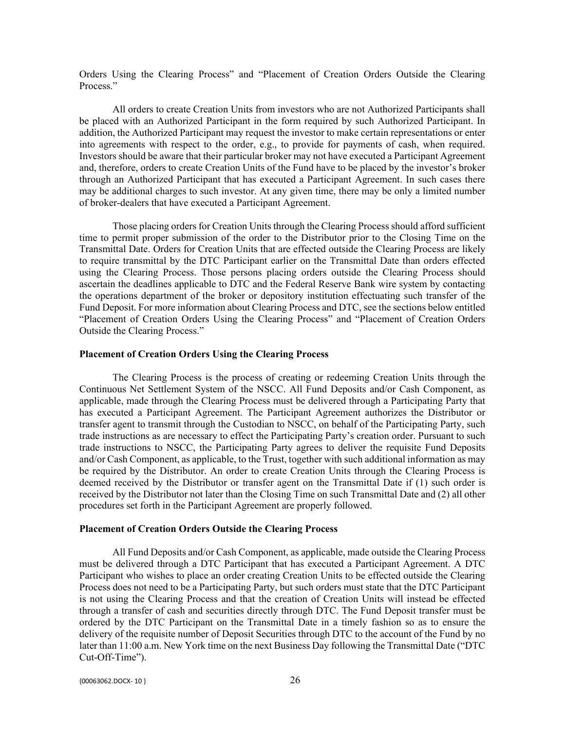Orders Using the Clearing Process" and "Placement of Creation Orders Outside the Clearing Process."

All orders to create Creation Units from investors who are not Authorized Participants shall be placed with an Authorized Participant in the form required by such Authorized Participant. In addition, the Authorized Participant may request the investor to make certain representations or enter into agreements with respect to the order, e.g., to provide for payments of cash, when required. Investors should be aware that their particular broker may not have executed a Participant Agreement and, therefore, orders to create Creation Units of the Fund have to be placed by the investor's broker through an Authorized Participant that has executed a Participant Agreement. In such cases there may be additional charges to such investor. At any given time, there may be only a limited number of broker-dealers that have executed a Participant Agreement.

Those placing orders for Creation Units through the Clearing Process should afford sufficient time to permit proper submission of the order to the Distributor prior to the Closing Time on the Transmittal Date. Orders for Creation Units that are effected outside the Clearing Process are likely to require transmittal by the DTC Participant earlier on the Transmittal Date than orders effected using the Clearing Process. Those persons placing orders outside the Clearing Process should ascertain the deadlines applicable to DTC and the Federal Reserve Bank wire system by contacting the operations department of the broker or depository institution effectuating such transfer of the Fund Deposit. For more information about Clearing Process and DTC, see the sections below entitled "Placement of Creation Orders Using the Clearing Process" and "Placement of Creation Orders Outside the Clearing Process."

### **Placement of Creation Orders Using the Clearing Process**

The Clearing Process is the process of creating or redeeming Creation Units through the Continuous Net Settlement System of the NSCC. All Fund Deposits and/or Cash Component, as applicable, made through the Clearing Process must be delivered through a Participating Party that has executed a Participant Agreement. The Participant Agreement authorizes the Distributor or transfer agent to transmit through the Custodian to NSCC, on behalf of the Participating Party, such trade instructions as are necessary to effect the Participating Party's creation order. Pursuant to such trade instructions to NSCC, the Participating Party agrees to deliver the requisite Fund Deposits and/or Cash Component, as applicable, to the Trust, together with such additional information as may be required by the Distributor. An order to create Creation Units through the Clearing Process is deemed received by the Distributor or transfer agent on the Transmittal Date if (1) such order is received by the Distributor not later than the Closing Time on such Transmittal Date and (2) all other procedures set forth in the Participant Agreement are properly followed.

#### **Placement of Creation Orders Outside the Clearing Process**

All Fund Deposits and/or Cash Component, as applicable, made outside the Clearing Process must be delivered through a DTC Participant that has executed a Participant Agreement. A DTC Participant who wishes to place an order creating Creation Units to be effected outside the Clearing Process does not need to be a Participating Party, but such orders must state that the DTC Participant is not using the Clearing Process and that the creation of Creation Units will instead be effected through a transfer of cash and securities directly through DTC. The Fund Deposit transfer must be ordered by the DTC Participant on the Transmittal Date in a timely fashion so as to ensure the delivery of the requisite number of Deposit Securities through DTC to the account of the Fund by no later than 11:00 a.m. New York time on the next Business Day following the Transmittal Date ("DTC Cut-Off-Time").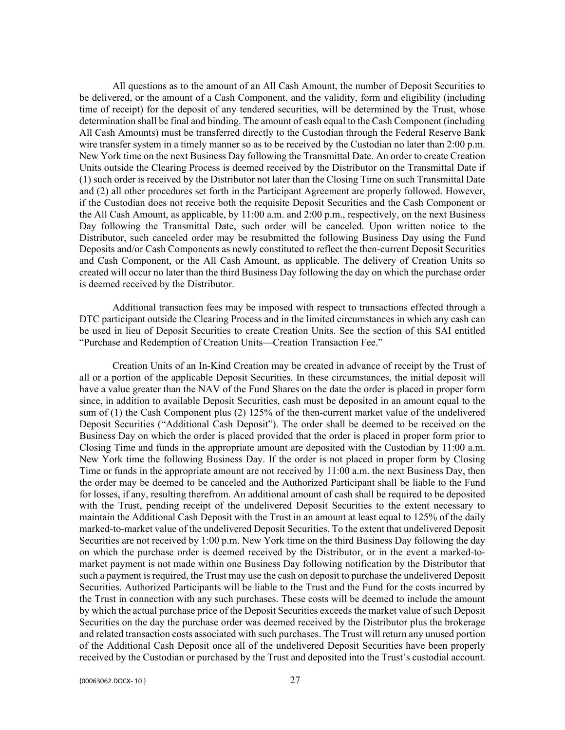All questions as to the amount of an All Cash Amount, the number of Deposit Securities to be delivered, or the amount of a Cash Component, and the validity, form and eligibility (including time of receipt) for the deposit of any tendered securities, will be determined by the Trust, whose determination shall be final and binding. The amount of cash equal to the Cash Component (including All Cash Amounts) must be transferred directly to the Custodian through the Federal Reserve Bank wire transfer system in a timely manner so as to be received by the Custodian no later than 2:00 p.m. New York time on the next Business Day following the Transmittal Date. An order to create Creation Units outside the Clearing Process is deemed received by the Distributor on the Transmittal Date if (1) such order is received by the Distributor not later than the Closing Time on such Transmittal Date and (2) all other procedures set forth in the Participant Agreement are properly followed. However, if the Custodian does not receive both the requisite Deposit Securities and the Cash Component or the All Cash Amount, as applicable, by 11:00 a.m. and 2:00 p.m., respectively, on the next Business Day following the Transmittal Date, such order will be canceled. Upon written notice to the Distributor, such canceled order may be resubmitted the following Business Day using the Fund Deposits and/or Cash Components as newly constituted to reflect the then-current Deposit Securities and Cash Component, or the All Cash Amount, as applicable. The delivery of Creation Units so created will occur no later than the third Business Day following the day on which the purchase order is deemed received by the Distributor.

Additional transaction fees may be imposed with respect to transactions effected through a DTC participant outside the Clearing Process and in the limited circumstances in which any cash can be used in lieu of Deposit Securities to create Creation Units. See the section of this SAI entitled "Purchase and Redemption of Creation Units—Creation Transaction Fee."

Creation Units of an In-Kind Creation may be created in advance of receipt by the Trust of all or a portion of the applicable Deposit Securities. In these circumstances, the initial deposit will have a value greater than the NAV of the Fund Shares on the date the order is placed in proper form since, in addition to available Deposit Securities, cash must be deposited in an amount equal to the sum of (1) the Cash Component plus (2) 125% of the then-current market value of the undelivered Deposit Securities ("Additional Cash Deposit"). The order shall be deemed to be received on the Business Day on which the order is placed provided that the order is placed in proper form prior to Closing Time and funds in the appropriate amount are deposited with the Custodian by 11:00 a.m. New York time the following Business Day. If the order is not placed in proper form by Closing Time or funds in the appropriate amount are not received by 11:00 a.m. the next Business Day, then the order may be deemed to be canceled and the Authorized Participant shall be liable to the Fund for losses, if any, resulting therefrom. An additional amount of cash shall be required to be deposited with the Trust, pending receipt of the undelivered Deposit Securities to the extent necessary to maintain the Additional Cash Deposit with the Trust in an amount at least equal to 125% of the daily marked-to-market value of the undelivered Deposit Securities. To the extent that undelivered Deposit Securities are not received by 1:00 p.m. New York time on the third Business Day following the day on which the purchase order is deemed received by the Distributor, or in the event a marked-tomarket payment is not made within one Business Day following notification by the Distributor that such a payment is required, the Trust may use the cash on deposit to purchase the undelivered Deposit Securities. Authorized Participants will be liable to the Trust and the Fund for the costs incurred by the Trust in connection with any such purchases. These costs will be deemed to include the amount by which the actual purchase price of the Deposit Securities exceeds the market value of such Deposit Securities on the day the purchase order was deemed received by the Distributor plus the brokerage and related transaction costs associated with such purchases. The Trust will return any unused portion of the Additional Cash Deposit once all of the undelivered Deposit Securities have been properly received by the Custodian or purchased by the Trust and deposited into the Trust's custodial account.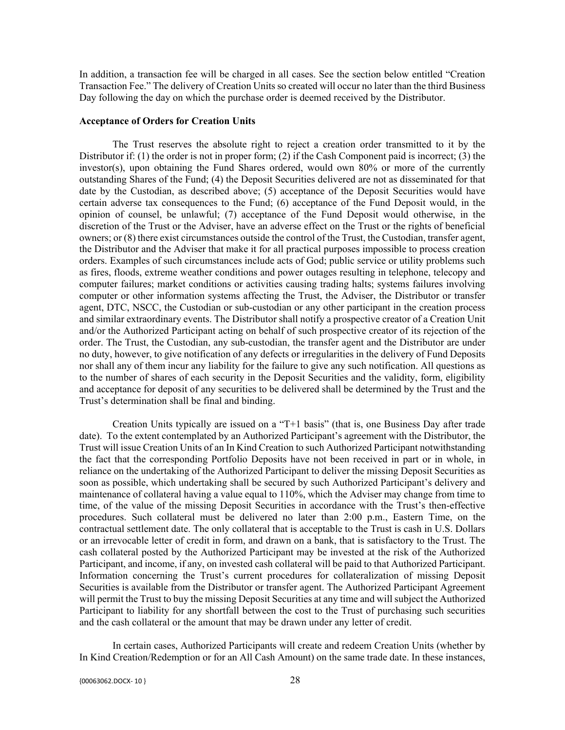In addition, a transaction fee will be charged in all cases. See the section below entitled "Creation Transaction Fee." The delivery of Creation Units so created will occur no later than the third Business Day following the day on which the purchase order is deemed received by the Distributor.

## **Acceptance of Orders for Creation Units**

The Trust reserves the absolute right to reject a creation order transmitted to it by the Distributor if: (1) the order is not in proper form; (2) if the Cash Component paid is incorrect; (3) the investor(s), upon obtaining the Fund Shares ordered, would own 80% or more of the currently outstanding Shares of the Fund; (4) the Deposit Securities delivered are not as disseminated for that date by the Custodian, as described above; (5) acceptance of the Deposit Securities would have certain adverse tax consequences to the Fund; (6) acceptance of the Fund Deposit would, in the opinion of counsel, be unlawful; (7) acceptance of the Fund Deposit would otherwise, in the discretion of the Trust or the Adviser, have an adverse effect on the Trust or the rights of beneficial owners; or (8) there exist circumstances outside the control of the Trust, the Custodian, transfer agent, the Distributor and the Adviser that make it for all practical purposes impossible to process creation orders. Examples of such circumstances include acts of God; public service or utility problems such as fires, floods, extreme weather conditions and power outages resulting in telephone, telecopy and computer failures; market conditions or activities causing trading halts; systems failures involving computer or other information systems affecting the Trust, the Adviser, the Distributor or transfer agent, DTC, NSCC, the Custodian or sub-custodian or any other participant in the creation process and similar extraordinary events. The Distributor shall notify a prospective creator of a Creation Unit and/or the Authorized Participant acting on behalf of such prospective creator of its rejection of the order. The Trust, the Custodian, any sub-custodian, the transfer agent and the Distributor are under no duty, however, to give notification of any defects or irregularities in the delivery of Fund Deposits nor shall any of them incur any liability for the failure to give any such notification. All questions as to the number of shares of each security in the Deposit Securities and the validity, form, eligibility and acceptance for deposit of any securities to be delivered shall be determined by the Trust and the Trust's determination shall be final and binding.

Creation Units typically are issued on a "T+1 basis" (that is, one Business Day after trade date). To the extent contemplated by an Authorized Participant's agreement with the Distributor, the Trust will issue Creation Units of an In Kind Creation to such Authorized Participant notwithstanding the fact that the corresponding Portfolio Deposits have not been received in part or in whole, in reliance on the undertaking of the Authorized Participant to deliver the missing Deposit Securities as soon as possible, which undertaking shall be secured by such Authorized Participant's delivery and maintenance of collateral having a value equal to 110%, which the Adviser may change from time to time, of the value of the missing Deposit Securities in accordance with the Trust's then-effective procedures. Such collateral must be delivered no later than 2:00 p.m., Eastern Time, on the contractual settlement date. The only collateral that is acceptable to the Trust is cash in U.S. Dollars or an irrevocable letter of credit in form, and drawn on a bank, that is satisfactory to the Trust. The cash collateral posted by the Authorized Participant may be invested at the risk of the Authorized Participant, and income, if any, on invested cash collateral will be paid to that Authorized Participant. Information concerning the Trust's current procedures for collateralization of missing Deposit Securities is available from the Distributor or transfer agent. The Authorized Participant Agreement will permit the Trust to buy the missing Deposit Securities at any time and will subject the Authorized Participant to liability for any shortfall between the cost to the Trust of purchasing such securities and the cash collateral or the amount that may be drawn under any letter of credit.

In certain cases, Authorized Participants will create and redeem Creation Units (whether by In Kind Creation/Redemption or for an All Cash Amount) on the same trade date. In these instances,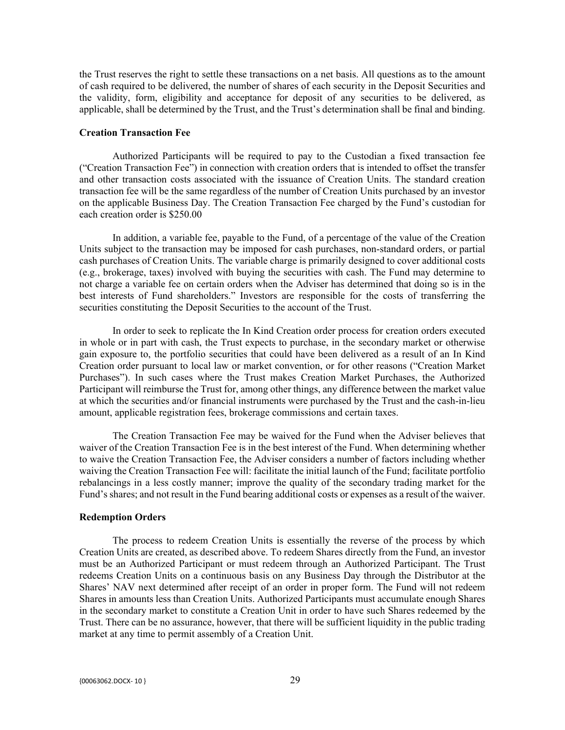the Trust reserves the right to settle these transactions on a net basis. All questions as to the amount of cash required to be delivered, the number of shares of each security in the Deposit Securities and the validity, form, eligibility and acceptance for deposit of any securities to be delivered, as applicable, shall be determined by the Trust, and the Trust's determination shall be final and binding.

#### **Creation Transaction Fee**

Authorized Participants will be required to pay to the Custodian a fixed transaction fee ("Creation Transaction Fee") in connection with creation orders that is intended to offset the transfer and other transaction costs associated with the issuance of Creation Units. The standard creation transaction fee will be the same regardless of the number of Creation Units purchased by an investor on the applicable Business Day. The Creation Transaction Fee charged by the Fund's custodian for each creation order is \$250.00

In addition, a variable fee, payable to the Fund, of a percentage of the value of the Creation Units subject to the transaction may be imposed for cash purchases, non-standard orders, or partial cash purchases of Creation Units. The variable charge is primarily designed to cover additional costs (e.g., brokerage, taxes) involved with buying the securities with cash. The Fund may determine to not charge a variable fee on certain orders when the Adviser has determined that doing so is in the best interests of Fund shareholders." Investors are responsible for the costs of transferring the securities constituting the Deposit Securities to the account of the Trust.

In order to seek to replicate the In Kind Creation order process for creation orders executed in whole or in part with cash, the Trust expects to purchase, in the secondary market or otherwise gain exposure to, the portfolio securities that could have been delivered as a result of an In Kind Creation order pursuant to local law or market convention, or for other reasons ("Creation Market Purchases"). In such cases where the Trust makes Creation Market Purchases, the Authorized Participant will reimburse the Trust for, among other things, any difference between the market value at which the securities and/or financial instruments were purchased by the Trust and the cash-in-lieu amount, applicable registration fees, brokerage commissions and certain taxes.

The Creation Transaction Fee may be waived for the Fund when the Adviser believes that waiver of the Creation Transaction Fee is in the best interest of the Fund. When determining whether to waive the Creation Transaction Fee, the Adviser considers a number of factors including whether waiving the Creation Transaction Fee will: facilitate the initial launch of the Fund; facilitate portfolio rebalancings in a less costly manner; improve the quality of the secondary trading market for the Fund's shares; and not result in the Fund bearing additional costs or expenses as a result of the waiver.

#### **Redemption Orders**

The process to redeem Creation Units is essentially the reverse of the process by which Creation Units are created, as described above. To redeem Shares directly from the Fund, an investor must be an Authorized Participant or must redeem through an Authorized Participant. The Trust redeems Creation Units on a continuous basis on any Business Day through the Distributor at the Shares' NAV next determined after receipt of an order in proper form. The Fund will not redeem Shares in amounts less than Creation Units. Authorized Participants must accumulate enough Shares in the secondary market to constitute a Creation Unit in order to have such Shares redeemed by the Trust. There can be no assurance, however, that there will be sufficient liquidity in the public trading market at any time to permit assembly of a Creation Unit.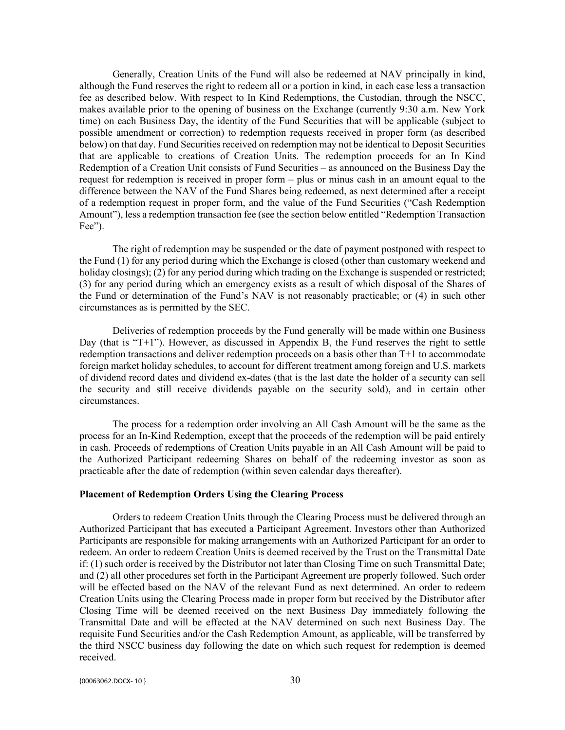Generally, Creation Units of the Fund will also be redeemed at NAV principally in kind, although the Fund reserves the right to redeem all or a portion in kind, in each case less a transaction fee as described below. With respect to In Kind Redemptions, the Custodian, through the NSCC, makes available prior to the opening of business on the Exchange (currently 9:30 a.m. New York time) on each Business Day, the identity of the Fund Securities that will be applicable (subject to possible amendment or correction) to redemption requests received in proper form (as described below) on that day. Fund Securities received on redemption may not be identical to Deposit Securities that are applicable to creations of Creation Units. The redemption proceeds for an In Kind Redemption of a Creation Unit consists of Fund Securities – as announced on the Business Day the request for redemption is received in proper form – plus or minus cash in an amount equal to the difference between the NAV of the Fund Shares being redeemed, as next determined after a receipt of a redemption request in proper form, and the value of the Fund Securities ("Cash Redemption Amount"), less a redemption transaction fee (see the section below entitled "Redemption Transaction Fee").

The right of redemption may be suspended or the date of payment postponed with respect to the Fund (1) for any period during which the Exchange is closed (other than customary weekend and holiday closings); (2) for any period during which trading on the Exchange is suspended or restricted; (3) for any period during which an emergency exists as a result of which disposal of the Shares of the Fund or determination of the Fund's NAV is not reasonably practicable; or (4) in such other circumstances as is permitted by the SEC.

Deliveries of redemption proceeds by the Fund generally will be made within one Business Day (that is " $T+1$ "). However, as discussed in Appendix B, the Fund reserves the right to settle redemption transactions and deliver redemption proceeds on a basis other than T+1 to accommodate foreign market holiday schedules, to account for different treatment among foreign and U.S. markets of dividend record dates and dividend ex-dates (that is the last date the holder of a security can sell the security and still receive dividends payable on the security sold), and in certain other circumstances.

The process for a redemption order involving an All Cash Amount will be the same as the process for an In-Kind Redemption, except that the proceeds of the redemption will be paid entirely in cash. Proceeds of redemptions of Creation Units payable in an All Cash Amount will be paid to the Authorized Participant redeeming Shares on behalf of the redeeming investor as soon as practicable after the date of redemption (within seven calendar days thereafter).

#### **Placement of Redemption Orders Using the Clearing Process**

Orders to redeem Creation Units through the Clearing Process must be delivered through an Authorized Participant that has executed a Participant Agreement. Investors other than Authorized Participants are responsible for making arrangements with an Authorized Participant for an order to redeem. An order to redeem Creation Units is deemed received by the Trust on the Transmittal Date if: (1) such order is received by the Distributor not later than Closing Time on such Transmittal Date; and (2) all other procedures set forth in the Participant Agreement are properly followed. Such order will be effected based on the NAV of the relevant Fund as next determined. An order to redeem Creation Units using the Clearing Process made in proper form but received by the Distributor after Closing Time will be deemed received on the next Business Day immediately following the Transmittal Date and will be effected at the NAV determined on such next Business Day. The requisite Fund Securities and/or the Cash Redemption Amount, as applicable, will be transferred by the third NSCC business day following the date on which such request for redemption is deemed received.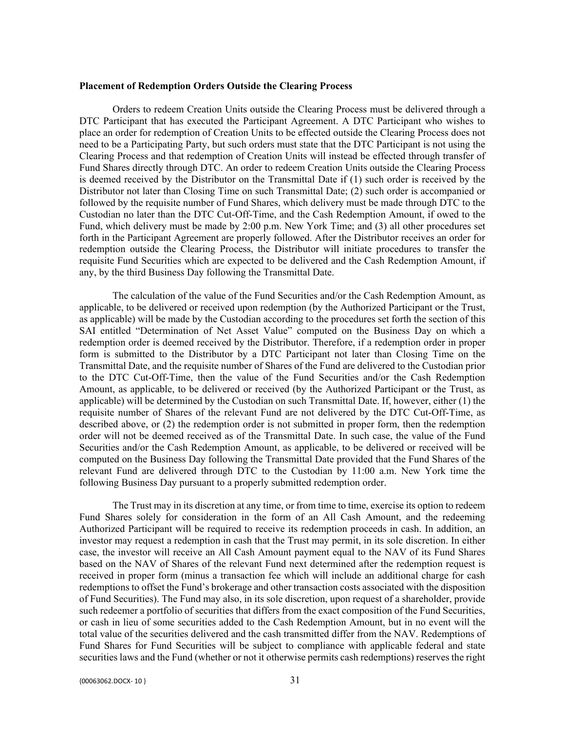## **Placement of Redemption Orders Outside the Clearing Process**

Orders to redeem Creation Units outside the Clearing Process must be delivered through a DTC Participant that has executed the Participant Agreement. A DTC Participant who wishes to place an order for redemption of Creation Units to be effected outside the Clearing Process does not need to be a Participating Party, but such orders must state that the DTC Participant is not using the Clearing Process and that redemption of Creation Units will instead be effected through transfer of Fund Shares directly through DTC. An order to redeem Creation Units outside the Clearing Process is deemed received by the Distributor on the Transmittal Date if (1) such order is received by the Distributor not later than Closing Time on such Transmittal Date; (2) such order is accompanied or followed by the requisite number of Fund Shares, which delivery must be made through DTC to the Custodian no later than the DTC Cut-Off-Time, and the Cash Redemption Amount, if owed to the Fund, which delivery must be made by 2:00 p.m. New York Time; and (3) all other procedures set forth in the Participant Agreement are properly followed. After the Distributor receives an order for redemption outside the Clearing Process, the Distributor will initiate procedures to transfer the requisite Fund Securities which are expected to be delivered and the Cash Redemption Amount, if any, by the third Business Day following the Transmittal Date.

The calculation of the value of the Fund Securities and/or the Cash Redemption Amount, as applicable, to be delivered or received upon redemption (by the Authorized Participant or the Trust, as applicable) will be made by the Custodian according to the procedures set forth the section of this SAI entitled "Determination of Net Asset Value" computed on the Business Day on which a redemption order is deemed received by the Distributor. Therefore, if a redemption order in proper form is submitted to the Distributor by a DTC Participant not later than Closing Time on the Transmittal Date, and the requisite number of Shares of the Fund are delivered to the Custodian prior to the DTC Cut-Off-Time, then the value of the Fund Securities and/or the Cash Redemption Amount, as applicable, to be delivered or received (by the Authorized Participant or the Trust, as applicable) will be determined by the Custodian on such Transmittal Date. If, however, either (1) the requisite number of Shares of the relevant Fund are not delivered by the DTC Cut-Off-Time, as described above, or (2) the redemption order is not submitted in proper form, then the redemption order will not be deemed received as of the Transmittal Date. In such case, the value of the Fund Securities and/or the Cash Redemption Amount, as applicable, to be delivered or received will be computed on the Business Day following the Transmittal Date provided that the Fund Shares of the relevant Fund are delivered through DTC to the Custodian by 11:00 a.m. New York time the following Business Day pursuant to a properly submitted redemption order.

The Trust may in its discretion at any time, or from time to time, exercise its option to redeem Fund Shares solely for consideration in the form of an All Cash Amount, and the redeeming Authorized Participant will be required to receive its redemption proceeds in cash. In addition, an investor may request a redemption in cash that the Trust may permit, in its sole discretion. In either case, the investor will receive an All Cash Amount payment equal to the NAV of its Fund Shares based on the NAV of Shares of the relevant Fund next determined after the redemption request is received in proper form (minus a transaction fee which will include an additional charge for cash redemptions to offset the Fund's brokerage and other transaction costs associated with the disposition of Fund Securities). The Fund may also, in its sole discretion, upon request of a shareholder, provide such redeemer a portfolio of securities that differs from the exact composition of the Fund Securities, or cash in lieu of some securities added to the Cash Redemption Amount, but in no event will the total value of the securities delivered and the cash transmitted differ from the NAV. Redemptions of Fund Shares for Fund Securities will be subject to compliance with applicable federal and state securities laws and the Fund (whether or not it otherwise permits cash redemptions) reserves the right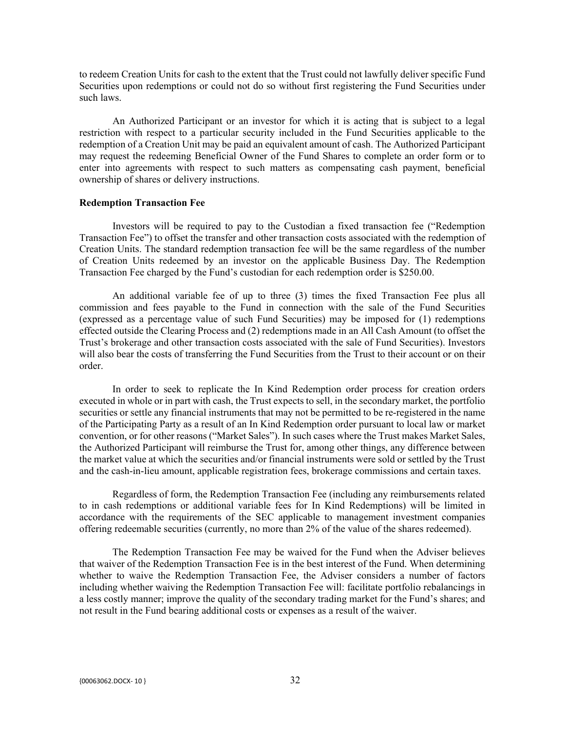to redeem Creation Units for cash to the extent that the Trust could not lawfully deliver specific Fund Securities upon redemptions or could not do so without first registering the Fund Securities under such laws.

An Authorized Participant or an investor for which it is acting that is subject to a legal restriction with respect to a particular security included in the Fund Securities applicable to the redemption of a Creation Unit may be paid an equivalent amount of cash. The Authorized Participant may request the redeeming Beneficial Owner of the Fund Shares to complete an order form or to enter into agreements with respect to such matters as compensating cash payment, beneficial ownership of shares or delivery instructions.

## **Redemption Transaction Fee**

Investors will be required to pay to the Custodian a fixed transaction fee ("Redemption Transaction Fee") to offset the transfer and other transaction costs associated with the redemption of Creation Units. The standard redemption transaction fee will be the same regardless of the number of Creation Units redeemed by an investor on the applicable Business Day. The Redemption Transaction Fee charged by the Fund's custodian for each redemption order is \$250.00.

An additional variable fee of up to three (3) times the fixed Transaction Fee plus all commission and fees payable to the Fund in connection with the sale of the Fund Securities (expressed as a percentage value of such Fund Securities) may be imposed for (1) redemptions effected outside the Clearing Process and (2) redemptions made in an All Cash Amount (to offset the Trust's brokerage and other transaction costs associated with the sale of Fund Securities). Investors will also bear the costs of transferring the Fund Securities from the Trust to their account or on their order.

In order to seek to replicate the In Kind Redemption order process for creation orders executed in whole or in part with cash, the Trust expects to sell, in the secondary market, the portfolio securities or settle any financial instruments that may not be permitted to be re-registered in the name of the Participating Party as a result of an In Kind Redemption order pursuant to local law or market convention, or for other reasons ("Market Sales"). In such cases where the Trust makes Market Sales, the Authorized Participant will reimburse the Trust for, among other things, any difference between the market value at which the securities and/or financial instruments were sold or settled by the Trust and the cash-in-lieu amount, applicable registration fees, brokerage commissions and certain taxes.

Regardless of form, the Redemption Transaction Fee (including any reimbursements related to in cash redemptions or additional variable fees for In Kind Redemptions) will be limited in accordance with the requirements of the SEC applicable to management investment companies offering redeemable securities (currently, no more than 2% of the value of the shares redeemed).

The Redemption Transaction Fee may be waived for the Fund when the Adviser believes that waiver of the Redemption Transaction Fee is in the best interest of the Fund. When determining whether to waive the Redemption Transaction Fee, the Adviser considers a number of factors including whether waiving the Redemption Transaction Fee will: facilitate portfolio rebalancings in a less costly manner; improve the quality of the secondary trading market for the Fund's shares; and not result in the Fund bearing additional costs or expenses as a result of the waiver.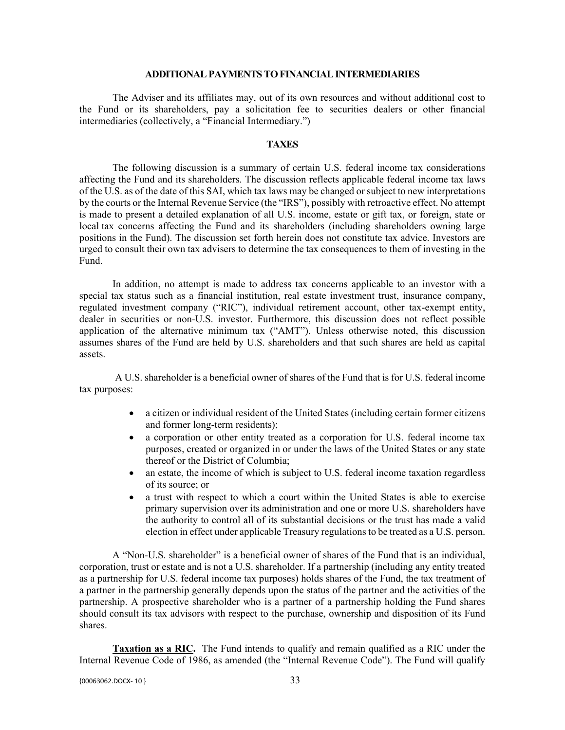#### **ADDITIONAL PAYMENTS TO FINANCIAL INTERMEDIARIES**

The Adviser and its affiliates may, out of its own resources and without additional cost to the Fund or its shareholders, pay a solicitation fee to securities dealers or other financial intermediaries (collectively, a "Financial Intermediary.")

## **TAXES**

The following discussion is a summary of certain U.S. federal income tax considerations affecting the Fund and its shareholders. The discussion reflects applicable federal income tax laws of the U.S. as of the date of this SAI, which tax laws may be changed or subject to new interpretations by the courts or the Internal Revenue Service (the "IRS"), possibly with retroactive effect. No attempt is made to present a detailed explanation of all U.S. income, estate or gift tax, or foreign, state or local tax concerns affecting the Fund and its shareholders (including shareholders owning large positions in the Fund). The discussion set forth herein does not constitute tax advice. Investors are urged to consult their own tax advisers to determine the tax consequences to them of investing in the Fund.

In addition, no attempt is made to address tax concerns applicable to an investor with a special tax status such as a financial institution, real estate investment trust, insurance company, regulated investment company ("RIC"), individual retirement account, other tax-exempt entity, dealer in securities or non-U.S. investor. Furthermore, this discussion does not reflect possible application of the alternative minimum tax ("AMT"). Unless otherwise noted, this discussion assumes shares of the Fund are held by U.S. shareholders and that such shares are held as capital assets.

A U.S. shareholder is a beneficial owner of shares of the Fund that is for U.S. federal income tax purposes:

- a citizen or individual resident of the United States (including certain former citizens and former long-term residents);
- a corporation or other entity treated as a corporation for U.S. federal income tax purposes, created or organized in or under the laws of the United States or any state thereof or the District of Columbia;
- an estate, the income of which is subject to U.S. federal income taxation regardless of its source; or
- a trust with respect to which a court within the United States is able to exercise primary supervision over its administration and one or more U.S. shareholders have the authority to control all of its substantial decisions or the trust has made a valid election in effect under applicable Treasury regulations to be treated as a U.S. person.

A "Non-U.S. shareholder" is a beneficial owner of shares of the Fund that is an individual, corporation, trust or estate and is not a U.S. shareholder. If a partnership (including any entity treated as a partnership for U.S. federal income tax purposes) holds shares of the Fund, the tax treatment of a partner in the partnership generally depends upon the status of the partner and the activities of the partnership. A prospective shareholder who is a partner of a partnership holding the Fund shares should consult its tax advisors with respect to the purchase, ownership and disposition of its Fund shares.

**Taxation as a RIC.** The Fund intends to qualify and remain qualified as a RIC under the Internal Revenue Code of 1986, as amended (the "Internal Revenue Code"). The Fund will qualify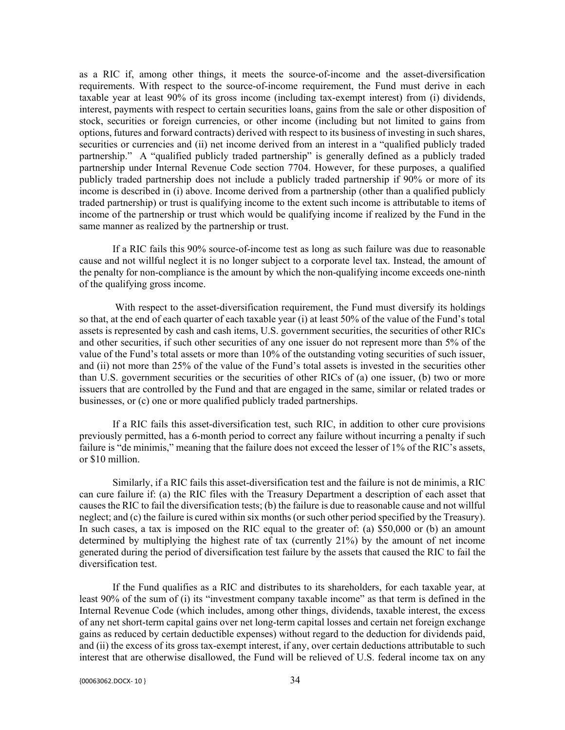as a RIC if, among other things, it meets the source-of-income and the asset-diversification requirements. With respect to the source-of-income requirement, the Fund must derive in each taxable year at least 90% of its gross income (including tax-exempt interest) from (i) dividends, interest, payments with respect to certain securities loans, gains from the sale or other disposition of stock, securities or foreign currencies, or other income (including but not limited to gains from options, futures and forward contracts) derived with respect to its business of investing in such shares, securities or currencies and (ii) net income derived from an interest in a "qualified publicly traded partnership." A "qualified publicly traded partnership" is generally defined as a publicly traded partnership under Internal Revenue Code section 7704. However, for these purposes, a qualified publicly traded partnership does not include a publicly traded partnership if 90% or more of its income is described in (i) above. Income derived from a partnership (other than a qualified publicly traded partnership) or trust is qualifying income to the extent such income is attributable to items of income of the partnership or trust which would be qualifying income if realized by the Fund in the same manner as realized by the partnership or trust.

If a RIC fails this 90% source-of-income test as long as such failure was due to reasonable cause and not willful neglect it is no longer subject to a corporate level tax. Instead, the amount of the penalty for non-compliance is the amount by which the non-qualifying income exceeds one-ninth of the qualifying gross income.

With respect to the asset-diversification requirement, the Fund must diversify its holdings so that, at the end of each quarter of each taxable year (i) at least 50% of the value of the Fund's total assets is represented by cash and cash items, U.S. government securities, the securities of other RICs and other securities, if such other securities of any one issuer do not represent more than 5% of the value of the Fund's total assets or more than 10% of the outstanding voting securities of such issuer, and (ii) not more than 25% of the value of the Fund's total assets is invested in the securities other than U.S. government securities or the securities of other RICs of (a) one issuer, (b) two or more issuers that are controlled by the Fund and that are engaged in the same, similar or related trades or businesses, or (c) one or more qualified publicly traded partnerships.

If a RIC fails this asset-diversification test, such RIC, in addition to other cure provisions previously permitted, has a 6-month period to correct any failure without incurring a penalty if such failure is "de minimis," meaning that the failure does not exceed the lesser of 1% of the RIC's assets, or \$10 million.

Similarly, if a RIC fails this asset-diversification test and the failure is not de minimis, a RIC can cure failure if: (a) the RIC files with the Treasury Department a description of each asset that causes the RIC to fail the diversification tests; (b) the failure is due to reasonable cause and not willful neglect; and (c) the failure is cured within six months (or such other period specified by the Treasury). In such cases, a tax is imposed on the RIC equal to the greater of: (a) \$50,000 or (b) an amount determined by multiplying the highest rate of tax (currently 21%) by the amount of net income generated during the period of diversification test failure by the assets that caused the RIC to fail the diversification test.

If the Fund qualifies as a RIC and distributes to its shareholders, for each taxable year, at least 90% of the sum of (i) its "investment company taxable income" as that term is defined in the Internal Revenue Code (which includes, among other things, dividends, taxable interest, the excess of any net short-term capital gains over net long-term capital losses and certain net foreign exchange gains as reduced by certain deductible expenses) without regard to the deduction for dividends paid, and (ii) the excess of its gross tax-exempt interest, if any, over certain deductions attributable to such interest that are otherwise disallowed, the Fund will be relieved of U.S. federal income tax on any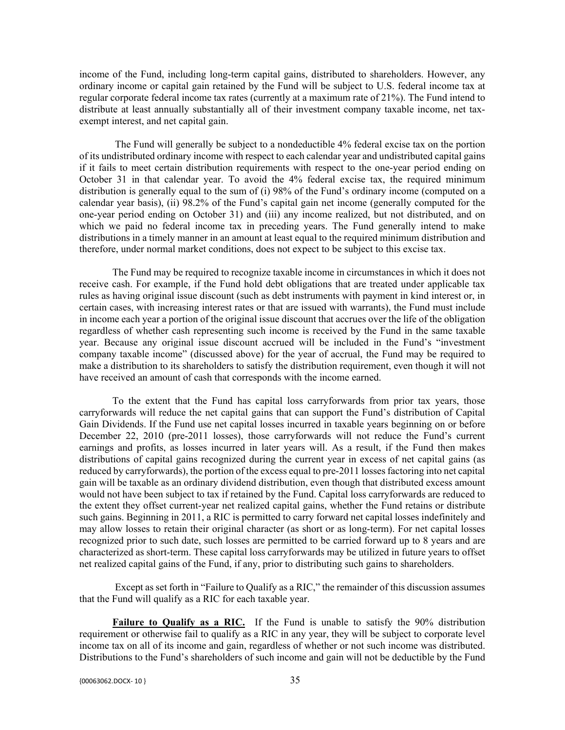income of the Fund, including long-term capital gains, distributed to shareholders. However, any ordinary income or capital gain retained by the Fund will be subject to U.S. federal income tax at regular corporate federal income tax rates (currently at a maximum rate of 21%). The Fund intend to distribute at least annually substantially all of their investment company taxable income, net taxexempt interest, and net capital gain.

The Fund will generally be subject to a nondeductible 4% federal excise tax on the portion of its undistributed ordinary income with respect to each calendar year and undistributed capital gains if it fails to meet certain distribution requirements with respect to the one-year period ending on October 31 in that calendar year. To avoid the 4% federal excise tax, the required minimum distribution is generally equal to the sum of (i) 98% of the Fund's ordinary income (computed on a calendar year basis), (ii) 98.2% of the Fund's capital gain net income (generally computed for the one-year period ending on October 31) and (iii) any income realized, but not distributed, and on which we paid no federal income tax in preceding years. The Fund generally intend to make distributions in a timely manner in an amount at least equal to the required minimum distribution and therefore, under normal market conditions, does not expect to be subject to this excise tax.

The Fund may be required to recognize taxable income in circumstances in which it does not receive cash. For example, if the Fund hold debt obligations that are treated under applicable tax rules as having original issue discount (such as debt instruments with payment in kind interest or, in certain cases, with increasing interest rates or that are issued with warrants), the Fund must include in income each year a portion of the original issue discount that accrues over the life of the obligation regardless of whether cash representing such income is received by the Fund in the same taxable year. Because any original issue discount accrued will be included in the Fund's "investment company taxable income" (discussed above) for the year of accrual, the Fund may be required to make a distribution to its shareholders to satisfy the distribution requirement, even though it will not have received an amount of cash that corresponds with the income earned.

To the extent that the Fund has capital loss carryforwards from prior tax years, those carryforwards will reduce the net capital gains that can support the Fund's distribution of Capital Gain Dividends. If the Fund use net capital losses incurred in taxable years beginning on or before December 22, 2010 (pre-2011 losses), those carryforwards will not reduce the Fund's current earnings and profits, as losses incurred in later years will. As a result, if the Fund then makes distributions of capital gains recognized during the current year in excess of net capital gains (as reduced by carryforwards), the portion of the excess equal to pre-2011 losses factoring into net capital gain will be taxable as an ordinary dividend distribution, even though that distributed excess amount would not have been subject to tax if retained by the Fund. Capital loss carryforwards are reduced to the extent they offset current-year net realized capital gains, whether the Fund retains or distribute such gains. Beginning in 2011, a RIC is permitted to carry forward net capital losses indefinitely and may allow losses to retain their original character (as short or as long-term). For net capital losses recognized prior to such date, such losses are permitted to be carried forward up to 8 years and are characterized as short-term. These capital loss carryforwards may be utilized in future years to offset net realized capital gains of the Fund, if any, prior to distributing such gains to shareholders.

Except as set forth in "Failure to Qualify as a RIC," the remainder of this discussion assumes that the Fund will qualify as a RIC for each taxable year.

**Failure to Qualify as a RIC.** If the Fund is unable to satisfy the 90% distribution requirement or otherwise fail to qualify as a RIC in any year, they will be subject to corporate level income tax on all of its income and gain, regardless of whether or not such income was distributed. Distributions to the Fund's shareholders of such income and gain will not be deductible by the Fund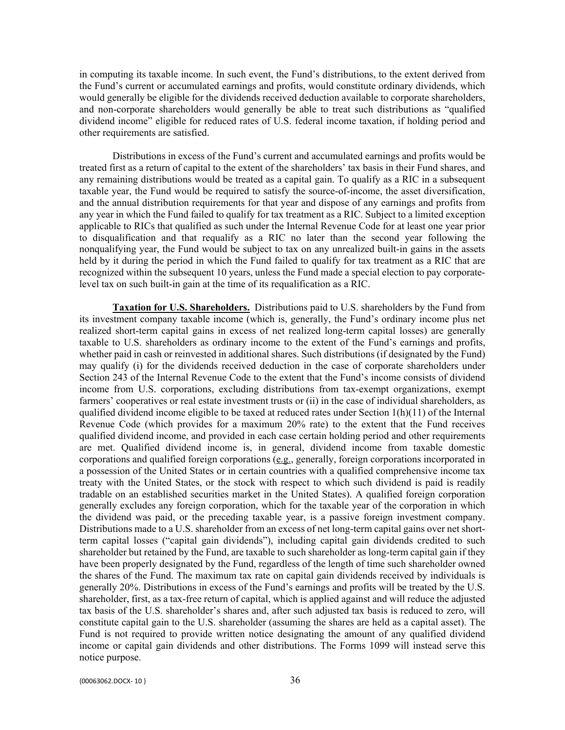in computing its taxable income. In such event, the Fund's distributions, to the extent derived from the Fund's current or accumulated earnings and profits, would constitute ordinary dividends, which would generally be eligible for the dividends received deduction available to corporate shareholders, and non-corporate shareholders would generally be able to treat such distributions as "qualified dividend income" eligible for reduced rates of U.S. federal income taxation, if holding period and other requirements are satisfied.

Distributions in excess of the Fund's current and accumulated earnings and profits would be treated first as a return of capital to the extent of the shareholders' tax basis in their Fund shares, and any remaining distributions would be treated as a capital gain. To qualify as a RIC in a subsequent taxable year, the Fund would be required to satisfy the source-of-income, the asset diversification, and the annual distribution requirements for that year and dispose of any earnings and profits from any year in which the Fund failed to qualify for tax treatment as a RIC. Subject to a limited exception applicable to RICs that qualified as such under the Internal Revenue Code for at least one year prior to disqualification and that requalify as a RIC no later than the second year following the nonqualifying year, the Fund would be subject to tax on any unrealized built-in gains in the assets held by it during the period in which the Fund failed to qualify for tax treatment as a RIC that are recognized within the subsequent 10 years, unless the Fund made a special election to pay corporatelevel tax on such built-in gain at the time of its requalification as a RIC.

**Taxation for U.S. Shareholders.** Distributions paid to U.S. shareholders by the Fund from its investment company taxable income (which is, generally, the Fund's ordinary income plus net realized short-term capital gains in excess of net realized long-term capital losses) are generally taxable to U.S. shareholders as ordinary income to the extent of the Fund's earnings and profits, whether paid in cash or reinvested in additional shares. Such distributions (if designated by the Fund) may qualify (i) for the dividends received deduction in the case of corporate shareholders under Section 243 of the Internal Revenue Code to the extent that the Fund's income consists of dividend income from U.S. corporations, excluding distributions from tax-exempt organizations, exempt farmers' cooperatives or real estate investment trusts or (ii) in the case of individual shareholders, as qualified dividend income eligible to be taxed at reduced rates under Section 1(h)(11) of the Internal Revenue Code (which provides for a maximum 20% rate) to the extent that the Fund receives qualified dividend income, and provided in each case certain holding period and other requirements are met. Qualified dividend income is, in general, dividend income from taxable domestic corporations and qualified foreign corporations (e.g., generally, foreign corporations incorporated in a possession of the United States or in certain countries with a qualified comprehensive income tax treaty with the United States, or the stock with respect to which such dividend is paid is readily tradable on an established securities market in the United States). A qualified foreign corporation generally excludes any foreign corporation, which for the taxable year of the corporation in which the dividend was paid, or the preceding taxable year, is a passive foreign investment company. Distributions made to a U.S. shareholder from an excess of net long-term capital gains over net shortterm capital losses ("capital gain dividends"), including capital gain dividends credited to such shareholder but retained by the Fund, are taxable to such shareholder as long-term capital gain if they have been properly designated by the Fund, regardless of the length of time such shareholder owned the shares of the Fund. The maximum tax rate on capital gain dividends received by individuals is generally 20%. Distributions in excess of the Fund's earnings and profits will be treated by the U.S. shareholder, first, as a tax-free return of capital, which is applied against and will reduce the adjusted tax basis of the U.S. shareholder's shares and, after such adjusted tax basis is reduced to zero, will constitute capital gain to the U.S. shareholder (assuming the shares are held as a capital asset). The Fund is not required to provide written notice designating the amount of any qualified dividend income or capital gain dividends and other distributions. The Forms 1099 will instead serve this notice purpose.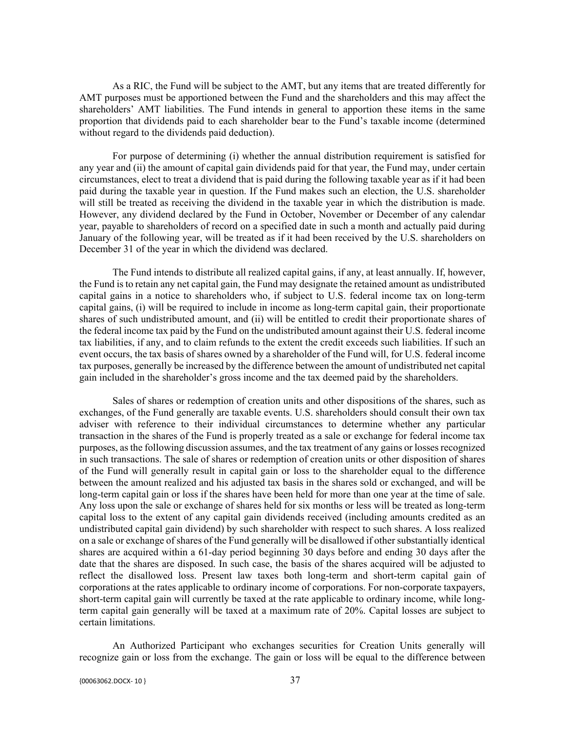As a RIC, the Fund will be subject to the AMT, but any items that are treated differently for AMT purposes must be apportioned between the Fund and the shareholders and this may affect the shareholders' AMT liabilities. The Fund intends in general to apportion these items in the same proportion that dividends paid to each shareholder bear to the Fund's taxable income (determined without regard to the dividends paid deduction).

For purpose of determining (i) whether the annual distribution requirement is satisfied for any year and (ii) the amount of capital gain dividends paid for that year, the Fund may, under certain circumstances, elect to treat a dividend that is paid during the following taxable year as if it had been paid during the taxable year in question. If the Fund makes such an election, the U.S. shareholder will still be treated as receiving the dividend in the taxable year in which the distribution is made. However, any dividend declared by the Fund in October, November or December of any calendar year, payable to shareholders of record on a specified date in such a month and actually paid during January of the following year, will be treated as if it had been received by the U.S. shareholders on December 31 of the year in which the dividend was declared.

The Fund intends to distribute all realized capital gains, if any, at least annually. If, however, the Fund is to retain any net capital gain, the Fund may designate the retained amount as undistributed capital gains in a notice to shareholders who, if subject to U.S. federal income tax on long-term capital gains, (i) will be required to include in income as long-term capital gain, their proportionate shares of such undistributed amount, and (ii) will be entitled to credit their proportionate shares of the federal income tax paid by the Fund on the undistributed amount against their U.S. federal income tax liabilities, if any, and to claim refunds to the extent the credit exceeds such liabilities. If such an event occurs, the tax basis of shares owned by a shareholder of the Fund will, for U.S. federal income tax purposes, generally be increased by the difference between the amount of undistributed net capital gain included in the shareholder's gross income and the tax deemed paid by the shareholders.

Sales of shares or redemption of creation units and other dispositions of the shares, such as exchanges, of the Fund generally are taxable events. U.S. shareholders should consult their own tax adviser with reference to their individual circumstances to determine whether any particular transaction in the shares of the Fund is properly treated as a sale or exchange for federal income tax purposes, as the following discussion assumes, and the tax treatment of any gains or losses recognized in such transactions. The sale of shares or redemption of creation units or other disposition of shares of the Fund will generally result in capital gain or loss to the shareholder equal to the difference between the amount realized and his adjusted tax basis in the shares sold or exchanged, and will be long-term capital gain or loss if the shares have been held for more than one year at the time of sale. Any loss upon the sale or exchange of shares held for six months or less will be treated as long-term capital loss to the extent of any capital gain dividends received (including amounts credited as an undistributed capital gain dividend) by such shareholder with respect to such shares. A loss realized on a sale or exchange of shares of the Fund generally will be disallowed if other substantially identical shares are acquired within a 61-day period beginning 30 days before and ending 30 days after the date that the shares are disposed. In such case, the basis of the shares acquired will be adjusted to reflect the disallowed loss. Present law taxes both long-term and short-term capital gain of corporations at the rates applicable to ordinary income of corporations. For non-corporate taxpayers, short-term capital gain will currently be taxed at the rate applicable to ordinary income, while longterm capital gain generally will be taxed at a maximum rate of 20%. Capital losses are subject to certain limitations.

An Authorized Participant who exchanges securities for Creation Units generally will recognize gain or loss from the exchange. The gain or loss will be equal to the difference between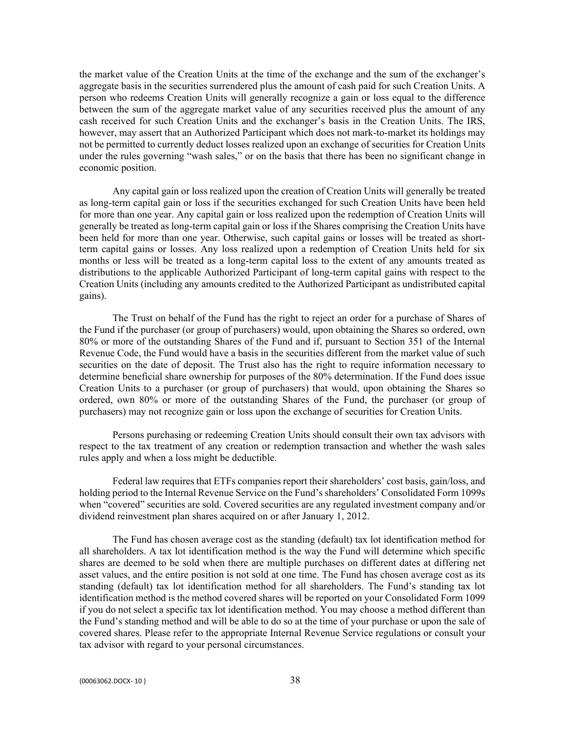the market value of the Creation Units at the time of the exchange and the sum of the exchanger's aggregate basis in the securities surrendered plus the amount of cash paid for such Creation Units. A person who redeems Creation Units will generally recognize a gain or loss equal to the difference between the sum of the aggregate market value of any securities received plus the amount of any cash received for such Creation Units and the exchanger's basis in the Creation Units. The IRS, however, may assert that an Authorized Participant which does not mark-to-market its holdings may not be permitted to currently deduct losses realized upon an exchange of securities for Creation Units under the rules governing "wash sales," or on the basis that there has been no significant change in economic position.

Any capital gain or loss realized upon the creation of Creation Units will generally be treated as long-term capital gain or loss if the securities exchanged for such Creation Units have been held for more than one year. Any capital gain or loss realized upon the redemption of Creation Units will generally be treated as long-term capital gain or loss if the Shares comprising the Creation Units have been held for more than one year. Otherwise, such capital gains or losses will be treated as shortterm capital gains or losses. Any loss realized upon a redemption of Creation Units held for six months or less will be treated as a long-term capital loss to the extent of any amounts treated as distributions to the applicable Authorized Participant of long-term capital gains with respect to the Creation Units (including any amounts credited to the Authorized Participant as undistributed capital gains).

The Trust on behalf of the Fund has the right to reject an order for a purchase of Shares of the Fund if the purchaser (or group of purchasers) would, upon obtaining the Shares so ordered, own 80% or more of the outstanding Shares of the Fund and if, pursuant to Section 351 of the Internal Revenue Code, the Fund would have a basis in the securities different from the market value of such securities on the date of deposit. The Trust also has the right to require information necessary to determine beneficial share ownership for purposes of the 80% determination. If the Fund does issue Creation Units to a purchaser (or group of purchasers) that would, upon obtaining the Shares so ordered, own 80% or more of the outstanding Shares of the Fund, the purchaser (or group of purchasers) may not recognize gain or loss upon the exchange of securities for Creation Units.

Persons purchasing or redeeming Creation Units should consult their own tax advisors with respect to the tax treatment of any creation or redemption transaction and whether the wash sales rules apply and when a loss might be deductible.

Federal law requires that ETFs companies report their shareholders' cost basis, gain/loss, and holding period to the Internal Revenue Service on the Fund's shareholders' Consolidated Form 1099s when "covered" securities are sold. Covered securities are any regulated investment company and/or dividend reinvestment plan shares acquired on or after January 1, 2012.

The Fund has chosen average cost as the standing (default) tax lot identification method for all shareholders. A tax lot identification method is the way the Fund will determine which specific shares are deemed to be sold when there are multiple purchases on different dates at differing net asset values, and the entire position is not sold at one time. The Fund has chosen average cost as its standing (default) tax lot identification method for all shareholders. The Fund's standing tax lot identification method is the method covered shares will be reported on your Consolidated Form 1099 if you do not select a specific tax lot identification method. You may choose a method different than the Fund's standing method and will be able to do so at the time of your purchase or upon the sale of covered shares. Please refer to the appropriate Internal Revenue Service regulations or consult your tax advisor with regard to your personal circumstances.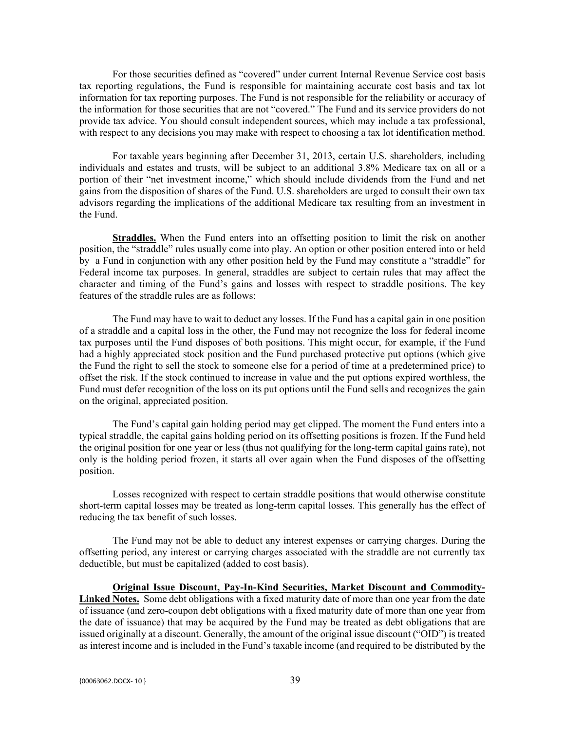For those securities defined as "covered" under current Internal Revenue Service cost basis tax reporting regulations, the Fund is responsible for maintaining accurate cost basis and tax lot information for tax reporting purposes. The Fund is not responsible for the reliability or accuracy of the information for those securities that are not "covered." The Fund and its service providers do not provide tax advice. You should consult independent sources, which may include a tax professional, with respect to any decisions you may make with respect to choosing a tax lot identification method.

For taxable years beginning after December 31, 2013, certain U.S. shareholders, including individuals and estates and trusts, will be subject to an additional 3.8% Medicare tax on all or a portion of their "net investment income," which should include dividends from the Fund and net gains from the disposition of shares of the Fund. U.S. shareholders are urged to consult their own tax advisors regarding the implications of the additional Medicare tax resulting from an investment in the Fund.

**Straddles.** When the Fund enters into an offsetting position to limit the risk on another position, the "straddle" rules usually come into play. An option or other position entered into or held by a Fund in conjunction with any other position held by the Fund may constitute a "straddle" for Federal income tax purposes. In general, straddles are subject to certain rules that may affect the character and timing of the Fund's gains and losses with respect to straddle positions. The key features of the straddle rules are as follows:

The Fund may have to wait to deduct any losses. If the Fund has a capital gain in one position of a straddle and a capital loss in the other, the Fund may not recognize the loss for federal income tax purposes until the Fund disposes of both positions. This might occur, for example, if the Fund had a highly appreciated stock position and the Fund purchased protective put options (which give the Fund the right to sell the stock to someone else for a period of time at a predetermined price) to offset the risk. If the stock continued to increase in value and the put options expired worthless, the Fund must defer recognition of the loss on its put options until the Fund sells and recognizes the gain on the original, appreciated position.

The Fund's capital gain holding period may get clipped. The moment the Fund enters into a typical straddle, the capital gains holding period on its offsetting positions is frozen. If the Fund held the original position for one year or less (thus not qualifying for the long-term capital gains rate), not only is the holding period frozen, it starts all over again when the Fund disposes of the offsetting position.

Losses recognized with respect to certain straddle positions that would otherwise constitute short-term capital losses may be treated as long-term capital losses. This generally has the effect of reducing the tax benefit of such losses.

The Fund may not be able to deduct any interest expenses or carrying charges. During the offsetting period, any interest or carrying charges associated with the straddle are not currently tax deductible, but must be capitalized (added to cost basis).

**Original Issue Discount, Pay-In-Kind Securities, Market Discount and Commodity-**Linked Notes. Some debt obligations with a fixed maturity date of more than one year from the date of issuance (and zero-coupon debt obligations with a fixed maturity date of more than one year from the date of issuance) that may be acquired by the Fund may be treated as debt obligations that are issued originally at a discount. Generally, the amount of the original issue discount ("OID") is treated as interest income and is included in the Fund's taxable income (and required to be distributed by the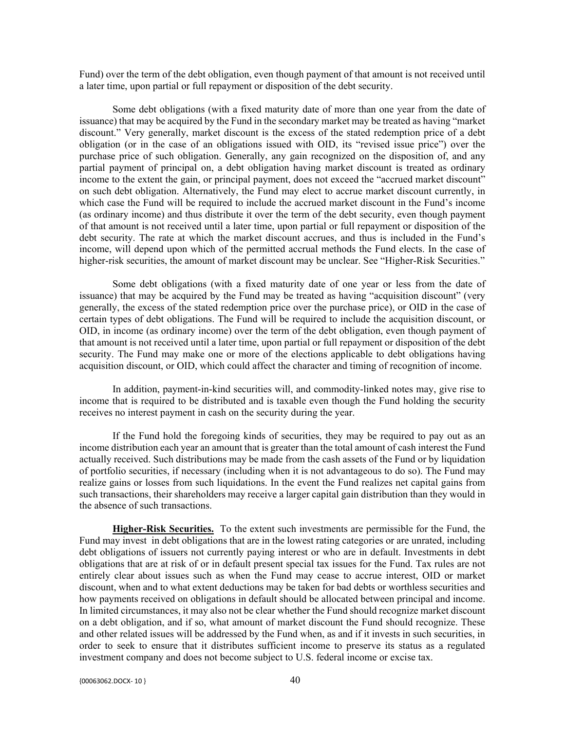Fund) over the term of the debt obligation, even though payment of that amount is not received until a later time, upon partial or full repayment or disposition of the debt security.

Some debt obligations (with a fixed maturity date of more than one year from the date of issuance) that may be acquired by the Fund in the secondary market may be treated as having "market discount." Very generally, market discount is the excess of the stated redemption price of a debt obligation (or in the case of an obligations issued with OID, its "revised issue price") over the purchase price of such obligation. Generally, any gain recognized on the disposition of, and any partial payment of principal on, a debt obligation having market discount is treated as ordinary income to the extent the gain, or principal payment, does not exceed the "accrued market discount" on such debt obligation. Alternatively, the Fund may elect to accrue market discount currently, in which case the Fund will be required to include the accrued market discount in the Fund's income (as ordinary income) and thus distribute it over the term of the debt security, even though payment of that amount is not received until a later time, upon partial or full repayment or disposition of the debt security. The rate at which the market discount accrues, and thus is included in the Fund's income, will depend upon which of the permitted accrual methods the Fund elects. In the case of higher-risk securities, the amount of market discount may be unclear. See "Higher-Risk Securities."

Some debt obligations (with a fixed maturity date of one year or less from the date of issuance) that may be acquired by the Fund may be treated as having "acquisition discount" (very generally, the excess of the stated redemption price over the purchase price), or OID in the case of certain types of debt obligations. The Fund will be required to include the acquisition discount, or OID, in income (as ordinary income) over the term of the debt obligation, even though payment of that amount is not received until a later time, upon partial or full repayment or disposition of the debt security. The Fund may make one or more of the elections applicable to debt obligations having acquisition discount, or OID, which could affect the character and timing of recognition of income.

In addition, payment-in-kind securities will, and commodity-linked notes may, give rise to income that is required to be distributed and is taxable even though the Fund holding the security receives no interest payment in cash on the security during the year.

If the Fund hold the foregoing kinds of securities, they may be required to pay out as an income distribution each year an amount that is greater than the total amount of cash interest the Fund actually received. Such distributions may be made from the cash assets of the Fund or by liquidation of portfolio securities, if necessary (including when it is not advantageous to do so). The Fund may realize gains or losses from such liquidations. In the event the Fund realizes net capital gains from such transactions, their shareholders may receive a larger capital gain distribution than they would in the absence of such transactions.

**Higher-Risk Securities.** To the extent such investments are permissible for the Fund, the Fund may invest in debt obligations that are in the lowest rating categories or are unrated, including debt obligations of issuers not currently paying interest or who are in default. Investments in debt obligations that are at risk of or in default present special tax issues for the Fund. Tax rules are not entirely clear about issues such as when the Fund may cease to accrue interest, OID or market discount, when and to what extent deductions may be taken for bad debts or worthless securities and how payments received on obligations in default should be allocated between principal and income. In limited circumstances, it may also not be clear whether the Fund should recognize market discount on a debt obligation, and if so, what amount of market discount the Fund should recognize. These and other related issues will be addressed by the Fund when, as and if it invests in such securities, in order to seek to ensure that it distributes sufficient income to preserve its status as a regulated investment company and does not become subject to U.S. federal income or excise tax.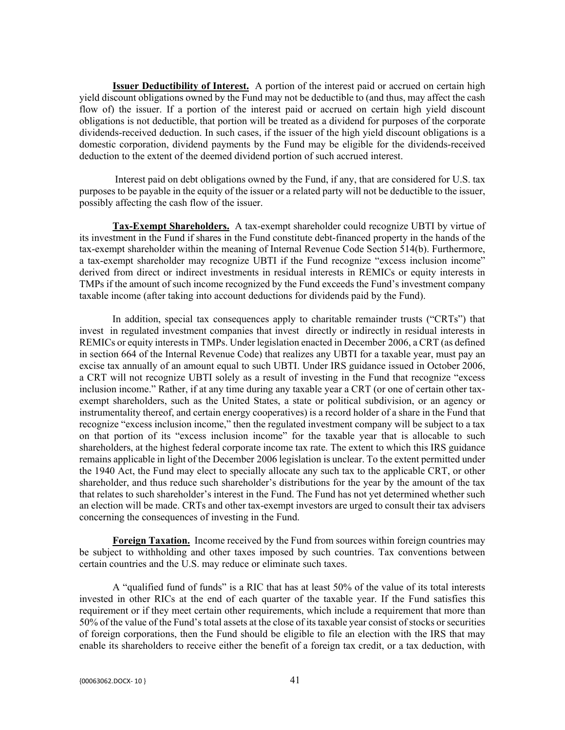**Issuer Deductibility of Interest.** A portion of the interest paid or accrued on certain high yield discount obligations owned by the Fund may not be deductible to (and thus, may affect the cash flow of) the issuer. If a portion of the interest paid or accrued on certain high yield discount obligations is not deductible, that portion will be treated as a dividend for purposes of the corporate dividends-received deduction. In such cases, if the issuer of the high yield discount obligations is a domestic corporation, dividend payments by the Fund may be eligible for the dividends-received deduction to the extent of the deemed dividend portion of such accrued interest.

Interest paid on debt obligations owned by the Fund, if any, that are considered for U.S. tax purposes to be payable in the equity of the issuer or a related party will not be deductible to the issuer, possibly affecting the cash flow of the issuer.

**Tax-Exempt Shareholders.** A tax-exempt shareholder could recognize UBTI by virtue of its investment in the Fund if shares in the Fund constitute debt-financed property in the hands of the tax-exempt shareholder within the meaning of Internal Revenue Code Section 514(b). Furthermore, a tax-exempt shareholder may recognize UBTI if the Fund recognize "excess inclusion income" derived from direct or indirect investments in residual interests in REMICs or equity interests in TMPs if the amount of such income recognized by the Fund exceeds the Fund's investment company taxable income (after taking into account deductions for dividends paid by the Fund).

In addition, special tax consequences apply to charitable remainder trusts ("CRTs") that invest in regulated investment companies that invest directly or indirectly in residual interests in REMICs or equity interests in TMPs. Under legislation enacted in December 2006, a CRT (as defined in section 664 of the Internal Revenue Code) that realizes any UBTI for a taxable year, must pay an excise tax annually of an amount equal to such UBTI. Under IRS guidance issued in October 2006, a CRT will not recognize UBTI solely as a result of investing in the Fund that recognize "excess inclusion income." Rather, if at any time during any taxable year a CRT (or one of certain other taxexempt shareholders, such as the United States, a state or political subdivision, or an agency or instrumentality thereof, and certain energy cooperatives) is a record holder of a share in the Fund that recognize "excess inclusion income," then the regulated investment company will be subject to a tax on that portion of its "excess inclusion income" for the taxable year that is allocable to such shareholders, at the highest federal corporate income tax rate. The extent to which this IRS guidance remains applicable in light of the December 2006 legislation is unclear. To the extent permitted under the 1940 Act, the Fund may elect to specially allocate any such tax to the applicable CRT, or other shareholder, and thus reduce such shareholder's distributions for the year by the amount of the tax that relates to such shareholder's interest in the Fund. The Fund has not yet determined whether such an election will be made. CRTs and other tax-exempt investors are urged to consult their tax advisers concerning the consequences of investing in the Fund.

**Foreign Taxation.** Income received by the Fund from sources within foreign countries may be subject to withholding and other taxes imposed by such countries. Tax conventions between certain countries and the U.S. may reduce or eliminate such taxes.

A "qualified fund of funds" is a RIC that has at least 50% of the value of its total interests invested in other RICs at the end of each quarter of the taxable year. If the Fund satisfies this requirement or if they meet certain other requirements, which include a requirement that more than 50% of the value of the Fund's total assets at the close of its taxable year consist of stocks or securities of foreign corporations, then the Fund should be eligible to file an election with the IRS that may enable its shareholders to receive either the benefit of a foreign tax credit, or a tax deduction, with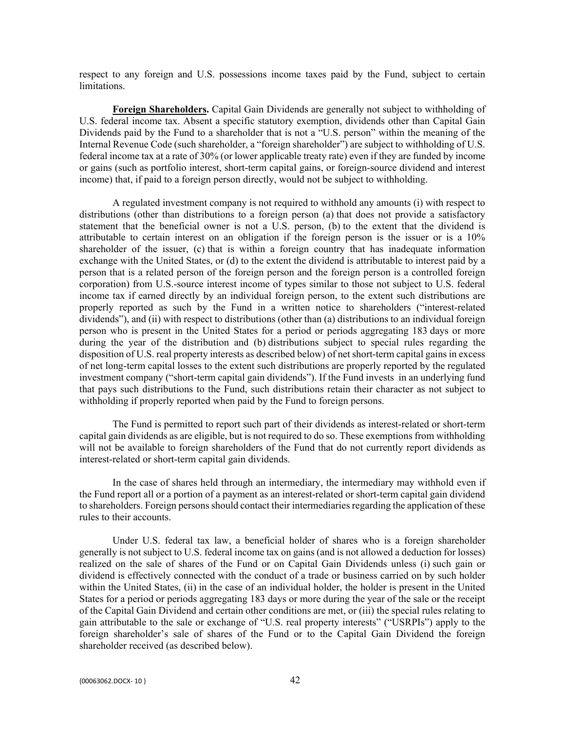respect to any foreign and U.S. possessions income taxes paid by the Fund, subject to certain limitations.

**Foreign Shareholders.** Capital Gain Dividends are generally not subject to withholding of U.S. federal income tax. Absent a specific statutory exemption, dividends other than Capital Gain Dividends paid by the Fund to a shareholder that is not a "U.S. person" within the meaning of the Internal Revenue Code (such shareholder, a "foreign shareholder") are subject to withholding of U.S. federal income tax at a rate of 30% (or lower applicable treaty rate) even if they are funded by income or gains (such as portfolio interest, short-term capital gains, or foreign-source dividend and interest income) that, if paid to a foreign person directly, would not be subject to withholding.

A regulated investment company is not required to withhold any amounts (i) with respect to distributions (other than distributions to a foreign person (a) that does not provide a satisfactory statement that the beneficial owner is not a U.S. person, (b) to the extent that the dividend is attributable to certain interest on an obligation if the foreign person is the issuer or is a 10% shareholder of the issuer, (c) that is within a foreign country that has inadequate information exchange with the United States, or (d) to the extent the dividend is attributable to interest paid by a person that is a related person of the foreign person and the foreign person is a controlled foreign corporation) from U.S.-source interest income of types similar to those not subject to U.S. federal income tax if earned directly by an individual foreign person, to the extent such distributions are properly reported as such by the Fund in a written notice to shareholders ("interest-related dividends"), and (ii) with respect to distributions (other than (a) distributions to an individual foreign person who is present in the United States for a period or periods aggregating 183 days or more during the year of the distribution and (b) distributions subject to special rules regarding the disposition of U.S. real property interests as described below) of net short-term capital gains in excess of net long-term capital losses to the extent such distributions are properly reported by the regulated investment company ("short-term capital gain dividends"). If the Fund invests in an underlying fund that pays such distributions to the Fund, such distributions retain their character as not subject to withholding if properly reported when paid by the Fund to foreign persons.

The Fund is permitted to report such part of their dividends as interest-related or short-term capital gain dividends as are eligible, but is not required to do so. These exemptions from withholding will not be available to foreign shareholders of the Fund that do not currently report dividends as interest-related or short-term capital gain dividends.

In the case of shares held through an intermediary, the intermediary may withhold even if the Fund report all or a portion of a payment as an interest-related or short-term capital gain dividend to shareholders. Foreign persons should contact their intermediaries regarding the application of these rules to their accounts.

Under U.S. federal tax law, a beneficial holder of shares who is a foreign shareholder generally is not subject to U.S. federal income tax on gains (and is not allowed a deduction for losses) realized on the sale of shares of the Fund or on Capital Gain Dividends unless (i) such gain or dividend is effectively connected with the conduct of a trade or business carried on by such holder within the United States, (ii) in the case of an individual holder, the holder is present in the United States for a period or periods aggregating 183 days or more during the year of the sale or the receipt of the Capital Gain Dividend and certain other conditions are met, or (iii) the special rules relating to gain attributable to the sale or exchange of "U.S. real property interests" ("USRPIs") apply to the foreign shareholder's sale of shares of the Fund or to the Capital Gain Dividend the foreign shareholder received (as described below).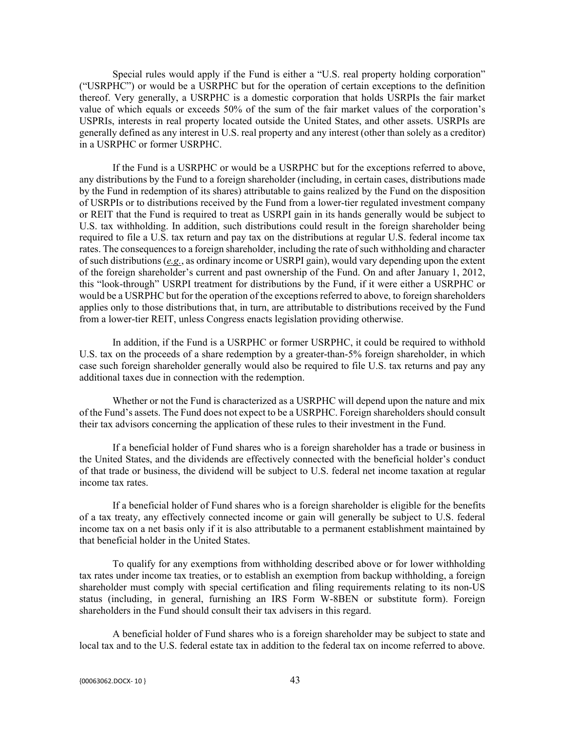Special rules would apply if the Fund is either a "U.S. real property holding corporation" ("USRPHC") or would be a USRPHC but for the operation of certain exceptions to the definition thereof. Very generally, a USRPHC is a domestic corporation that holds USRPIs the fair market value of which equals or exceeds 50% of the sum of the fair market values of the corporation's USPRIs, interests in real property located outside the United States, and other assets. USRPIs are generally defined as any interest in U.S. real property and any interest (other than solely as a creditor) in a USRPHC or former USRPHC.

If the Fund is a USRPHC or would be a USRPHC but for the exceptions referred to above, any distributions by the Fund to a foreign shareholder (including, in certain cases, distributions made by the Fund in redemption of its shares) attributable to gains realized by the Fund on the disposition of USRPIs or to distributions received by the Fund from a lower-tier regulated investment company or REIT that the Fund is required to treat as USRPI gain in its hands generally would be subject to U.S. tax withholding. In addition, such distributions could result in the foreign shareholder being required to file a U.S. tax return and pay tax on the distributions at regular U.S. federal income tax rates. The consequences to a foreign shareholder, including the rate of such withholding and character of such distributions (*e.g.*, as ordinary income or USRPI gain), would vary depending upon the extent of the foreign shareholder's current and past ownership of the Fund. On and after January 1, 2012, this "look-through" USRPI treatment for distributions by the Fund, if it were either a USRPHC or would be a USRPHC but for the operation of the exceptions referred to above, to foreign shareholders applies only to those distributions that, in turn, are attributable to distributions received by the Fund from a lower-tier REIT, unless Congress enacts legislation providing otherwise.

In addition, if the Fund is a USRPHC or former USRPHC, it could be required to withhold U.S. tax on the proceeds of a share redemption by a greater-than-5% foreign shareholder, in which case such foreign shareholder generally would also be required to file U.S. tax returns and pay any additional taxes due in connection with the redemption.

Whether or not the Fund is characterized as a USRPHC will depend upon the nature and mix of the Fund's assets. The Fund does not expect to be a USRPHC. Foreign shareholders should consult their tax advisors concerning the application of these rules to their investment in the Fund.

If a beneficial holder of Fund shares who is a foreign shareholder has a trade or business in the United States, and the dividends are effectively connected with the beneficial holder's conduct of that trade or business, the dividend will be subject to U.S. federal net income taxation at regular income tax rates.

If a beneficial holder of Fund shares who is a foreign shareholder is eligible for the benefits of a tax treaty, any effectively connected income or gain will generally be subject to U.S. federal income tax on a net basis only if it is also attributable to a permanent establishment maintained by that beneficial holder in the United States.

To qualify for any exemptions from withholding described above or for lower withholding tax rates under income tax treaties, or to establish an exemption from backup withholding, a foreign shareholder must comply with special certification and filing requirements relating to its non-US status (including, in general, furnishing an IRS Form W-8BEN or substitute form). Foreign shareholders in the Fund should consult their tax advisers in this regard.

A beneficial holder of Fund shares who is a foreign shareholder may be subject to state and local tax and to the U.S. federal estate tax in addition to the federal tax on income referred to above.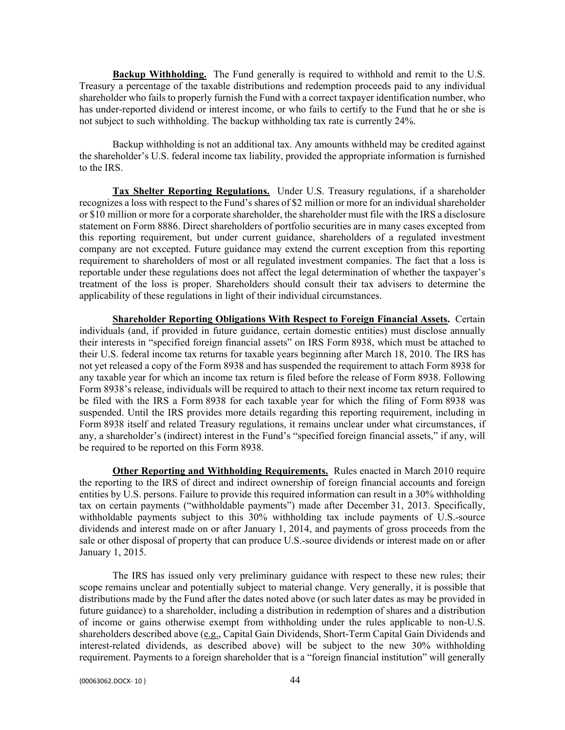**Backup Withholding.** The Fund generally is required to withhold and remit to the U.S. Treasury a percentage of the taxable distributions and redemption proceeds paid to any individual shareholder who fails to properly furnish the Fund with a correct taxpayer identification number, who has under-reported dividend or interest income, or who fails to certify to the Fund that he or she is not subject to such withholding. The backup withholding tax rate is currently 24%.

Backup withholding is not an additional tax. Any amounts withheld may be credited against the shareholder's U.S. federal income tax liability, provided the appropriate information is furnished to the IRS.

**Tax Shelter Reporting Regulations.** Under U.S. Treasury regulations, if a shareholder recognizes a loss with respect to the Fund's shares of \$2 million or more for an individual shareholder or \$10 million or more for a corporate shareholder, the shareholder must file with the IRS a disclosure statement on Form 8886. Direct shareholders of portfolio securities are in many cases excepted from this reporting requirement, but under current guidance, shareholders of a regulated investment company are not excepted. Future guidance may extend the current exception from this reporting requirement to shareholders of most or all regulated investment companies. The fact that a loss is reportable under these regulations does not affect the legal determination of whether the taxpayer's treatment of the loss is proper. Shareholders should consult their tax advisers to determine the applicability of these regulations in light of their individual circumstances.

**Shareholder Reporting Obligations With Respect to Foreign Financial Assets.** Certain individuals (and, if provided in future guidance, certain domestic entities) must disclose annually their interests in "specified foreign financial assets" on IRS Form 8938, which must be attached to their U.S. federal income tax returns for taxable years beginning after March 18, 2010. The IRS has not yet released a copy of the Form 8938 and has suspended the requirement to attach Form 8938 for any taxable year for which an income tax return is filed before the release of Form 8938. Following Form 8938's release, individuals will be required to attach to their next income tax return required to be filed with the IRS a Form 8938 for each taxable year for which the filing of Form 8938 was suspended. Until the IRS provides more details regarding this reporting requirement, including in Form 8938 itself and related Treasury regulations, it remains unclear under what circumstances, if any, a shareholder's (indirect) interest in the Fund's "specified foreign financial assets," if any, will be required to be reported on this Form 8938.

**Other Reporting and Withholding Requirements.** Rules enacted in March 2010 require the reporting to the IRS of direct and indirect ownership of foreign financial accounts and foreign entities by U.S. persons. Failure to provide this required information can result in a 30% withholding tax on certain payments ("withholdable payments") made after December 31, 2013. Specifically, withholdable payments subject to this 30% withholding tax include payments of U.S.-source dividends and interest made on or after January 1, 2014, and payments of gross proceeds from the sale or other disposal of property that can produce U.S.-source dividends or interest made on or after January 1, 2015.

The IRS has issued only very preliminary guidance with respect to these new rules; their scope remains unclear and potentially subject to material change. Very generally, it is possible that distributions made by the Fund after the dates noted above (or such later dates as may be provided in future guidance) to a shareholder, including a distribution in redemption of shares and a distribution of income or gains otherwise exempt from withholding under the rules applicable to non-U.S. shareholders described above (e.g., Capital Gain Dividends, Short-Term Capital Gain Dividends and interest-related dividends, as described above) will be subject to the new 30% withholding requirement. Payments to a foreign shareholder that is a "foreign financial institution" will generally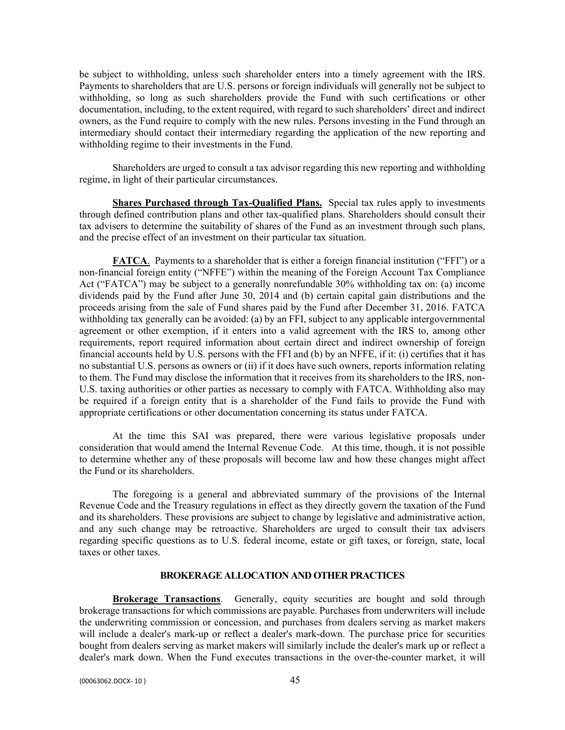be subject to withholding, unless such shareholder enters into a timely agreement with the IRS. Payments to shareholders that are U.S. persons or foreign individuals will generally not be subject to withholding, so long as such shareholders provide the Fund with such certifications or other documentation, including, to the extent required, with regard to such shareholders' direct and indirect owners, as the Fund require to comply with the new rules. Persons investing in the Fund through an intermediary should contact their intermediary regarding the application of the new reporting and withholding regime to their investments in the Fund.

Shareholders are urged to consult a tax advisor regarding this new reporting and withholding regime, in light of their particular circumstances.

**Shares Purchased through Tax-Qualified Plans.** Special tax rules apply to investments through defined contribution plans and other tax-qualified plans. Shareholders should consult their tax advisers to determine the suitability of shares of the Fund as an investment through such plans, and the precise effect of an investment on their particular tax situation.

**FATCA**. Payments to a shareholder that is either a foreign financial institution ("FFI") or a non-financial foreign entity ("NFFE") within the meaning of the Foreign Account Tax Compliance Act ("FATCA") may be subject to a generally nonrefundable 30% withholding tax on: (a) income dividends paid by the Fund after June 30, 2014 and (b) certain capital gain distributions and the proceeds arising from the sale of Fund shares paid by the Fund after December 31, 2016. FATCA withholding tax generally can be avoided: (a) by an FFI, subject to any applicable intergovernmental agreement or other exemption, if it enters into a valid agreement with the IRS to, among other requirements, report required information about certain direct and indirect ownership of foreign financial accounts held by U.S. persons with the FFI and (b) by an NFFE, if it: (i) certifies that it has no substantial U.S. persons as owners or (ii) if it does have such owners, reports information relating to them. The Fund may disclose the information that it receives from its shareholders to the IRS, non-U.S. taxing authorities or other parties as necessary to comply with FATCA. Withholding also may be required if a foreign entity that is a shareholder of the Fund fails to provide the Fund with appropriate certifications or other documentation concerning its status under FATCA.

At the time this SAI was prepared, there were various legislative proposals under consideration that would amend the Internal Revenue Code. At this time, though, it is not possible to determine whether any of these proposals will become law and how these changes might affect the Fund or its shareholders.

The foregoing is a general and abbreviated summary of the provisions of the Internal Revenue Code and the Treasury regulations in effect as they directly govern the taxation of the Fund and its shareholders. These provisions are subject to change by legislative and administrative action, and any such change may be retroactive. Shareholders are urged to consult their tax advisers regarding specific questions as to U.S. federal income, estate or gift taxes, or foreign, state, local taxes or other taxes.

### **BROKERAGE ALLOCATION AND OTHER PRACTICES**

**Brokerage Transactions**. Generally, equity securities are bought and sold through brokerage transactions for which commissions are payable. Purchases from underwriters will include the underwriting commission or concession, and purchases from dealers serving as market makers will include a dealer's mark-up or reflect a dealer's mark-down. The purchase price for securities bought from dealers serving as market makers will similarly include the dealer's mark up or reflect a dealer's mark down. When the Fund executes transactions in the over-the-counter market, it will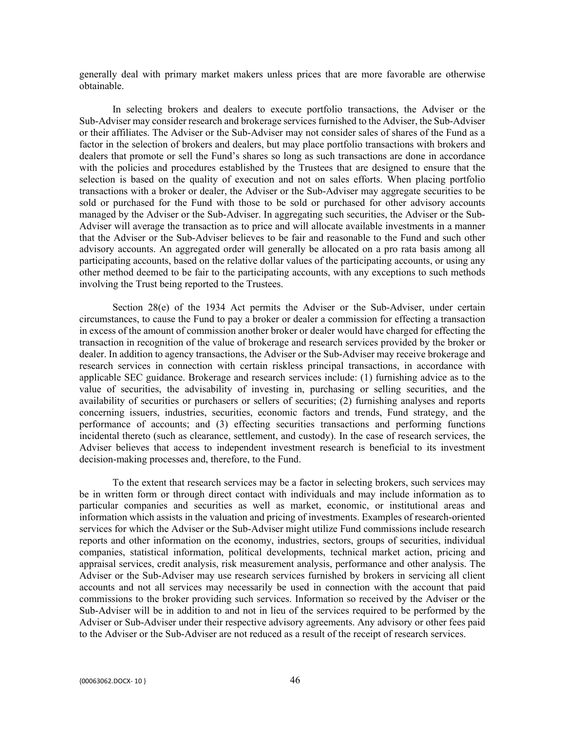generally deal with primary market makers unless prices that are more favorable are otherwise obtainable.

In selecting brokers and dealers to execute portfolio transactions, the Adviser or the Sub-Adviser may consider research and brokerage services furnished to the Adviser, the Sub-Adviser or their affiliates. The Adviser or the Sub-Adviser may not consider sales of shares of the Fund as a factor in the selection of brokers and dealers, but may place portfolio transactions with brokers and dealers that promote or sell the Fund's shares so long as such transactions are done in accordance with the policies and procedures established by the Trustees that are designed to ensure that the selection is based on the quality of execution and not on sales efforts. When placing portfolio transactions with a broker or dealer, the Adviser or the Sub-Adviser may aggregate securities to be sold or purchased for the Fund with those to be sold or purchased for other advisory accounts managed by the Adviser or the Sub-Adviser. In aggregating such securities, the Adviser or the Sub-Adviser will average the transaction as to price and will allocate available investments in a manner that the Adviser or the Sub-Adviser believes to be fair and reasonable to the Fund and such other advisory accounts. An aggregated order will generally be allocated on a pro rata basis among all participating accounts, based on the relative dollar values of the participating accounts, or using any other method deemed to be fair to the participating accounts, with any exceptions to such methods involving the Trust being reported to the Trustees.

Section 28(e) of the 1934 Act permits the Adviser or the Sub-Adviser, under certain circumstances, to cause the Fund to pay a broker or dealer a commission for effecting a transaction in excess of the amount of commission another broker or dealer would have charged for effecting the transaction in recognition of the value of brokerage and research services provided by the broker or dealer. In addition to agency transactions, the Adviser or the Sub-Adviser may receive brokerage and research services in connection with certain riskless principal transactions, in accordance with applicable SEC guidance. Brokerage and research services include: (1) furnishing advice as to the value of securities, the advisability of investing in, purchasing or selling securities, and the availability of securities or purchasers or sellers of securities; (2) furnishing analyses and reports concerning issuers, industries, securities, economic factors and trends, Fund strategy, and the performance of accounts; and (3) effecting securities transactions and performing functions incidental thereto (such as clearance, settlement, and custody). In the case of research services, the Adviser believes that access to independent investment research is beneficial to its investment decision-making processes and, therefore, to the Fund.

To the extent that research services may be a factor in selecting brokers, such services may be in written form or through direct contact with individuals and may include information as to particular companies and securities as well as market, economic, or institutional areas and information which assists in the valuation and pricing of investments. Examples of research-oriented services for which the Adviser or the Sub-Adviser might utilize Fund commissions include research reports and other information on the economy, industries, sectors, groups of securities, individual companies, statistical information, political developments, technical market action, pricing and appraisal services, credit analysis, risk measurement analysis, performance and other analysis. The Adviser or the Sub-Adviser may use research services furnished by brokers in servicing all client accounts and not all services may necessarily be used in connection with the account that paid commissions to the broker providing such services. Information so received by the Adviser or the Sub-Adviser will be in addition to and not in lieu of the services required to be performed by the Adviser or Sub-Adviser under their respective advisory agreements. Any advisory or other fees paid to the Adviser or the Sub-Adviser are not reduced as a result of the receipt of research services.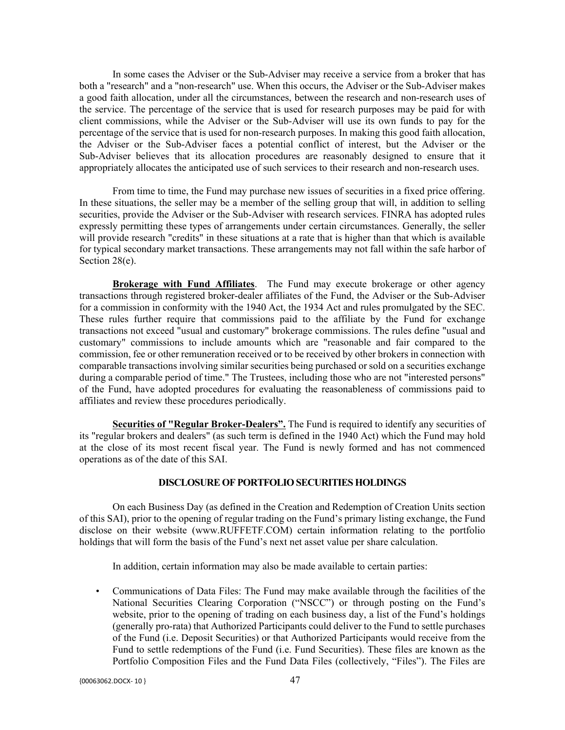In some cases the Adviser or the Sub-Adviser may receive a service from a broker that has both a "research" and a "non-research" use. When this occurs, the Adviser or the Sub-Adviser makes a good faith allocation, under all the circumstances, between the research and non-research uses of the service. The percentage of the service that is used for research purposes may be paid for with client commissions, while the Adviser or the Sub-Adviser will use its own funds to pay for the percentage of the service that is used for non-research purposes. In making this good faith allocation, the Adviser or the Sub-Adviser faces a potential conflict of interest, but the Adviser or the Sub-Adviser believes that its allocation procedures are reasonably designed to ensure that it appropriately allocates the anticipated use of such services to their research and non-research uses.

From time to time, the Fund may purchase new issues of securities in a fixed price offering. In these situations, the seller may be a member of the selling group that will, in addition to selling securities, provide the Adviser or the Sub-Adviser with research services. FINRA has adopted rules expressly permitting these types of arrangements under certain circumstances. Generally, the seller will provide research "credits" in these situations at a rate that is higher than that which is available for typical secondary market transactions. These arrangements may not fall within the safe harbor of Section 28(e).

**Brokerage with Fund Affiliates**. The Fund may execute brokerage or other agency transactions through registered broker-dealer affiliates of the Fund, the Adviser or the Sub-Adviser for a commission in conformity with the 1940 Act, the 1934 Act and rules promulgated by the SEC. These rules further require that commissions paid to the affiliate by the Fund for exchange transactions not exceed "usual and customary" brokerage commissions. The rules define "usual and customary" commissions to include amounts which are "reasonable and fair compared to the commission, fee or other remuneration received or to be received by other brokers in connection with comparable transactions involving similar securities being purchased or sold on a securities exchange during a comparable period of time." The Trustees, including those who are not "interested persons" of the Fund, have adopted procedures for evaluating the reasonableness of commissions paid to affiliates and review these procedures periodically.

**Securities of "Regular Broker-Dealers".** The Fund is required to identify any securities of its "regular brokers and dealers" (as such term is defined in the 1940 Act) which the Fund may hold at the close of its most recent fiscal year. The Fund is newly formed and has not commenced operations as of the date of this SAI.

## **DISCLOSURE OF PORTFOLIO SECURITIES HOLDINGS**

On each Business Day (as defined in the Creation and Redemption of Creation Units section of this SAI), prior to the opening of regular trading on the Fund's primary listing exchange, the Fund disclose on their website (www.RUFFETF.COM) certain information relating to the portfolio holdings that will form the basis of the Fund's next net asset value per share calculation.

In addition, certain information may also be made available to certain parties:

• Communications of Data Files: The Fund may make available through the facilities of the National Securities Clearing Corporation ("NSCC") or through posting on the Fund's website, prior to the opening of trading on each business day, a list of the Fund's holdings (generally pro-rata) that Authorized Participants could deliver to the Fund to settle purchases of the Fund (i.e. Deposit Securities) or that Authorized Participants would receive from the Fund to settle redemptions of the Fund (i.e. Fund Securities). These files are known as the Portfolio Composition Files and the Fund Data Files (collectively, "Files"). The Files are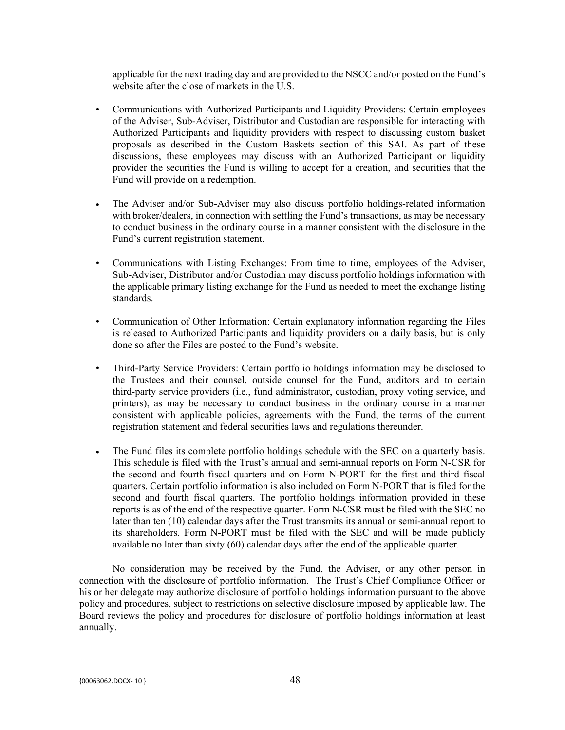applicable for the next trading day and are provided to the NSCC and/or posted on the Fund's website after the close of markets in the U.S.

- Communications with Authorized Participants and Liquidity Providers: Certain employees of the Adviser, Sub-Adviser, Distributor and Custodian are responsible for interacting with Authorized Participants and liquidity providers with respect to discussing custom basket proposals as described in the Custom Baskets section of this SAI. As part of these discussions, these employees may discuss with an Authorized Participant or liquidity provider the securities the Fund is willing to accept for a creation, and securities that the Fund will provide on a redemption.
- The Adviser and/or Sub-Adviser may also discuss portfolio holdings-related information with broker/dealers, in connection with settling the Fund's transactions, as may be necessary to conduct business in the ordinary course in a manner consistent with the disclosure in the Fund's current registration statement.
- Communications with Listing Exchanges: From time to time, employees of the Adviser, Sub-Adviser, Distributor and/or Custodian may discuss portfolio holdings information with the applicable primary listing exchange for the Fund as needed to meet the exchange listing standards.
- Communication of Other Information: Certain explanatory information regarding the Files is released to Authorized Participants and liquidity providers on a daily basis, but is only done so after the Files are posted to the Fund's website.
- Third-Party Service Providers: Certain portfolio holdings information may be disclosed to the Trustees and their counsel, outside counsel for the Fund, auditors and to certain third-party service providers (i.e., fund administrator, custodian, proxy voting service, and printers), as may be necessary to conduct business in the ordinary course in a manner consistent with applicable policies, agreements with the Fund, the terms of the current registration statement and federal securities laws and regulations thereunder.
- The Fund files its complete portfolio holdings schedule with the SEC on a quarterly basis. This schedule is filed with the Trust's annual and semi-annual reports on Form N-CSR for the second and fourth fiscal quarters and on Form N-PORT for the first and third fiscal quarters. Certain portfolio information is also included on Form N-PORT that is filed for the second and fourth fiscal quarters. The portfolio holdings information provided in these reports is as of the end of the respective quarter. Form N-CSR must be filed with the SEC no later than ten (10) calendar days after the Trust transmits its annual or semi-annual report to its shareholders. Form N-PORT must be filed with the SEC and will be made publicly available no later than sixty (60) calendar days after the end of the applicable quarter.

No consideration may be received by the Fund, the Adviser, or any other person in connection with the disclosure of portfolio information. The Trust's Chief Compliance Officer or his or her delegate may authorize disclosure of portfolio holdings information pursuant to the above policy and procedures, subject to restrictions on selective disclosure imposed by applicable law. The Board reviews the policy and procedures for disclosure of portfolio holdings information at least annually.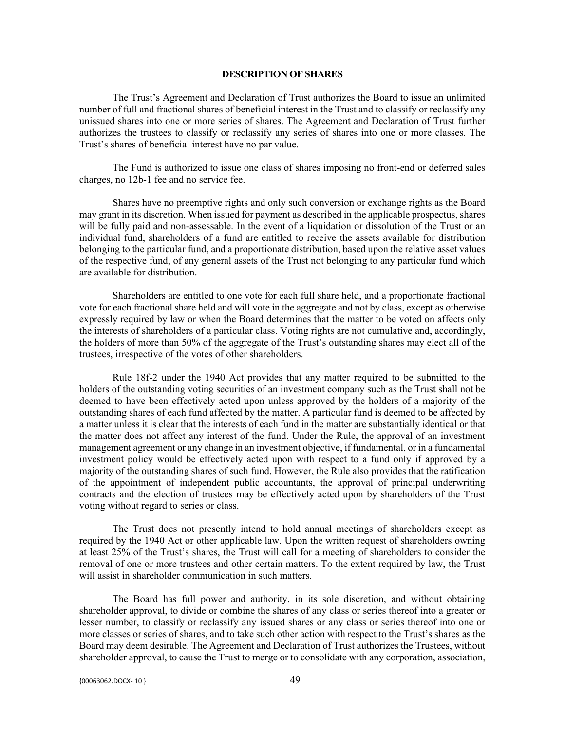#### **DESCRIPTION OF SHARES**

The Trust's Agreement and Declaration of Trust authorizes the Board to issue an unlimited number of full and fractional shares of beneficial interest in the Trust and to classify or reclassify any unissued shares into one or more series of shares. The Agreement and Declaration of Trust further authorizes the trustees to classify or reclassify any series of shares into one or more classes. The Trust's shares of beneficial interest have no par value.

The Fund is authorized to issue one class of shares imposing no front-end or deferred sales charges, no 12b-1 fee and no service fee.

Shares have no preemptive rights and only such conversion or exchange rights as the Board may grant in its discretion. When issued for payment as described in the applicable prospectus, shares will be fully paid and non-assessable. In the event of a liquidation or dissolution of the Trust or an individual fund, shareholders of a fund are entitled to receive the assets available for distribution belonging to the particular fund, and a proportionate distribution, based upon the relative asset values of the respective fund, of any general assets of the Trust not belonging to any particular fund which are available for distribution.

Shareholders are entitled to one vote for each full share held, and a proportionate fractional vote for each fractional share held and will vote in the aggregate and not by class, except as otherwise expressly required by law or when the Board determines that the matter to be voted on affects only the interests of shareholders of a particular class. Voting rights are not cumulative and, accordingly, the holders of more than 50% of the aggregate of the Trust's outstanding shares may elect all of the trustees, irrespective of the votes of other shareholders.

Rule 18f-2 under the 1940 Act provides that any matter required to be submitted to the holders of the outstanding voting securities of an investment company such as the Trust shall not be deemed to have been effectively acted upon unless approved by the holders of a majority of the outstanding shares of each fund affected by the matter. A particular fund is deemed to be affected by a matter unless it is clear that the interests of each fund in the matter are substantially identical or that the matter does not affect any interest of the fund. Under the Rule, the approval of an investment management agreement or any change in an investment objective, if fundamental, or in a fundamental investment policy would be effectively acted upon with respect to a fund only if approved by a majority of the outstanding shares of such fund. However, the Rule also provides that the ratification of the appointment of independent public accountants, the approval of principal underwriting contracts and the election of trustees may be effectively acted upon by shareholders of the Trust voting without regard to series or class.

The Trust does not presently intend to hold annual meetings of shareholders except as required by the 1940 Act or other applicable law. Upon the written request of shareholders owning at least 25% of the Trust's shares, the Trust will call for a meeting of shareholders to consider the removal of one or more trustees and other certain matters. To the extent required by law, the Trust will assist in shareholder communication in such matters.

The Board has full power and authority, in its sole discretion, and without obtaining shareholder approval, to divide or combine the shares of any class or series thereof into a greater or lesser number, to classify or reclassify any issued shares or any class or series thereof into one or more classes or series of shares, and to take such other action with respect to the Trust's shares as the Board may deem desirable. The Agreement and Declaration of Trust authorizes the Trustees, without shareholder approval, to cause the Trust to merge or to consolidate with any corporation, association,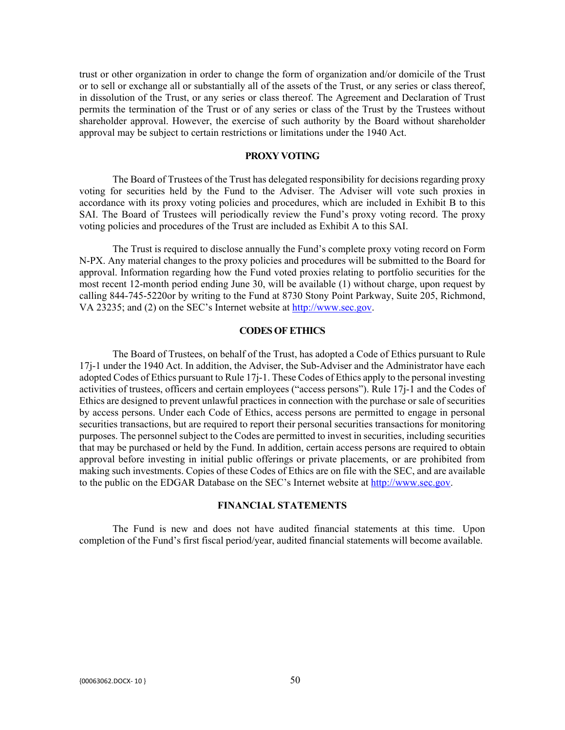trust or other organization in order to change the form of organization and/or domicile of the Trust or to sell or exchange all or substantially all of the assets of the Trust, or any series or class thereof, in dissolution of the Trust, or any series or class thereof. The Agreement and Declaration of Trust permits the termination of the Trust or of any series or class of the Trust by the Trustees without shareholder approval. However, the exercise of such authority by the Board without shareholder approval may be subject to certain restrictions or limitations under the 1940 Act.

#### **PROXY VOTING**

The Board of Trustees of the Trust has delegated responsibility for decisions regarding proxy voting for securities held by the Fund to the Adviser. The Adviser will vote such proxies in accordance with its proxy voting policies and procedures, which are included in Exhibit B to this SAI. The Board of Trustees will periodically review the Fund's proxy voting record. The proxy voting policies and procedures of the Trust are included as Exhibit A to this SAI.

The Trust is required to disclose annually the Fund's complete proxy voting record on Form N-PX. Any material changes to the proxy policies and procedures will be submitted to the Board for approval. Information regarding how the Fund voted proxies relating to portfolio securities for the most recent 12-month period ending June 30, will be available (1) without charge, upon request by calling 844-745-5220or by writing to the Fund at 8730 Stony Point Parkway, Suite 205, Richmond, VA 23235; and (2) on the SEC's Internet website at [http://www.sec.gov.](http://www.sec.gov/)

#### **CODES OF ETHICS**

The Board of Trustees, on behalf of the Trust, has adopted a Code of Ethics pursuant to Rule 17j-1 under the 1940 Act. In addition, the Adviser, the Sub-Adviser and the Administrator have each adopted Codes of Ethics pursuant to Rule 17j-1. These Codes of Ethics apply to the personal investing activities of trustees, officers and certain employees ("access persons"). Rule 17j-1 and the Codes of Ethics are designed to prevent unlawful practices in connection with the purchase or sale of securities by access persons. Under each Code of Ethics, access persons are permitted to engage in personal securities transactions, but are required to report their personal securities transactions for monitoring purposes. The personnel subject to the Codes are permitted to invest in securities, including securities that may be purchased or held by the Fund. In addition, certain access persons are required to obtain approval before investing in initial public offerings or private placements, or are prohibited from making such investments. Copies of these Codes of Ethics are on file with the SEC, and are available to the public on the EDGAR Database on the SEC's Internet website at [http://www.sec.gov.](http://www.sec.gov/)

#### **FINANCIAL STATEMENTS**

The Fund is new and does not have audited financial statements at this time. Upon completion of the Fund's first fiscal period/year, audited financial statements will become available.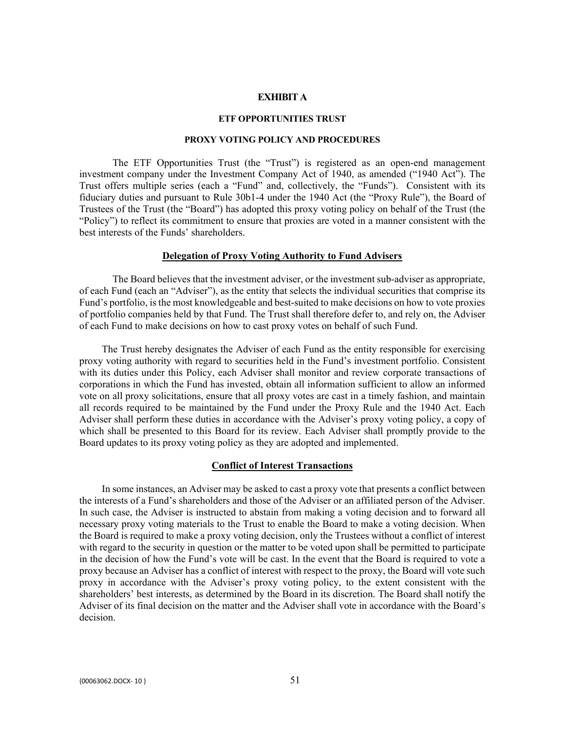## **EXHIBIT A**

#### **ETF OPPORTUNITIES TRUST**

#### **PROXY VOTING POLICY AND PROCEDURES**

The ETF Opportunities Trust (the "Trust") is registered as an open-end management investment company under the Investment Company Act of 1940, as amended ("1940 Act"). The Trust offers multiple series (each a "Fund" and, collectively, the "Funds"). Consistent with its fiduciary duties and pursuant to Rule 30b1-4 under the 1940 Act (the "Proxy Rule"), the Board of Trustees of the Trust (the "Board") has adopted this proxy voting policy on behalf of the Trust (the "Policy") to reflect its commitment to ensure that proxies are voted in a manner consistent with the best interests of the Funds' shareholders.

#### **Delegation of Proxy Voting Authority to Fund Advisers**

The Board believes that the investment adviser, or the investment sub-adviser as appropriate, of each Fund (each an "Adviser"), as the entity that selects the individual securities that comprise its Fund's portfolio, is the most knowledgeable and best-suited to make decisions on how to vote proxies of portfolio companies held by that Fund. The Trust shall therefore defer to, and rely on, the Adviser of each Fund to make decisions on how to cast proxy votes on behalf of such Fund.

The Trust hereby designates the Adviser of each Fund as the entity responsible for exercising proxy voting authority with regard to securities held in the Fund's investment portfolio. Consistent with its duties under this Policy, each Adviser shall monitor and review corporate transactions of corporations in which the Fund has invested, obtain all information sufficient to allow an informed vote on all proxy solicitations, ensure that all proxy votes are cast in a timely fashion, and maintain all records required to be maintained by the Fund under the Proxy Rule and the 1940 Act. Each Adviser shall perform these duties in accordance with the Adviser's proxy voting policy, a copy of which shall be presented to this Board for its review. Each Adviser shall promptly provide to the Board updates to its proxy voting policy as they are adopted and implemented.

## **Conflict of Interest Transactions**

In some instances, an Adviser may be asked to cast a proxy vote that presents a conflict between the interests of a Fund's shareholders and those of the Adviser or an affiliated person of the Adviser. In such case, the Adviser is instructed to abstain from making a voting decision and to forward all necessary proxy voting materials to the Trust to enable the Board to make a voting decision. When the Board is required to make a proxy voting decision, only the Trustees without a conflict of interest with regard to the security in question or the matter to be voted upon shall be permitted to participate in the decision of how the Fund's vote will be cast. In the event that the Board is required to vote a proxy because an Adviser has a conflict of interest with respect to the proxy, the Board will vote such proxy in accordance with the Adviser's proxy voting policy, to the extent consistent with the shareholders' best interests, as determined by the Board in its discretion. The Board shall notify the Adviser of its final decision on the matter and the Adviser shall vote in accordance with the Board's decision.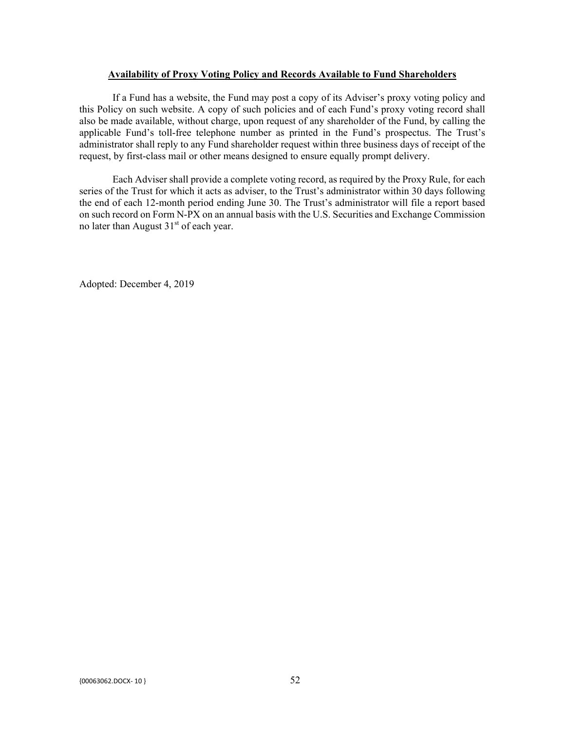## **Availability of Proxy Voting Policy and Records Available to Fund Shareholders**

If a Fund has a website, the Fund may post a copy of its Adviser's proxy voting policy and this Policy on such website. A copy of such policies and of each Fund's proxy voting record shall also be made available, without charge, upon request of any shareholder of the Fund, by calling the applicable Fund's toll-free telephone number as printed in the Fund's prospectus. The Trust's administrator shall reply to any Fund shareholder request within three business days of receipt of the request, by first-class mail or other means designed to ensure equally prompt delivery.

Each Adviser shall provide a complete voting record, as required by the Proxy Rule, for each series of the Trust for which it acts as adviser, to the Trust's administrator within 30 days following the end of each 12-month period ending June 30. The Trust's administrator will file a report based on such record on Form N-PX on an annual basis with the U.S. Securities and Exchange Commission no later than August  $31<sup>st</sup>$  of each year.

Adopted: December 4, 2019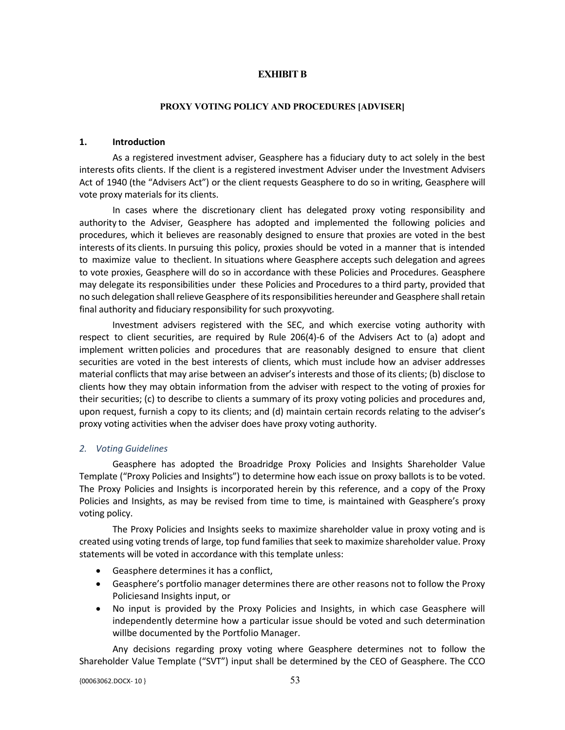## **EXHIBIT B**

#### **PROXY VOTING POLICY AND PROCEDURES [ADVISER]**

## **1. Introduction**

As a registered investment adviser, Geasphere has a fiduciary duty to act solely in the best interests ofits clients. If the client is a registered investment Adviser under the Investment Advisers Act of 1940 (the "Advisers Act") or the client requests Geasphere to do so in writing, Geasphere will vote proxy materials for its clients.

In cases where the discretionary client has delegated proxy voting responsibility and authority to the Adviser, Geasphere has adopted and implemented the following policies and procedures, which it believes are reasonably designed to ensure that proxies are voted in the best interests of its clients. In pursuing this policy, proxies should be voted in a manner that is intended to maximize value to theclient. In situations where Geasphere accepts such delegation and agrees to vote proxies, Geasphere will do so in accordance with these Policies and Procedures. Geasphere may delegate its responsibilities under these Policies and Procedures to a third party, provided that no such delegation shall relieve Geasphere of itsresponsibilities hereunder and Geasphere shall retain final authority and fiduciary responsibility for such proxyvoting.

Investment advisers registered with the SEC, and which exercise voting authority with respect to client securities, are required by Rule 206(4)-6 of the Advisers Act to (a) adopt and implement written policies and procedures that are reasonably designed to ensure that client securities are voted in the best interests of clients, which must include how an adviser addresses material conflicts that may arise between an adviser's interests and those of its clients; (b) disclose to clients how they may obtain information from the adviser with respect to the voting of proxies for their securities; (c) to describe to clients a summary of its proxy voting policies and procedures and, upon request, furnish a copy to its clients; and (d) maintain certain records relating to the adviser's proxy voting activities when the adviser does have proxy voting authority.

## *2. Voting Guidelines*

Geasphere has adopted the Broadridge Proxy Policies and Insights Shareholder Value Template ("Proxy Policies and Insights") to determine how each issue on proxy ballots is to be voted. The Proxy Policies and Insights is incorporated herein by this reference, and a copy of the Proxy Policies and Insights, as may be revised from time to time, is maintained with Geasphere's proxy voting policy.

The Proxy Policies and Insights seeks to maximize shareholder value in proxy voting and is created using voting trends of large, top fund families that seek to maximize shareholder value. Proxy statements will be voted in accordance with this template unless:

- Geasphere determines it has a conflict,
- Geasphere's portfolio manager determines there are other reasons not to follow the Proxy Policiesand Insights input, or
- No input is provided by the Proxy Policies and Insights, in which case Geasphere will independently determine how a particular issue should be voted and such determination willbe documented by the Portfolio Manager.

Any decisions regarding proxy voting where Geasphere determines not to follow the Shareholder Value Template ("SVT") input shall be determined by the CEO of Geasphere. The CCO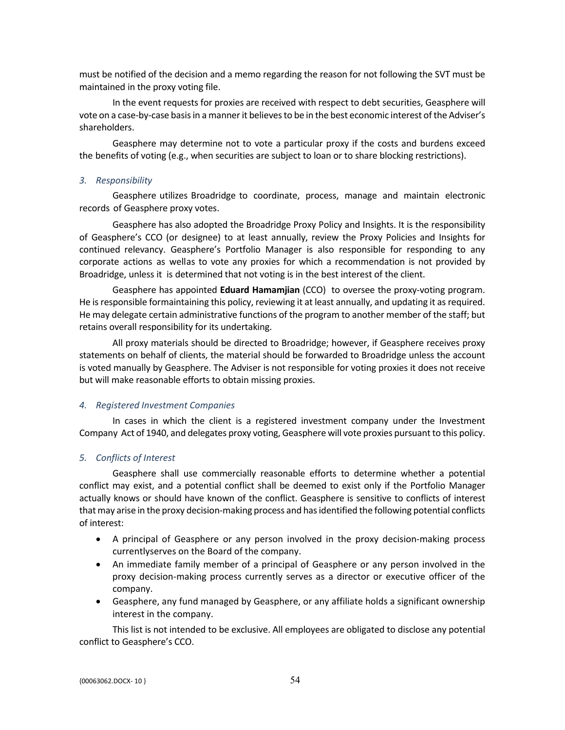must be notified of the decision and a memo regarding the reason for not following the SVT must be maintained in the proxy voting file.

In the event requests for proxies are received with respect to debt securities, Geasphere will vote on a case-by-case basis in a manner it believes to be in the best economic interest of the Adviser's shareholders.

Geasphere may determine not to vote a particular proxy if the costs and burdens exceed the benefits of voting (e.g., when securities are subject to loan or to share blocking restrictions).

#### *3. Responsibility*

Geasphere utilizes Broadridge to coordinate, process, manage and maintain electronic records of Geasphere proxy votes.

Geasphere has also adopted the Broadridge Proxy Policy and Insights. It is the responsibility of Geasphere's CCO (or designee) to at least annually, review the Proxy Policies and Insights for continued relevancy. Geasphere's Portfolio Manager is also responsible for responding to any corporate actions as wellas to vote any proxies for which a recommendation is not provided by Broadridge, unless it is determined that not voting is in the best interest of the client.

Geasphere has appointed **Eduard Hamamjian** (CCO) to oversee the proxy-voting program. He is responsible formaintaining this policy, reviewing it at least annually, and updating it as required. He may delegate certain administrative functions of the program to another member of the staff; but retains overall responsibility for its undertaking.

All proxy materials should be directed to Broadridge; however, if Geasphere receives proxy statements on behalf of clients, the material should be forwarded to Broadridge unless the account is voted manually by Geasphere. The Adviser is not responsible for voting proxies it does not receive but will make reasonable efforts to obtain missing proxies.

## *4. Registered Investment Companies*

In cases in which the client is a registered investment company under the Investment Company Act of 1940, and delegates proxy voting, Geasphere will vote proxies pursuant to this policy.

#### *5. Conflicts of Interest*

Geasphere shall use commercially reasonable efforts to determine whether a potential conflict may exist, and a potential conflict shall be deemed to exist only if the Portfolio Manager actually knows or should have known of the conflict. Geasphere is sensitive to conflicts of interest that may arise in the proxy decision-making process and has identified the following potential conflicts of interest:

- A principal of Geasphere or any person involved in the proxy decision-making process currentlyserves on the Board of the company.
- An immediate family member of a principal of Geasphere or any person involved in the proxy decision-making process currently serves as a director or executive officer of the company.
- Geasphere, any fund managed by Geasphere, or any affiliate holds a significant ownership interest in the company.

This list is not intended to be exclusive. All employees are obligated to disclose any potential conflict to Geasphere's CCO.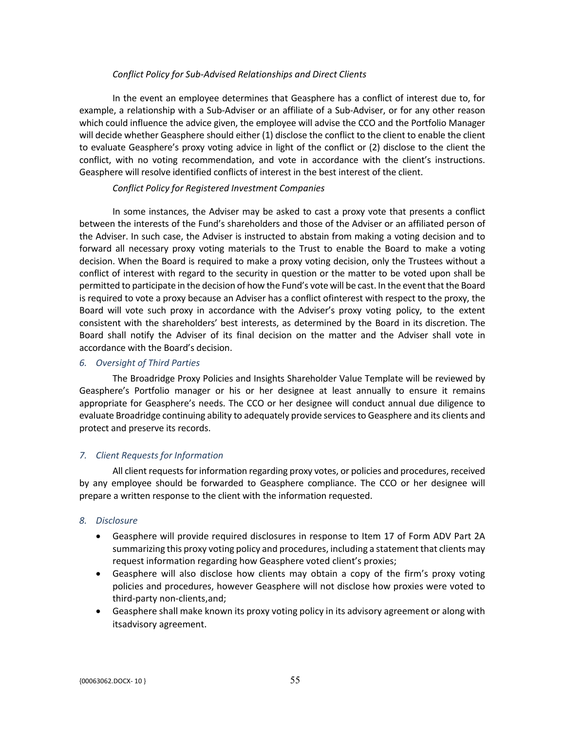## *Conflict Policy for Sub-Advised Relationships and Direct Clients*

In the event an employee determines that Geasphere has a conflict of interest due to, for example, a relationship with a Sub-Adviser or an affiliate of a Sub-Adviser, or for any other reason which could influence the advice given, the employee will advise the CCO and the Portfolio Manager will decide whether Geasphere should either (1) disclose the conflict to the client to enable the client to evaluate Geasphere's proxy voting advice in light of the conflict or (2) disclose to the client the conflict, with no voting recommendation, and vote in accordance with the client's instructions. Geasphere will resolve identified conflicts of interest in the best interest of the client.

## *Conflict Policy for Registered Investment Companies*

In some instances, the Adviser may be asked to cast a proxy vote that presents a conflict between the interests of the Fund's shareholders and those of the Adviser or an affiliated person of the Adviser. In such case, the Adviser is instructed to abstain from making a voting decision and to forward all necessary proxy voting materials to the Trust to enable the Board to make a voting decision. When the Board is required to make a proxy voting decision, only the Trustees without a conflict of interest with regard to the security in question or the matter to be voted upon shall be permitted to participate in the decision of how the Fund's vote will be cast. In the event that the Board is required to vote a proxy because an Adviser has a conflict ofinterest with respect to the proxy, the Board will vote such proxy in accordance with the Adviser's proxy voting policy, to the extent consistent with the shareholders' best interests, as determined by the Board in its discretion. The Board shall notify the Adviser of its final decision on the matter and the Adviser shall vote in accordance with the Board's decision.

## *6. Oversight of Third Parties*

The Broadridge Proxy Policies and Insights Shareholder Value Template will be reviewed by Geasphere's Portfolio manager or his or her designee at least annually to ensure it remains appropriate for Geasphere's needs. The CCO or her designee will conduct annual due diligence to evaluate Broadridge continuing ability to adequately provide services to Geasphere and its clients and protect and preserve its records.

## *7. Client Requests for Information*

All client requests for information regarding proxy votes, or policies and procedures, received by any employee should be forwarded to Geasphere compliance. The CCO or her designee will prepare a written response to the client with the information requested.

#### *8. Disclosure*

- Geasphere will provide required disclosures in response to Item 17 of Form ADV Part 2A summarizing this proxy voting policy and procedures, including a statement that clients may request information regarding how Geasphere voted client's proxies;
- Geasphere will also disclose how clients may obtain a copy of the firm's proxy voting policies and procedures, however Geasphere will not disclose how proxies were voted to third-party non-clients,and;
- Geasphere shall make known its proxy voting policy in its advisory agreement or along with itsadvisory agreement.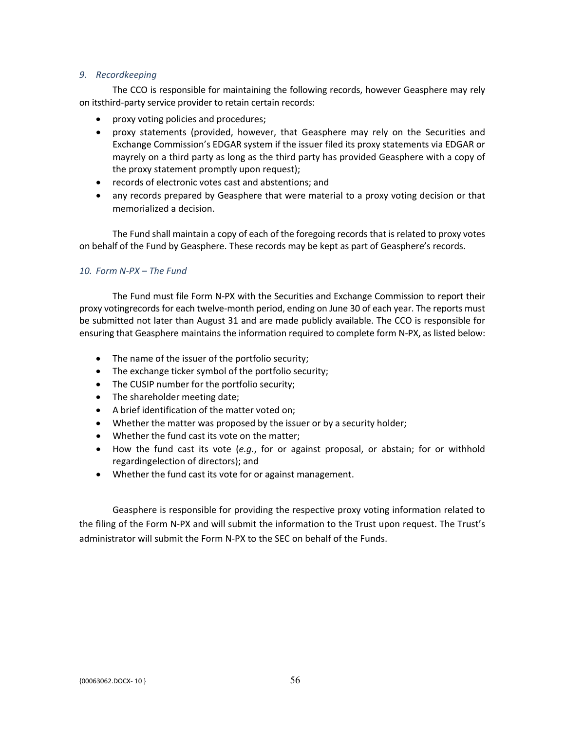## *9. Recordkeeping*

The CCO is responsible for maintaining the following records, however Geasphere may rely on itsthird-party service provider to retain certain records:

- proxy voting policies and procedures;
- proxy statements (provided, however, that Geasphere may rely on the Securities and Exchange Commission's EDGAR system if the issuer filed its proxy statements via EDGAR or mayrely on a third party as long as the third party has provided Geasphere with a copy of the proxy statement promptly upon request);
- records of electronic votes cast and abstentions; and
- any records prepared by Geasphere that were material to a proxy voting decision or that memorialized a decision.

The Fund shall maintain a copy of each of the foregoing records that is related to proxy votes on behalf of the Fund by Geasphere. These records may be kept as part of Geasphere's records.

# *10. Form N-PX – The Fund*

The Fund must file Form N-PX with the Securities and Exchange Commission to report their proxy votingrecords for each twelve-month period, ending on June 30 of each year. The reports must be submitted not later than August 31 and are made publicly available. The CCO is responsible for ensuring that Geasphere maintains the information required to complete form N-PX, as listed below:

- The name of the issuer of the portfolio security;
- The exchange ticker symbol of the portfolio security;
- The CUSIP number for the portfolio security;
- The shareholder meeting date;
- A brief identification of the matter voted on;
- Whether the matter was proposed by the issuer or by a security holder;
- Whether the fund cast its vote on the matter;
- How the fund cast its vote (*e.g.*, for or against proposal, or abstain; for or withhold regardingelection of directors); and
- Whether the fund cast its vote for or against management.

Geasphere is responsible for providing the respective proxy voting information related to the filing of the Form N-PX and will submit the information to the Trust upon request. The Trust's administrator will submit the Form N-PX to the SEC on behalf of the Funds.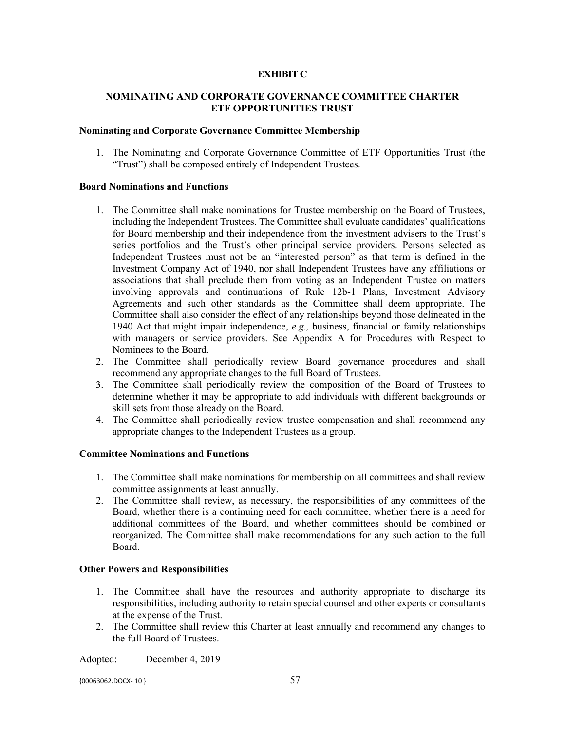# **EXHIBIT C**

## **NOMINATING AND CORPORATE GOVERNANCE COMMITTEE CHARTER ETF OPPORTUNITIES TRUST**

#### **Nominating and Corporate Governance Committee Membership**

1. The Nominating and Corporate Governance Committee of ETF Opportunities Trust (the "Trust") shall be composed entirely of Independent Trustees.

#### **Board Nominations and Functions**

- 1. The Committee shall make nominations for Trustee membership on the Board of Trustees, including the Independent Trustees. The Committee shall evaluate candidates' qualifications for Board membership and their independence from the investment advisers to the Trust's series portfolios and the Trust's other principal service providers. Persons selected as Independent Trustees must not be an "interested person" as that term is defined in the Investment Company Act of 1940, nor shall Independent Trustees have any affiliations or associations that shall preclude them from voting as an Independent Trustee on matters involving approvals and continuations of Rule 12b-1 Plans, Investment Advisory Agreements and such other standards as the Committee shall deem appropriate. The Committee shall also consider the effect of any relationships beyond those delineated in the 1940 Act that might impair independence, *e.g.,* business, financial or family relationships with managers or service providers. See Appendix A for Procedures with Respect to Nominees to the Board.
- 2. The Committee shall periodically review Board governance procedures and shall recommend any appropriate changes to the full Board of Trustees.
- 3. The Committee shall periodically review the composition of the Board of Trustees to determine whether it may be appropriate to add individuals with different backgrounds or skill sets from those already on the Board.
- 4. The Committee shall periodically review trustee compensation and shall recommend any appropriate changes to the Independent Trustees as a group.

## **Committee Nominations and Functions**

- 1. The Committee shall make nominations for membership on all committees and shall review committee assignments at least annually.
- 2. The Committee shall review, as necessary, the responsibilities of any committees of the Board, whether there is a continuing need for each committee, whether there is a need for additional committees of the Board, and whether committees should be combined or reorganized. The Committee shall make recommendations for any such action to the full Board.

## **Other Powers and Responsibilities**

- 1. The Committee shall have the resources and authority appropriate to discharge its responsibilities, including authority to retain special counsel and other experts or consultants at the expense of the Trust.
- 2. The Committee shall review this Charter at least annually and recommend any changes to the full Board of Trustees.

Adopted: December 4, 2019